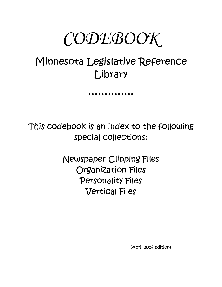# $\mathit{CODE}$ *BOOK*

## Minnesota Legislative Reference Library

♦♦♦♦♦♦♦♦♦♦♦♦♦♦

This codebook is an index to the following special collections:

> Newspaper Clipping Files Organization Files Personality Files Vertical Files

> > (April 2006 edition)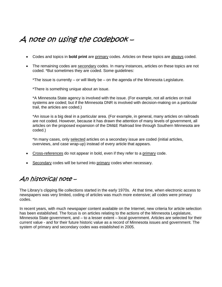## A note on using the codebook –

- Codes and topics in **bold print** are primary codes. Articles on these topics are always coded.
- The remaining codes are secondary codes. In many instances, articles on these topics are not coded. \*But sometimes they are coded. Some guidelines:

\*The issue is currently – or will likely be – on the agenda of the Minnesota Legislature.

\*There is something unique about an issue.

\*A Minnesota State agency is involved with the issue. (For example, not all articles on trail systems are coded; but if the Minnesota DNR is involved with decision-making on a particular trail, the articles are coded.)

\*An issue is a big deal in a particular area. (For example, in general, many articles on railroads are not coded. However, because it has drawn the attention of many levels of government, all articles on the proposed expansion of the DM&E Railroad line through Southern Minnesota are coded.)

\*In many cases, only selected articles on a secondary issue are coded (initial articles, overviews, and case wrap-up) instead of every article that appears.

- Cross-references do not appear in bold, even if they refer to a primary code.
- Secondary codes will be turned into primary codes when necessary.

## An historical note –

The Library's clipping file collections started in the early 1970s. At that time, when electronic access to newspapers was very limited, coding of articles was much more extensive; all codes were primary codes.

In recent years, with much newspaper content available on the Internet, new criteria for article selection has been established. The focus is on articles relating to the actions of the Minnesota Legislature, Minnesota State government, and – to a lesser extent – local government. Articles are selected for their current value - and for their future historic value as a record of Minnesota issues and government. The system of primary and secondary codes was established in 2005.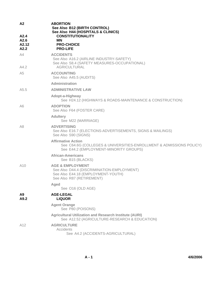| A2<br>A2.4<br>A2.6<br>A2.12<br>A2.2 | <b>ABORTION</b><br>See Also B12 (BIRTH CONTROL)<br>See Also H44 (HOSPITALS & CLINICS)<br><b>CONSTITUTIONALITY</b><br><b>MN</b><br><b>PRO-CHOICE</b><br><b>PRO-LIFE</b> |
|-------------------------------------|------------------------------------------------------------------------------------------------------------------------------------------------------------------------|
| A4<br>A4.2                          | <b>ACCIDENTS</b><br>See Also A16.2 (AIRLINE INDUSTRY-SAFETY)<br>See Also S8.4 (SAFETY MEASURES-OCCUPATIONAL)<br><b>AGRICULTURAL</b>                                    |
| A5                                  | <b>ACCOUNTING</b><br>See Also A45.5 (AUDITS)                                                                                                                           |
|                                     | Administration                                                                                                                                                         |
| A5.5                                | <b>ADMINISTRATIVE LAW</b>                                                                                                                                              |
|                                     | Adopt-a-Highway<br>See H24.12 (HIGHWAYS & ROADS-MAINTENANCE & CONSTRUCTION)                                                                                            |
| A6                                  | <b>ADOPTION</b><br>See Also F64 (FOSTER CARE)                                                                                                                          |
|                                     | <b>Adultery</b><br>See M22 (MARRIAGE)                                                                                                                                  |
| A8                                  | <b>ADVERTISING</b><br>See Also E16.7 (ELECTIONS-ADVERTISEMENTS, SIGNS & MAILINGS)<br>See Also S90 (SIGNS)                                                              |
|                                     | <b>Affirmative Action</b><br>See C64.6G (COLLEGES & UNIVERSITIES-ENROLLMENT & ADMISSIONS POLICY)<br>See E44.2 (EMPLOYMENT-MINORITY GROUPS)                             |
|                                     | African-Americans<br>See B15 (BLACKS)                                                                                                                                  |
| A10                                 | <b>AGE &amp; EMPLOYMENT</b><br>See Also D44.4 (DISCRIMINATION-EMPLOYMENT)<br>See Also E44.18 (EMPLOYMENT-YOUTH)<br>See Also R87 (RETIREMENT)                           |
|                                     | Aged<br>See O16 (OLD AGE)                                                                                                                                              |
| Α9<br>A9.2                          | <b>AGE-LEGAL</b><br><b>LIQUOR</b>                                                                                                                                      |
|                                     | <b>Agent Orange</b><br>See P80 (POISONS)                                                                                                                               |
|                                     | <b>Agricultural Utilization and Research Institute (AURI)</b><br>See A12.52 (AGRICULTURE-RESEARCH & EDUCATION)                                                         |
| A12                                 | <b>AGRICULTURE</b><br>Accidents<br>See A4.2 (ACCIDENTS-AGRICULTURAL)                                                                                                   |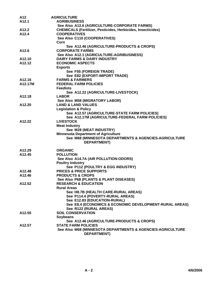| A12                | <b>AGRICULTURE</b>                                                  |
|--------------------|---------------------------------------------------------------------|
| A <sub>12.1</sub>  | <b>AGRIBUSINESS</b>                                                 |
|                    | See Also A12.6 (AGRICULTURE-CORPORATE FARMS)                        |
| A12.2              | <b>CHEMICALS (Fertilizer, Pesticides, Herbicides, Insecticides)</b> |
| A <sub>12.4</sub>  | <b>COOPERATIVES</b>                                                 |
|                    | See Also C110 (COOPERATIVES)                                        |
|                    | Corn                                                                |
|                    | See A12.46 (AGRICULTURE-PRODUCTS & CROPS)                           |
| A <sub>12.6</sub>  | <b>CORPORATE FARMS</b>                                              |
|                    | See Also A12.1 (AGRICULTURE-AGRIBUSINESS)                           |
| A <sub>12.10</sub> | <b>DAIRY FARMS &amp; DAIRY INDUSTRY</b>                             |
| A <sub>12.12</sub> | <b>ECONOMIC ASPECTS</b>                                             |
|                    | <b>Exports</b>                                                      |
|                    | See F55 (FOREIGN TRADE)                                             |
|                    | See E82 (EXPORT-IMPORT TRADE)                                       |
| A12.16             | <b>FARMS &amp; FARMERS</b>                                          |
| A12.17M            | <b>FEDERAL FARM POLICIES</b>                                        |
|                    | <b>Feedlots</b>                                                     |
|                    | See A12.22 (AGRICULTURE-LIVESTOCK)                                  |
| A12.18             | <b>LABOR</b>                                                        |
|                    | See Also M58 (MIGRATORY LABOR)                                      |
| A12.20             | <b>LAND &amp; LAND VALUES</b>                                       |
|                    | <b>Legislation &amp; Policy</b>                                     |
|                    | See A12.57 (AGRICULTURE-STATE FARM POLICIES)                        |
|                    | See A12.17M (AGRICULTURE-FEDERAL FARM POLICIES)                     |
| A12.22             | <b>LIVESTOCK</b>                                                    |
|                    | <b>Meat Industry</b>                                                |
|                    | See M28 (MEAT INDUSTRY)                                             |
|                    | <b>Minnesota Department of Agriculture</b>                          |
|                    | See M68 (MINNESOTA DEPARTMENTS & AGENCIES-AGRICULTURE               |
|                    | <b>DEPARTMENT)</b>                                                  |
| A12.29             | <b>ORGANIC</b>                                                      |
| A <sub>12.45</sub> | <b>POLLUTION</b>                                                    |
|                    | See Also A14.7A (AIR POLLUTION-ODORS)                               |
|                    | <b>Poultry Industry</b>                                             |
|                    | See P112 (POULTRY & EGG INDUSTRY)                                   |
| A <sub>12.48</sub> | <b>PRICES &amp; PRICE SUPPORTS</b>                                  |
| A12.46             | <b>PRODUCTS &amp; CROPS</b>                                         |
|                    | See Also P68 (PLANTS & PLANT DISEASES)                              |
| A <sub>12.52</sub> | <b>RESEARCH &amp; EDUCATION</b>                                     |
|                    | <b>Rural Areas</b>                                                  |
|                    | See H8.7B (HEALTH CARE-RURAL AREAS)                                 |
|                    | See P114.4 (POVERTY-RURAL AREAS)                                    |
|                    | See E12.83 (EDUCATION-RURAL)                                        |
|                    | See E8.4 (ECONOMICS & ECONOMIC DEVELOPMENT-RURAL AREAS)             |
|                    | See R122 (RURAL AREAS)                                              |
| A <sub>12.55</sub> | <b>SOIL CONSERVATION</b>                                            |
|                    | <b>Soybeans</b>                                                     |
|                    | See A12.46 (AGRICULTURE-PRODUCTS & CROPS)                           |
| A12.57             | <b>STATE FARM POLICIES</b>                                          |
|                    | See Also M68 (MINNESOTA DEPARTMENTS & AGENCIES-AGRICULTURE          |
|                    | <b>DEPARTMENT)</b>                                                  |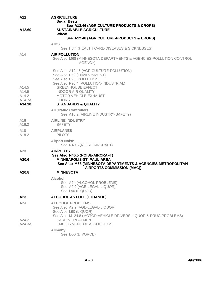| A12                                         | <b>AGRICULTURE</b><br><b>Sugar Beets</b><br>See A12.46 (AGRICULTURE-PRODUCTS & CROPS)                                                                                                                                                                                                 |
|---------------------------------------------|---------------------------------------------------------------------------------------------------------------------------------------------------------------------------------------------------------------------------------------------------------------------------------------|
| A12.60                                      | <b>SUSTAINABLE AGRICULTURE</b><br>Wheat                                                                                                                                                                                                                                               |
|                                             | See A12.46 (AGRICULTURE-PRODUCTS & CROPS)                                                                                                                                                                                                                                             |
|                                             | <b>AIDS</b><br>See H8.4 (HEALTH CARE-DISEASES & SICKNESSES)                                                                                                                                                                                                                           |
| A14                                         | <b>AIR POLLUTION</b><br>See Also M68 (MINNESOTA DEPARTMENTS & AGENCIES-POLLUTION CONTROL<br>AGENCY)                                                                                                                                                                                   |
| A14.5<br>A14.9<br>A14.2<br>A14.7A<br>A14.10 | See Also A12.45 (AGRICULTURE-POLLUTION)<br>See Also E52 (ENVIRONMENT)<br>See Also P90 (POLLUTION)<br>See Also P90.4 (POLLUTION-INDUSTRIAL)<br><b>GREENHOUSE EFFECT</b><br><b>INDOOR AIR QUALITY</b><br><b>MOTOR VEHICLE EXHAUST</b><br><b>ODORS</b><br><b>STANDARDS &amp; QUALITY</b> |
|                                             | <b>Air Traffic Controllers</b><br>See A16.2 (AIRLINE INDUSTRY-SAFETY)                                                                                                                                                                                                                 |
| A <sub>16</sub><br>A16.2                    | <b>AIRLINE INDUSTRY</b><br><b>SAFETY</b>                                                                                                                                                                                                                                              |
| A <sub>18</sub><br>A18.2                    | <b>AIRPLANES</b><br><b>PILOTS</b>                                                                                                                                                                                                                                                     |
|                                             | <b>Airport Noise</b><br>See N40.5 (NOISE-AIRCRAFT)                                                                                                                                                                                                                                    |
| A20                                         | <b>AIRPORTS</b><br>See Also N40.5 (NOISE-AIRCRAFT)                                                                                                                                                                                                                                    |
| A20.6                                       | <b>MINNEAPOLIS-ST. PAUL AREA</b><br>See Also M68 (MINNESOTA DEPARTMENTS & AGENCIES-METROPOLITAN<br><b>AIRPORTS COMMISSION (MAC))</b>                                                                                                                                                  |
| A20.8                                       | <b>MINNESOTA</b>                                                                                                                                                                                                                                                                      |
|                                             | <b>Alcohol</b><br>See A24 (ALCOHOL PROBLEMS)<br>See A9.2 (AGE-LEGAL-LIQUOR)<br>See L90 (LIQUOR)                                                                                                                                                                                       |
| A <sub>23</sub>                             | <b>ALCOHOL AS FUEL (ETHANOL)</b>                                                                                                                                                                                                                                                      |
| A24<br>A24.2<br>A24.3A                      | <b>ALCOHOL PROBLEMS</b><br>See Also A9.2 (AGE-LEGAL-LIQUOR)<br>See Also L90 (LIQUOR)<br>See Also M124.8 (MOTOR VEHICLE DRIVERS-LIQUOR & DRUG PROBLEMS)<br><b>CARE &amp; TREATMENT</b><br><b>EMPLOYMENT OF ALCOHOLICS</b>                                                              |
|                                             | <b>Alimony</b><br>See D50 (DIVORCE)                                                                                                                                                                                                                                                   |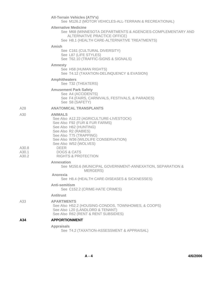|                         | <b>All-Terrain Vehicles (ATV's)</b><br>See M126.2 (MOTOR VEHICLES-ALL-TERRAIN & RECREATIONAL)                                                                                                                    |
|-------------------------|------------------------------------------------------------------------------------------------------------------------------------------------------------------------------------------------------------------|
|                         | <b>Alternative Medicine</b><br>See M68 (MINNESOTA DEPARTMENTS & AGENCIES-COMPLEMENTARY AND<br>ALTERNATIVE PRACTICE OFFICE)<br>See H8.1 (HEALTH CARE-ALTERNATIVE TREATMENTS)                                      |
|                         | Amish<br>See C161 (CULTURAL DIVERSITY)<br>See L87 (LIFE STYLES)<br>See T62.10 (TRAFFIC-SIGNS & SIGNALS)                                                                                                          |
|                         | <b>Amnesty</b><br>See H58 (HUMAN RIGHTS)<br>See T4.12 (TAXATION-DELINQUENCY & EVASION)                                                                                                                           |
|                         | <b>Amphitheaters</b><br>See T32 (THEATERS)                                                                                                                                                                       |
|                         | <b>Amusement Park Safety</b><br>See A4 (ACCIDENTS)<br>See F4 (FAIRS, CARNIVALS, FESTIVALS, & PARADES)<br>See S8 (SAFETY)                                                                                         |
| A28                     | <b>ANATOMICAL TRANSPLANTS</b>                                                                                                                                                                                    |
| A30                     | <b>ANIMALS</b><br>See Also A12.22 (AGRICULTURE-LIVESTOCK)<br>See Also F92 (FUR & FUR FARMS)<br>See Also H62 (HUNTING)<br>See Also R2 (RABIES)<br>See Also T75 (TRAPPING)<br>See Also W36 (WILDLIFE CONSERVATION) |
| A30.8<br>A30.1<br>A30.2 | See Also W52 (WOLVES)<br><b>DEER</b><br><b>DOGS &amp; CATS</b><br><b>RIGHTS &amp; PROTECTION</b>                                                                                                                 |
|                         | Annexation<br>See M150.6 (MUNICIPAL GOVERNMENT-ANNEXATION, SEPARATION &<br><b>MERGERS</b> )<br>Anorexia                                                                                                          |
|                         | See H8.4 (HEALTH CARE-DISEASES & SICKNESSES)<br><b>Anti-semitism</b><br>See C152.2 (CRIME-HATE CRIMES)                                                                                                           |
|                         | <b>Antitrust</b>                                                                                                                                                                                                 |
| A33                     | <b>APARTMENTS</b><br>See Also H52.2 (HOUSING-CONDOS, TOWNHOMES, & COOPS)<br>See Also L20 (LANDLORD & TENANT)<br>See Also R62 (RENT & RENT SUBSIDIES)                                                             |
| A34                     | <b>APPORTIONMENT</b>                                                                                                                                                                                             |
|                         | <b>Appraisals</b><br>See T4.2 (TAXATION-ASSESSMENT & APPRAISAL)                                                                                                                                                  |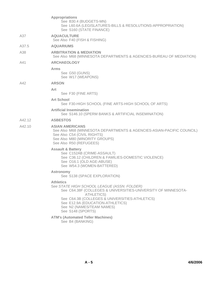|        | <b>Appropriations</b><br>See B30.4 (BUDGETS-MN)<br>See L60.6A (LEGISLATURES-BILLS & RESOLUTIONS-APPROPRIATION)<br>See S160 (STATE FINANCE)                                                                                                                                                    |
|--------|-----------------------------------------------------------------------------------------------------------------------------------------------------------------------------------------------------------------------------------------------------------------------------------------------|
| A37    | <b>AQUACULTURE</b><br>See Also F40 (FISH & FISHING)                                                                                                                                                                                                                                           |
| A37.5  | <b>AQUARIUMS</b>                                                                                                                                                                                                                                                                              |
| A38    | <b>ARBITRATION &amp; MEDIATION</b><br>See Also M68 (MINNESOTA DEPARTMENTS & AGENCIES-BUREAU OF MEDIATION)                                                                                                                                                                                     |
| A41    | <b>ARCHAEOLOGY</b>                                                                                                                                                                                                                                                                            |
|        | Arms<br>See G50 (GUNS)<br>See W17 (WEAPONS)                                                                                                                                                                                                                                                   |
| A42    | <b>ARSON</b>                                                                                                                                                                                                                                                                                  |
|        | Art<br>See F30 (FINE ARTS)                                                                                                                                                                                                                                                                    |
|        | <b>Art School</b><br>See F30-HIGH SCHOOL (FINE ARTS-HIGH SCHOOL OF ARTS)                                                                                                                                                                                                                      |
|        | <b>Artificial Insemination</b><br>See S146.10 (SPERM BANKS & ARTIFICIAL INSEMINATION)                                                                                                                                                                                                         |
| A42.12 | <b>ASBESTOS</b>                                                                                                                                                                                                                                                                               |
| A42.10 | <b>ASIAN AMERICANS</b><br>See Also M68 (MINNESOTA DEPARTMENTS & AGENCIES-ASIAN-PACIFIC COUNCIL)<br>See Also C54 (CIVIL RIGHTS)<br>See Also M80 (MINORITY GROUPS)<br>See Also R50 (REFUGEES)                                                                                                   |
|        | <b>Assault &amp; Battery</b><br>See C152AB (CRIME-ASSAULT)<br>See C36.12 (CHILDREN & FAMILIES-DOMESTIC VIOLENCE)<br>See O16.1 (OLD AGE-ABUSE)<br>See W54.3 (WOMEN-BATTERED)                                                                                                                   |
|        | <b>Astronomy</b><br>See S138 (SPACE EXPLORATION)                                                                                                                                                                                                                                              |
|        | <b>Athletics</b><br>See STATE HIGH SCHOOL LEAGUE (ASSN. FOLDER)<br>See C64.38F (COLLEGES & UNIVERSITIES-UNIVERSITY OF MINNESOTA-<br><b>ATHLETICS)</b><br>See C64.3B (COLLEGES & UNIVERSITIES-ATHLETICS)<br>See E12.9A (EDUCATION-ATHLETICS)<br>See N2 (NAMES/TEAM NAMES)<br>See S148 (SPORTS) |
|        | <b>ATM's (Automated Teller Machines)</b><br>See B4 (BANKING)                                                                                                                                                                                                                                  |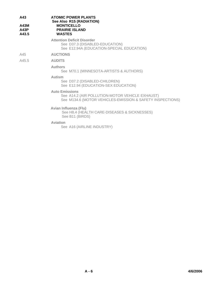| A43<br>A43M<br>A43P<br>A43.5 | <b>ATOMIC POWER PLANTS</b><br>See Also R15 (RADIATION)<br><b>MONTICELLO</b><br><b>PRAIRIE ISLAND</b><br><b>WASTES</b>                 |
|------------------------------|---------------------------------------------------------------------------------------------------------------------------------------|
|                              | <b>Attention Deficit Disorder</b><br>See D37.3 (DISABLED-EDUCATION)<br>See E12.94A (EDUCATION-SPECIAL EDUCATION)                      |
| A45                          | <b>AUCTIONS</b>                                                                                                                       |
| A45.5                        | <b>AUDITS</b>                                                                                                                         |
|                              | <b>Authors</b><br>See M70.1 (MINNESOTA-ARTISTS & AUTHORS)                                                                             |
|                              | Autism<br>See D37.2 (DISABLED-CHILDREN)<br>See E12.94 (EDUCATION-SEX EDUCATION)                                                       |
|                              | <b>Auto Emissions</b><br>See A14.2 (AIR POLLUTION-MOTOR VEHICLE EXHAUST)<br>See M134.6 (MOTOR VEHICLES-EMISSION & SAFETY INSPECTIONS) |
|                              | Avian Influenza (Flu)<br>See H8.4 (HEALTH CARE-DISEASES & SICKNESSES)<br>See B11 (BIRDS)                                              |
|                              | <b>Aviation</b>                                                                                                                       |

See A16 (AIRLINE INDUSTRY)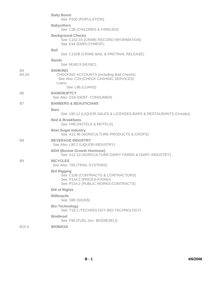|                   | <b>Baby Boom</b><br>See P100 (POPULATION)                                                                                     |
|-------------------|-------------------------------------------------------------------------------------------------------------------------------|
|                   | <b>Babysitters</b><br>See C36 (CHILDREN & FAMILIES)                                                                           |
|                   | <b>Background Checks</b><br>See C152.15 (CRIME-RECORD INFORMATION)<br>See E44 (EMPLOYMENT)                                    |
|                   | <b>Bail</b><br>See C152B (CRIME-BAIL & PRETRIAL RELEASE)                                                                      |
|                   | <b>Bands</b><br>See M160.9 (MUSIC)                                                                                            |
| Β4<br>B4.2A       | <b>BANKING</b><br><b>CHECKING ACCOUNTS (Including Bad Checks)</b><br>See Also C29 (CHECK CASHING SERVICES)<br>Loans           |
| B6                | See L96 (LOANS)<br><b>BANKRUPTCY</b>                                                                                          |
|                   | See Also D19 (DEBT- CONSUMER)                                                                                                 |
| B7                | <b>BARBERS &amp; BEAUTICIANS</b>                                                                                              |
|                   | <b>Bars</b><br>See L90.12 (LIQUOR-SALES & LICENSES-BARS & RESTAURANTS (Onsale))                                               |
|                   | <b>Bed &amp; Breakfasts</b><br>See H46 (HOTELS & MOTELS)                                                                      |
|                   | <b>Beet Sugar Industry</b><br>See A12.46 (AGRICULTURE-PRODUCTS & CROPS)                                                       |
| B <sub>8</sub>    | <b>BEVERAGE INDUSTRY</b><br>See Also L90.2 (LIQUOR-INDUSTRY)                                                                  |
|                   | <b>BGH (Bovine Growth Hormone)</b><br>See A12.10 (AGRICULTURE-DAIRY FARMS & DAIRY INDUSTRY)                                   |
| B <sub>9</sub>    | <b>BICYCLES</b><br>See Also T65 (TRAIL SYSTEMS)                                                                               |
|                   | <b>Bid Rigging</b><br>See C106 (CONTRACTS & CONTRACTORS)<br>See P144.2 (PRICES-FIXING)<br>See P214.2 (PUBLIC WORKS-CONTRACTS) |
|                   | <b>Bill of Rights</b>                                                                                                         |
|                   | <b>Billboards</b><br>See S90 (SIGNS)                                                                                          |
|                   | <b>Bio Technology</b><br>See T18.1 (TECHNOLOGY-BIO-TECHNOLOGY)                                                                |
|                   | <b>Biodiesel</b><br>See F90 (FUEL (Inc. BIODIESEL))                                                                           |
| B <sub>10.5</sub> | <b>BIOMASS</b>                                                                                                                |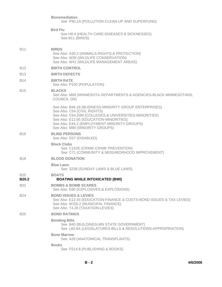|                            | <b>Bioremediation</b><br>See P90.1A (POLLUTION-CLEAN-UP AND SUPERFUND)                                                                                                                                                                                                   |
|----------------------------|--------------------------------------------------------------------------------------------------------------------------------------------------------------------------------------------------------------------------------------------------------------------------|
|                            | <b>Bird Flu</b><br>See H8.4 (HEALTH CARE-DISEASES & SICKNESSES)<br>See B11 (BIRDS)                                                                                                                                                                                       |
| <b>B11</b>                 | <b>BIRDS</b><br>See Also A30.2 (ANIMALS-RIGHTS & PROTECTION)<br>See Also W36 (WILDLIFE CONSERVATION)<br>See Also W41 (WILDLIFE MANAGEMENT AREAS)                                                                                                                         |
| <b>B12</b>                 | <b>BIRTH CONTROL</b>                                                                                                                                                                                                                                                     |
| <b>B13</b>                 | <b>BIRTH DEFECTS</b>                                                                                                                                                                                                                                                     |
| <b>B14</b>                 | <b>BIRTH RATE</b><br>See Also P100 (POPULATION)                                                                                                                                                                                                                          |
| <b>B15</b>                 | <b>BLACKS</b><br>See Also M68 (MINNESOTA DEPARTMENTS & AGENCIES-BLACK MINNESOTANS,<br><b>COUNCIL ON)</b>                                                                                                                                                                 |
|                            | See Also B46.18 (BUSINESS-MINORITY GROUP ENTERPRISES)<br>See Also C54 (CIVIL RIGHTS)<br>See Also C64.20M (COLLEGES & UNIVERSITIES-MINORITIES)<br>See Also E12.65 (EDUCATION-MINORITIES)<br>See Also E44.2 (EMPLOYMENT-MINORITY GROUPS)<br>See Also M80 (MINORITY GROUPS) |
| <b>B16</b>                 | <b>BLIND PERSONS</b><br>See Also D37 (DISABLED)                                                                                                                                                                                                                          |
|                            | <b>Block Clubs</b><br>See C152E (CRIME-CRIME PREVENTION)<br>See C71 (COMMUNITY & NEIGHBORHOOD IMPROVEMENT)                                                                                                                                                               |
| <b>B18</b>                 | <b>BLOOD DONATION</b>                                                                                                                                                                                                                                                    |
|                            | <b>Blue Laws</b><br>See S236 (SUNDAY LAWS & BLUE LAWS)                                                                                                                                                                                                                   |
| <b>B20</b><br><b>B20.2</b> | <b>BOATS</b><br><b>BOATING WHILE INTOXICATED (BWI)</b>                                                                                                                                                                                                                   |
| <b>B22</b>                 | <b>BOMBS &amp; BOMB SCARES</b><br>See Also E80 (EXPLOSIVES & EXPLOSIONS)                                                                                                                                                                                                 |
| <b>B24</b>                 | <b>BOND ISSUES &amp; LEVIES</b><br>See Also E12.43 (EDUCATION-FINANCE & COSTS-BOND ISSUES & TAX LEVIES)<br>See Also M150.2 (MUNICIPAL FINANCE)<br>See Also T4.26 (TAXATION-LEVIES)                                                                                       |
| <b>B25</b>                 | <b>BOND RATINGS</b>                                                                                                                                                                                                                                                      |
|                            | <b>Bonding Bills</b><br>See B40 (BUILDINGS-MN STATE GOVERNMENT)<br>See L60.6A (LEGISLATURES-BILLS & RESOLUTIONS-APPROPRIATION)                                                                                                                                           |
|                            | <b>Bone Marrow</b><br>See A28 (ANATOMICAL TRANSPLANTS)                                                                                                                                                                                                                   |
|                            | <b>Books</b><br>See P214.8 (PUBLISHING & BOOKS)                                                                                                                                                                                                                          |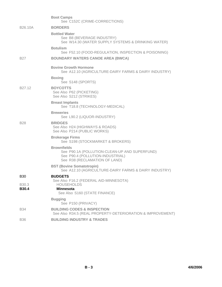|                                   | <b>Boot Camps</b><br>See C152C (CRIME-CORRECTIONS)                                                                                       |
|-----------------------------------|------------------------------------------------------------------------------------------------------------------------------------------|
| B <sub>26.10</sub> A              | <b>BORDERS</b>                                                                                                                           |
|                                   | <b>Bottled Water</b><br>See B8 (BEVERAGE INDUSTRY)<br>See W14.30 (WATER SUPPLY SYSTEMS & DRINKING WATER)                                 |
|                                   | <b>Botulism</b><br>See F52.10 (FOOD-REGULATION, INSPECTION & POISONING)                                                                  |
| <b>B27</b>                        | <b>BOUNDARY WATERS CANOE AREA (BWCA)</b>                                                                                                 |
|                                   | <b>Bovine Growth Hormone</b><br>See A12.10 (AGRICULTURE-DAIRY FARMS & DAIRY INDUSTRY)                                                    |
|                                   | <b>Boxing</b><br>See S148 (SPORTS)                                                                                                       |
| B27.12                            | <b>BOYCOTTS</b><br>See Also P62 (PICKETING)<br>See Also S212 (STRIKES)                                                                   |
|                                   | <b>Breast Implants</b><br>See T18.8 (TECHNOLOGY-MEDICAL)                                                                                 |
|                                   | <b>Breweries</b><br>See L90.2 (LIQUOR-INDUSTRY)                                                                                          |
| <b>B28</b>                        | <b>BRIDGES</b><br>See Also H24 (HIGHWAYS & ROADS)<br>See Also P214 (PUBLIC WORKS)                                                        |
|                                   | <b>Brokerage Firms</b><br>See S198 (STOCKMARKET & BROKERS)                                                                               |
|                                   | <b>Brownfields</b><br>See P90.1A (POLLUTION-CLEAN-UP AND SUPERFUND)<br>See P90.4 (POLLUTION-INDUSTRIAL)<br>See R38 (RECLAMATION OF LAND) |
|                                   | <b>BST (Bovine Somatotropin)</b><br>See A12.10 (AGRICULTURE-DAIRY FARMS & DAIRY INDUSTRY)                                                |
| <b>B30</b>                        | <b>BUDGETS</b><br>See Also F16.2 (FEDERAL AID-MINNESOTA)                                                                                 |
| B <sub>30.3</sub><br><b>B30.4</b> | <b>HOUSEHOLDS</b><br><b>Minnesota</b><br>See Also S160 (STATE FINANCE)                                                                   |
|                                   | <b>Bugging</b><br>See P150 (PRIVACY)                                                                                                     |
| <b>B34</b>                        | <b>BUILDING CODES &amp; INSPECTION</b><br>See Also R34.5 (REAL PROPERTY-DETERIORATION & IMPROVEMENT)                                     |
| <b>B36</b>                        | <b>BUILDING INDUSTRY &amp; TRADES</b>                                                                                                    |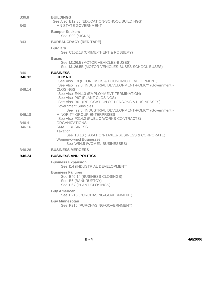| B36.8           | <b>BUILDINGS</b><br>See Also E12.86 (EDUCATION-SCHOOL BUILDINGS)                                                                                  |
|-----------------|---------------------------------------------------------------------------------------------------------------------------------------------------|
| <b>B40</b>      | <b>MN STATE GOVERNMENT</b>                                                                                                                        |
|                 | <b>Bumper Stickers</b><br>See S90 (SIGNS)                                                                                                         |
| <b>B43</b>      | <b>BUREAUCRACY (RED TAPE)</b>                                                                                                                     |
|                 | <b>Burglary</b><br>See C152.18 (CRIME-THEFT & ROBBERY)                                                                                            |
|                 | <b>Buses</b><br>See M126.5 (MOTOR VEHICLES-BUSES)<br>See M126.5B (MOTOR VEHICLES-BUSES-SCHOOL BUSES)                                              |
| <b>B46</b>      | <b>BUSINESS</b>                                                                                                                                   |
| B46.12          | <b>CLIMATE</b><br>See Also E8 (ECONOMICS & ECONOMIC DEVELOPMENT)<br>See Also 122.8 (INDUSTRIAL DEVELOPMENT-POLICY (Government))                   |
| B46.14          | <b>CLOSINGS</b><br>See Also E44.13 (EMPLOYMENT-TERMINATION)<br>See Also P67 (PLANT CLOSINGS)<br>See Also R61 (RELOCATION OF PERSONS & BUSINESSES) |
|                 | <b>Government Subsidies</b>                                                                                                                       |
| B46.18          | See I22.8 (INDUSTRIAL DEVELOPMENT-POLICY (Government))<br><b>MINORITY GROUP ENTERPRISES</b><br>See Also P214.2 (PUBLIC WORKS-CONTRACTS)           |
| B46.4<br>B46.16 | <b>ORGANIZATIONS</b><br><b>SMALL BUSINESS</b><br>Taxation                                                                                         |
|                 | See T8.10 (TAXATION-TAXES-BUSINESS & CORPORATE)<br><b>Women-owned Businesses</b><br>See W54.5 (WOMEN-BUSINESSES)                                  |
| B46.26          | <b>BUSINESS MERGERS</b>                                                                                                                           |
| <b>B46.24</b>   | <b>BUSINESS AND POLITICS</b>                                                                                                                      |
|                 | <b>Business Expansion</b><br>See I14 (INDUSTRIAL DEVELOPMENT)                                                                                     |
|                 | <b>Business Failures</b><br>See B46.14 (BUSINESS-CLOSINGS)<br>See B6 (BANKRUPTCY)<br>See P67 (PLANT CLOSINGS)                                     |
|                 | <b>Buy American</b><br>See P216 (PURCHASING-GOVERNMENT)                                                                                           |
|                 | <b>Buy Minnesotan</b><br>See P216 (PURCHASING-GOVERNMENT)                                                                                         |
|                 |                                                                                                                                                   |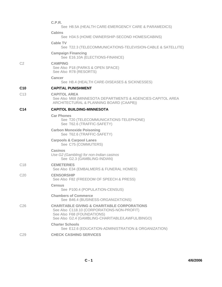|                 | C.P.R.<br>See H8.5A (HEALTH CARE-EMERGENCY CARE & PARAMEDICS)                                                                                                                          |
|-----------------|----------------------------------------------------------------------------------------------------------------------------------------------------------------------------------------|
|                 | Cabins<br>See H34.5 (HOME OWNERSHIP-SECOND HOMES/CABINS)                                                                                                                               |
|                 | <b>Cable TV</b><br>See T22.3 (TELECOMMUNICATIONS-TELEVISION-CABLE & SATELLITE)                                                                                                         |
|                 | <b>Campaign Financing</b><br>See E16.10A (ELECTIONS-FINANCE)                                                                                                                           |
| C <sub>2</sub>  | <b>CAMPING</b><br>See Also P18 (PARKS & OPEN SPACE)<br>See Also R78 (RESORTS)                                                                                                          |
|                 | Cancer<br>See H8.4 (HEALTH CARE-DISEASES & SICKNESSES)                                                                                                                                 |
| C <sub>10</sub> | <b>CAPITAL PUNISHMENT</b>                                                                                                                                                              |
| C <sub>13</sub> | <b>CAPITOL AREA</b><br>See Also M68 (MINNESOTA DEPARTMENTS & AGENCIES-CAPITOL AREA<br>ARCHITECTURAL & PLANNING BOARD (CAAPB))                                                          |
| C <sub>14</sub> | <b>CAPITOL BUILDING-MINNESOTA</b>                                                                                                                                                      |
|                 | <b>Car Phones</b><br>See T20 (TELECOMMUNICATIONS-TELEPHONE)<br>See T62.6 (TRAFFIC-SAFETY)                                                                                              |
|                 | <b>Carbon Monoxide Poisoning</b><br>See T62.6 (TRAFFIC-SAFETY)                                                                                                                         |
|                 | <b>Carpools &amp; Carpool Lanes</b><br>See C75 (COMMUTERS)                                                                                                                             |
|                 | Casinos<br>Use G2 (Gambling) for non-Indian casinos<br>See G2.3 (GAMBLING-INDIAN)                                                                                                      |
| C <sub>18</sub> | <b>CEMETERIES</b><br>See Also E34 (EMBALMERS & FUNERAL HOMES)                                                                                                                          |
| C <sub>20</sub> | <b>CENSORSHIP</b><br>See Also F82 (FREEDOM OF SPEECH & PRESS)                                                                                                                          |
|                 | <b>Census</b><br>See P100.4 (POPULATION-CENSUS)                                                                                                                                        |
|                 | <b>Chambers of Commerce</b><br>See B46.4 (BUSINESS-ORGANIZATIONS)                                                                                                                      |
| C <sub>26</sub> | <b>CHARITABLE GIVING &amp; CHARITABLE CORPORATIONS</b><br>See Also C118.10 (CORPORATIONS-NON-PROFIT)<br>See Also F68 (FOUNDATIONS)<br>See Also G2.4 (GAMBLING-CHARITABLE/LAWFUL/BINGO) |
|                 | <b>Charter Schools</b><br>See E12.6 (EDUCATION-ADMINISTRATION & ORGANIZATION)                                                                                                          |
| C <sub>29</sub> | <b>CHECK CASHING SERVICES</b>                                                                                                                                                          |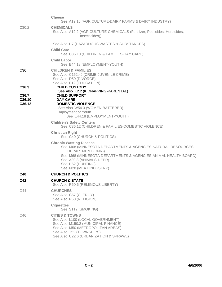|                                       | <b>Cheese</b><br>See A12.10 (AGRICULTURE-DAIRY FARMS & DAIRY INDUSTRY)                                                                                                                                                                                           |
|---------------------------------------|------------------------------------------------------------------------------------------------------------------------------------------------------------------------------------------------------------------------------------------------------------------|
| C <sub>30.2</sub>                     | <b>CHEMICALS</b><br>See Also A12.2 (AGRICULTURE-CHEMICALS (Fertilizer, Pesticides, Herbicides,<br>Insecticides))                                                                                                                                                 |
|                                       | See Also H7 (HAZARDOUS WASTES & SUBSTANCES)                                                                                                                                                                                                                      |
|                                       | <b>Child Care</b><br>See C36.10 (CHILDREN & FAMILIES-DAY CARE)                                                                                                                                                                                                   |
|                                       | <b>Child Labor</b><br>See E44.18 (EMPLOYMENT-YOUTH)                                                                                                                                                                                                              |
| C <sub>36</sub>                       | <b>CHILDREN &amp; FAMILIES</b><br>See Also C152.4J (CRIME-JUVENILE CRIME)<br>See Also D50 (DIVORCE)<br>See Also E12 (EDUCATION)                                                                                                                                  |
| C <sub>36.3</sub>                     | <b>CHILD CUSTODY</b><br>See Also K2.2 (KIDNAPPING-PARENTAL)                                                                                                                                                                                                      |
| C <sub>36.7</sub><br>C36.10<br>C36.12 | <b>CHILD SUPPORT</b><br><b>DAY CARE</b><br><b>DOMESTIC VIOLENCE</b><br>See Also W54.3 (WOMEN-BATTERED)<br><b>Employment of Youth</b><br>See E44.18 (EMPLOYMENT-YOUTH)                                                                                            |
|                                       | <b>Children's Safety Centers</b><br>See C36.12 (CHILDREN & FAMILIES-DOMESTIC VIOLENCE)                                                                                                                                                                           |
|                                       | <b>Christian Right</b><br>See C40 (CHURCH & POLITICS)                                                                                                                                                                                                            |
|                                       | <b>Chronic Wasting Disease</b><br>See M68 (MINNESOTA DEPARTMENTS & AGENCIES-NATURAL RESOURCES<br>DEPARTMENT (DNR))<br>See M68 (MINNESOTA DEPARTMENTS & AGENCIES-ANIMAL HEALTH BOARD)<br>See A30.8 (ANIMALS-DEER)<br>See H62 (HUNTING)<br>See M28 (MEAT INDUSTRY) |
| C40                                   | <b>CHURCH &amp; POLITICS</b>                                                                                                                                                                                                                                     |
| C42                                   | <b>CHURCH &amp; STATE</b><br>See Also R60.6 (RELIGIOUS LIBERTY)                                                                                                                                                                                                  |
| C44                                   | <b>CHURCHES</b><br>See Also C57 (CLERGY)<br>See Also R60 (RELIGION)                                                                                                                                                                                              |
|                                       | <b>Cigarettes</b><br>See S112 (SMOKING)                                                                                                                                                                                                                          |
| C46                                   | <b>CITIES &amp; TOWNS</b><br>See Also L100 (LOCAL GOVERNMENT)<br>See Also M150.2 (MUNICIPAL FINANCE)<br>See Also M50 (METROPOLITAN AREAS)<br>See Also T52 (TOWNSHIPS)<br>See Also U22.6 (URBANIZATION & SPRAWL)                                                  |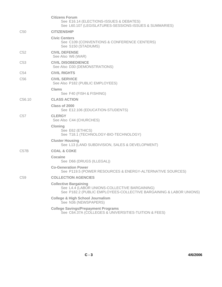|                    | <b>Citizens Forum</b><br>See E16.14 (ELECTIONS-ISSUES & DEBATES)<br>See L60.107 (LEGISLATURES-SESSIONS-ISSUES & SUMMARIES)                          |
|--------------------|-----------------------------------------------------------------------------------------------------------------------------------------------------|
| C <sub>50</sub>    | <b>CITIZENSHIP</b>                                                                                                                                  |
|                    | <b>Civic Centers</b><br>See C109 (CONVENTIONS & CONFERENCE CENTERS)<br>See S150 (STADIUMS)                                                          |
| C <sub>52</sub>    | <b>CIVIL DEFENSE</b><br>See Also W6 (WAR)                                                                                                           |
| C <sub>53</sub>    | <b>CIVIL DISOBEDIENCE</b><br>See Also D30 (DEMONSTRATIONS)                                                                                          |
| C <sub>54</sub>    | <b>CIVIL RIGHTS</b>                                                                                                                                 |
| C <sub>56</sub>    | <b>CIVIL SERVICE</b><br>See Also P182 (PUBLIC EMPLOYEES)                                                                                            |
|                    | Clams<br>See F40 (FISH & FISHING)                                                                                                                   |
| C <sub>56.10</sub> | <b>CLASS ACTION</b>                                                                                                                                 |
|                    | Class of 2000<br>See E12.106 (EDUCATION-STUDENTS)                                                                                                   |
| C <sub>57</sub>    | <b>CLERGY</b><br>See Also C44 (CHURCHES)                                                                                                            |
|                    | <b>Cloning</b><br>See E62 (ETHICS)<br>See T18.1 (TECHNOLOGY-BIO-TECHNOLOGY)                                                                         |
|                    | <b>Cluster Housing</b><br>See L13 (LAND SUBDIVISION, SALES & DEVELOPMENT)                                                                           |
| C57B               | <b>COAL &amp; COKE</b>                                                                                                                              |
|                    | Cocaine<br>See D66 (DRUGS (ILLEGAL))                                                                                                                |
|                    | <b>Co-Generation Power</b><br>See P119.5 (POWER RESOURCES & ENERGY-ALTERNATIVE SOURCES)                                                             |
| C <sub>59</sub>    | <b>COLLECTION AGENCIES</b>                                                                                                                          |
|                    | <b>Collective Bargaining</b><br>See L4.4 (LABOR UNIONS-COLLECTIVE BARGAINING)<br>See P182.2 (PUBLIC EMPLOYEES-COLLECTIVE BARGAINING & LABOR UNIONS) |
|                    | <b>College &amp; High School Journalism</b><br>See N36 (NEWSPAPERS)                                                                                 |
|                    | <b>College Savings/Prepayment Programs</b><br>See C64.37A (COLLEGES & UNIVERSITIES-TUITION & FEES)                                                  |
|                    |                                                                                                                                                     |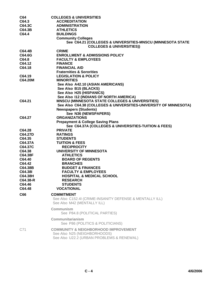| C64            | <b>COLLEGES &amp; UNIVERSITIES</b>                                |
|----------------|-------------------------------------------------------------------|
| C64.3          | <b>ACCREDITATION</b>                                              |
| C64.3C         | <b>ADMINISTRATION</b>                                             |
| C64.3B         | <b>ATHLETICS</b>                                                  |
| C64.4          | <b>BUILDINGS</b>                                                  |
|                | <b>Community Colleges</b>                                         |
|                | See C64.21 (COLLEGES & UNIVERSITIES-MNSCU (MINNESOTA STATE        |
|                | <b>COLLEGES &amp; UNIVERSITIES))</b>                              |
| C64.4B         | <b>CRIME</b>                                                      |
| C64.6G         | <b>ENROLLMENT &amp; ADMISSIONS POLICY</b>                         |
| C64.8          | <b>FACULTY &amp; EMPLOYEES</b>                                    |
| C64.12         | <b>FINANCE</b>                                                    |
| C64.18         | <b>FINANCIAL AID</b>                                              |
|                | <b>Fraternities &amp; Sororities</b>                              |
| C64.19         | <b>LEGISLATION &amp; POLICY</b>                                   |
| C64.20M        | <b>MINORITIES</b>                                                 |
|                | See Also A42.10 (ASIAN AMERICANS)                                 |
|                | See Also B15 (BLACKS)                                             |
|                |                                                                   |
|                | See Also H25 (HISPANICS)                                          |
|                | See Also 112 (INDIANS OF NORTH AMERICA)                           |
| C64.21         | <b>MNSCU (MINNESOTA STATE COLLEGES &amp; UNIVERSITIES)</b>        |
|                | See Also C64.38 (COLLEGES & UNIVERSITIES-UNIVERSITY OF MINNESOTA) |
|                | <b>Newspapers (Students)</b>                                      |
|                | See N36 (NEWSPAPERS)                                              |
| C64.27         | <b>ORGANIZATIONS</b>                                              |
|                | <b>Prepayment &amp; College Saving Plans</b>                      |
|                | See C64.37A (COLLEGES & UNIVERSITIES-TUITION & FEES)              |
| C64.28         | <b>PRIVATE</b>                                                    |
| <b>C64.27D</b> | <b>RATINGS</b>                                                    |
| C64.35         | <b>STUDENTS</b>                                                   |
| C64.37A        | <b>TUITION &amp; FEES</b>                                         |
| C64.37C        | <b>RECIPROCITY</b>                                                |
| C64.38         | UNIVERSITY OF MINNESOTA                                           |
| C64.38F        | <b>ATHLETICS</b>                                                  |
| C64.40         | <b>BOARD OF REGENTS</b>                                           |
| C64.42         | <b>BRANCHES</b>                                                   |
| C64.38B        | <b>BUDGET &amp; FINANCES</b>                                      |
| C64.38I        | <b>FACULTY &amp; EMPLOYEES</b>                                    |
| C64.38H        | <b>HOSPITAL &amp; MEDICAL SCHOOL</b>                              |
| C64.38-R       | <b>RESEARCH</b>                                                   |
| C64.46         | <b>STUDENTS</b>                                                   |
| C64.48         | <b>VOCATIONAL</b>                                                 |
|                |                                                                   |
| C66            | <b>COMMITMENT</b>                                                 |
|                | See Also C152.4I (CRIME-INSANITY DEFENSE & MENTALLY ILL)          |
|                | See Also M42 (MENTALLY ILL)                                       |
|                | Communism                                                         |
|                | See P84.8 (POLITICAL PARTIES)                                     |
|                |                                                                   |
|                | Communitarianism                                                  |
|                | See P86 (POLITICS & POLITICIANS)                                  |
| C71            | <b>COMMUNITY &amp; NEIGHBORHOOD IMPROVEMENT</b>                   |
|                | See Also N25 (NEIGHBORHOODS)                                      |
|                | See Also U22.2 (URBAN PROBLEMS & RENEWAL)                         |
|                |                                                                   |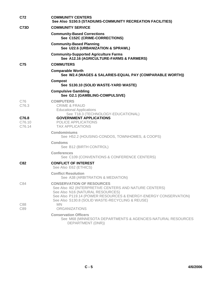| C72                       | <b>COMMUNITY CENTERS</b><br>See Also S150.5 (STADIUMS-COMMUNITY RECREATION FACILITIES)                                                                                                                                                               |
|---------------------------|------------------------------------------------------------------------------------------------------------------------------------------------------------------------------------------------------------------------------------------------------|
| C73D                      | <b>COMMUNITY SERVICE</b>                                                                                                                                                                                                                             |
|                           | <b>Community-Based Corrections</b><br>See C152C (CRIME-CORRECTIONS)                                                                                                                                                                                  |
|                           | <b>Community-Based Planning</b><br>See U22.6 (URBANIZATION & SPRAWL)                                                                                                                                                                                 |
|                           | <b>Community-Supported Agriculture Farms</b><br>See A12.16 (AGRICULTURE-FARMS & FARMERS)                                                                                                                                                             |
| C75                       | <b>COMMUTERS</b>                                                                                                                                                                                                                                     |
|                           | <b>Comparable Worth</b><br>See W2.4 (WAGES & SALARIES-EQUAL PAY (COMPARABLE WORTH))                                                                                                                                                                  |
|                           | <b>Compost</b><br>See S130.10 (SOLID WASTE-YARD WASTE)                                                                                                                                                                                               |
|                           | <b>Compulsive Gambling</b><br>See G2.1 (GAMBLING-COMPULSIVE)                                                                                                                                                                                         |
| C76<br>C76.3              | <b>COMPUTERS</b><br><b>CRIME &amp; FRAUD</b><br><b>Educational Applications</b>                                                                                                                                                                      |
| C76.8<br>C76.10<br>C76.14 | See T18.3 (TECHNOLOGY-EDUCATIONAL)<br><b>GOVERNMENT APPLICATIONS</b><br>POLICE APPLICATIONS<br><b>TAX APPLICATIONS</b>                                                                                                                               |
|                           | <b>Condominiums</b><br>See H52.2 (HOUSING-CONDOS, TOWNHOMES, & COOPS)                                                                                                                                                                                |
|                           | <b>Condoms</b><br>See B12 (BIRTH CONTROL)                                                                                                                                                                                                            |
|                           | <b>Conferences</b><br>See C109 (CONVENTIONS & CONFERENCE CENTERS)                                                                                                                                                                                    |
| C82                       | <b>CONFLICT OF INTEREST</b><br>See Also E62 (ETHICS)                                                                                                                                                                                                 |
|                           | <b>Conflict Resolution</b><br>See A38 (ARBITRATION & MEDIATION)                                                                                                                                                                                      |
| C84                       | <b>CONSERVATION OF RESOURCES</b><br>See Also 162 (INTERPRETIVE CENTERS AND NATURE CENTERS)<br>See Also N16 (NATURAL RESOURCES)<br>See Also P119.14 (POWER RESOURCES & ENERGY-ENERGY CONSERVATION)<br>See Also S130.8 (SOLID WASTE-RECYCLING & REUSE) |
| C88<br>C89                | MN.<br><b>ORGANIZATIONS</b>                                                                                                                                                                                                                          |
|                           | <b>Conservation Officers</b><br>See M68 (MINNESOTA DEPARTMENTS & AGENCIES-NATURAL RESOURCES<br>DEPARTMENT (DNR))                                                                                                                                     |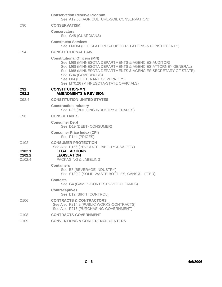|                                          | <b>Conservation Reserve Program</b><br>See A12.55 (AGRICULTURE-SOIL CONSERVATION)                                                                                                                                                                                                                                            |
|------------------------------------------|------------------------------------------------------------------------------------------------------------------------------------------------------------------------------------------------------------------------------------------------------------------------------------------------------------------------------|
| C <sub>90</sub>                          | <b>CONSERVATISM</b>                                                                                                                                                                                                                                                                                                          |
|                                          | <b>Conservators</b><br>See G48 (GUARDIANS)                                                                                                                                                                                                                                                                                   |
|                                          | <b>Constituent Services</b><br>See L60.84 (LEGISLATURES-PUBLIC RELATIONS & CONSTITUENTS)                                                                                                                                                                                                                                     |
| C <sub>94</sub>                          | <b>CONSTITUTIONAL LAW</b>                                                                                                                                                                                                                                                                                                    |
|                                          | <b>Constitutional Officers (MN)</b><br>See M68 (MINNESOTA DEPARTMENTS & AGENCIES-AUDITOR)<br>See M68 (MINNESOTA DEPARTMENTS & AGENCIES-ATTORNEY GENERAL)<br>See M68 (MINNESOTA DEPARTMENTS & AGENCIES-SECRETARY OF STATE)<br>See G34 (GOVERNORS)<br>See L84 (LIEUTENANT GOVERNORS)<br>See M70.26 (MINNESOTA-STATE OFFICIALS) |
| C92<br>C92.2                             | <b>CONSTITUTION-MN</b><br><b>AMENDMENTS &amp; REVISION</b>                                                                                                                                                                                                                                                                   |
| C92.4                                    | <b>CONSTITUTION-UNITED STATES</b>                                                                                                                                                                                                                                                                                            |
|                                          | <b>Construction Industry</b><br>See B36 (BUILDING INDUSTRY & TRADES)                                                                                                                                                                                                                                                         |
| C <sub>96</sub>                          | <b>CONSULTANTS</b>                                                                                                                                                                                                                                                                                                           |
|                                          | <b>Consumer Debt</b><br>See D19 (DEBT- CONSUMER)                                                                                                                                                                                                                                                                             |
|                                          | <b>Consumer Price Index (CPI)</b><br>See P144 (PRICES)                                                                                                                                                                                                                                                                       |
| C <sub>102</sub>                         | <b>CONSUMER PROTECTION</b>                                                                                                                                                                                                                                                                                                   |
| C <sub>102.1</sub>                       | See Also P156 (PRODUCT LIABILITY & SAFETY)<br><b>LEGAL ACTIONS</b>                                                                                                                                                                                                                                                           |
| C <sub>102.2</sub><br>C <sub>102.4</sub> | <b>LEGISLATION</b><br><b>PACKAGING &amp; LABELING</b>                                                                                                                                                                                                                                                                        |
|                                          | <b>Containers</b>                                                                                                                                                                                                                                                                                                            |
|                                          | See B8 (BEVERAGE INDUSTRY)<br>See S130.2 (SOLID WASTE-BOTTLES, CANS & LITTER)                                                                                                                                                                                                                                                |
|                                          | <b>Contests</b><br>See G4 (GAMES-CONTESTS-VIDEO GAMES)                                                                                                                                                                                                                                                                       |
|                                          | <b>Contraceptives</b><br>See B12 (BIRTH CONTROL)                                                                                                                                                                                                                                                                             |
| C <sub>106</sub>                         | <b>CONTRACTS &amp; CONTRACTORS</b><br>See Also P214.2 (PUBLIC WORKS-CONTRACTS)<br>See Also P216 (PURCHASING-GOVERNMENT)                                                                                                                                                                                                      |
| C <sub>108</sub>                         | <b>CONTRACTS-GOVERNMENT</b>                                                                                                                                                                                                                                                                                                  |
| C <sub>109</sub>                         | <b>CONVENTIONS &amp; CONFERENCE CENTERS</b>                                                                                                                                                                                                                                                                                  |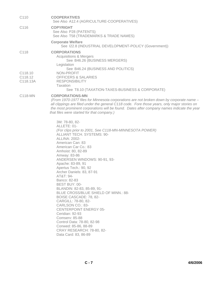| C <sub>110</sub>               | <b>COOPERATIVES</b><br>See Also A12.4 (AGRICULTURE-COOPERATIVES)                                                                                                                                                                                                                                                                                                                                                                                                                                                                                                                                                                                                                                                                          |
|--------------------------------|-------------------------------------------------------------------------------------------------------------------------------------------------------------------------------------------------------------------------------------------------------------------------------------------------------------------------------------------------------------------------------------------------------------------------------------------------------------------------------------------------------------------------------------------------------------------------------------------------------------------------------------------------------------------------------------------------------------------------------------------|
| C <sub>116</sub>               | <b>COPYRIGHT</b><br>See Also P28 (PATENTS)<br>See Also T58 (TRADEMARKS & TRADE NAMES)                                                                                                                                                                                                                                                                                                                                                                                                                                                                                                                                                                                                                                                     |
|                                | <b>Corporate Welfare</b><br>See I22.8 (INDUSTRIAL DEVELOPMENT-POLICY (Government))                                                                                                                                                                                                                                                                                                                                                                                                                                                                                                                                                                                                                                                        |
| C <sub>118</sub>               | <b>CORPORATIONS</b><br><b>Acquisitions &amp; Mergers</b><br>See B46.26 (BUSINESS MERGERS)<br>Legislation                                                                                                                                                                                                                                                                                                                                                                                                                                                                                                                                                                                                                                  |
| C118.10<br>C118.12<br>C118.13A | See B46.24 (BUSINESS AND POLITICS)<br>NON-PROFIT<br><b>OFFICERS &amp; SALARIES</b><br><b>RESPONSIBILITY</b><br>Taxation<br>See T8.10 (TAXATION-TAXES-BUSINESS & CORPORATE)                                                                                                                                                                                                                                                                                                                                                                                                                                                                                                                                                                |
| C118-MN                        | <b>CORPORATIONS-MN</b><br>(From 1970-1977 files for Minnesota corporations are not broken down by corporate name -<br>all clippings are filed under the general C118 code. Fore those years, only major stories on<br>the most prominent corporations will be found. Dates after company names indicate the year<br>that files were started for that company.)                                                                                                                                                                                                                                                                                                                                                                            |
|                                | 3M: 78-80, 82-<br>ALLETE: 01-<br>(For clips prior to 2001, See C118-MN-MINNESOTA POWER)<br>ALLIANT TECH. SYSTEMS: 90-<br><b>ALLINA: 2002-</b><br>American Can: 83<br>American Car Co.: 83<br>Amhoist: 80, 82-89<br>Amway: 83-86<br>ANDERSEN WINDOWS: 90-91, 93-<br>Apache: 83-89, 91<br>Apertus Tech.: 90, 92<br>Archer Daniels: 83, 87-91<br>AT&T: 94-<br>Banco: 82-83<br>BEST BUY: 00-<br>BLANDIN: 82-83, 85-89, 91-<br>BLUE CROSS/BLUE SHIELD OF MINN.: 88-<br><b>BOISE CASCADE: 78, 82-</b><br>CARGILL: 78-80, 82-<br>CARLSON CO.: 83-<br><b>CENTERPOINT ENERGY 05-</b><br>Ceridian: 92-93<br><b>Comserv: 85-88</b><br>Control Data: 78-80, 82-98<br>Conwed: 85-86, 88-89<br><b>CRAY RESEARCH: 78-80, 82-</b><br>Data Card: 83, 86-89 |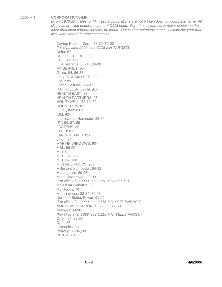### C118-MN **CORPORATIONS-MN**

*(From 1970-1977 files for Minnesota corporations are not broken down by corporate name. All clippings are filed under the general C118 code. Fore those years, only major stories on the most prominent corporations will be found. Dates after company names indicate the year that files were started for that company.)* 

Dayton Hudson Corp.: 78-79, 82-00 *(for clips after 2000, see C118-MN-TARGET)* Delta: 87 DELUXE CORP.: 90- ECOLAB: 83- ETA Systems: 83-84, 88-90 FINGERHUT: 90- Gelco: 84, 86-88 GENERAL MILLS: 79, 82- GMC: 89 Grand Casinos: 96-97 H.B. FULLER: 82-89, 91- HEALTH EAST: 89- HEALTH PARTNERS: 95- HONEYWELL: 78-79, 82- HORMEL: 79, 82- I.C. Systems: 83 IBM: 82- International Harvester: 83-84 ITT: 84, 87, 89 JOSTENS: 88- KOCH: 87- LAND-O-LAKES: 82- Litton: 84 MARVIN WINDOWS: 90- MBL: 89-90 MCI: 92- MEDICA: 91- MEDTRONIC: 80, 82- MICHAEL FOODS: 90- Miller and Schroeder: 84-92 Minnegasco: 89-05 Minnesota Power: 90-00 *(For clips after 2000, see C118-MN-ALLETE)* Molecular Genetics: 88 Multifoods: 79 Munsingwear: 82-84, 86-98 Northern States Power: 91-00 *(For clips after 2000, see C118-MN-XCEL ENERGY)* NORTHWEST AIRLINES: 79, 83-85, 88- Norwest: 83-98 *(For clips after 1998, see C118-MN-WELLS FARGO)* Onan: 84, 92-98 Opm: 83 Osmonics: 83 Peavey: 83-84, 88 PENTAIR: 83-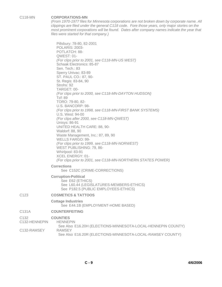### C118-MN **CORPORATIONS-MN**

*(From 1970-1977 files for Minnesota corporations are not broken down by corporate name. All clippings are filed under the general C118 code. Fore those years, only major stories on the most prominent corporations will be found. Dates after company names indicate the year that files were started for that company.)* 

Pillsbury: 78-80, 82-2001 POLARIS: 2003- POTLATCH: 88- QWEST: 01- *(For clips prior to 2001, see C118-MN-US WEST)* Schaak Electronics: 85-87 Sen. Tech.: 83 Sperry Univac: 83-89 ST. PAUL CO.: 87, 90- St. Regis: 83-84, 90 Strohs: 92 TARGET: 00- *(For clips prior to 2000, see C118-MN-DAYTON HUDSON)* Tcf: 89 TORO: 79-80, 82- U.S. BANCORP: 98- *(For clips prior to 1998, see C118-MN-FIRST BANK SYSTEMS)* U.S. West: 94-00 *(For clips after 2000, see C118-MN-QWEST)* Unisys: 86-91 UNITED HEALTH CARE: 88, 90- Waldorf: 88, 90 Waste Management, Inc.: 87, 89, 90 WELLS FARGO: 99- *(For clips prior to 1999, see C118-MN-NORWEST)* WEST PUBLISHING: 79, 86- Whirlpool: 83-91 XCEL ENERGY: 01- *(For clips prior to 2001, see C118-MN-NORTHERN STATES POWER)* **Corrections** See C152C (CRIME-CORRECTIONS)

## **Corruption-Political**

See E62 (ETHICS) See L60.44 (LEGISLATURES-MEMBERS-ETHICS) See P182.5 (PUBLIC EMPLOYEES-ETHICS)

## C123 **COSMETICS & TATTOOS**

**Cottage Industries** See E44.1B (EMPLOYMENT-HOME BASED)

## C131A **COUNTERFEITING**

## C132 **COUNTIES**

C132-HENNEPIN HENNEPIN

See Also E16.20H (ELECTIONS-MINNESOTA-LOCAL-HENNEPIN COUNTY) C132-RAMSEY RAMSEY See Also E16.20R (ELECTIONS-MINNESOTA-LOCAL-RAMSEY COUNTY)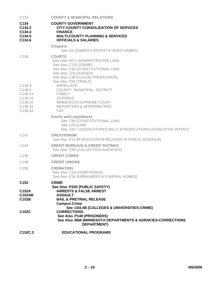| C <sub>133</sub>                                                     | <b>COUNTY &amp; MUNICIPAL RELATIONS</b>                                                                                                                                                                  |
|----------------------------------------------------------------------|----------------------------------------------------------------------------------------------------------------------------------------------------------------------------------------------------------|
| C <sub>134</sub><br>C134.2<br>C134.4<br>C <sub>134.5</sub><br>C134.6 | <b>COUNTY GOVERNMENT</b><br><b>CITY-COUNTY CONSOLIDATION OF SERVICES</b><br><b>FINANCE</b><br><b>MULTI-COUNTY PLANNING &amp; SERVICES</b><br><b>OFFICIALS &amp; SALARIES</b>                             |
|                                                                      | <b>Coupons</b><br>See G4 (GAMES-CONTESTS-VIDEO GAMES)                                                                                                                                                    |
| C <sub>138</sub>                                                     | <b>COURTS</b><br>See Also A5.5 (ADMINISTRATIVE LAW)<br>See Also C152 (CRIME)<br>See Also C94 (CONSTITUTIONAL LAW)<br>See Also J10 (JUDGES)<br>See Also L38.8 (LEGAL PROFESSION)<br>See Also T84 (TRIALS) |
| C138.4                                                               | APPELLATE                                                                                                                                                                                                |
| C138.8<br>C138.14                                                    | COUNTY, MUNICIPAL, DISTRICT<br><b>FAMILY</b>                                                                                                                                                             |
| C138.18                                                              | <b>JUVENILE</b>                                                                                                                                                                                          |
| C138.21<br>C138.32                                                   | MINNESOTA SUPREME COURT<br><b>REPORTERS &amp; INTERPRETERS</b>                                                                                                                                           |
| C138.34                                                              | <b>TAX</b>                                                                                                                                                                                               |
|                                                                      | <b>Courts and Legislatures</b><br>See C94 (CONSTITUTIONAL LAW)<br>See L26 (LAW)<br>See L60.7 (LEGISLATURES-BILLS & RESOLUTIONS-LEGISLATIVE INTENT)                                                       |
| C <sub>141</sub>                                                     | <b>CREATIONISM</b><br>See Also E12.80 (EDUCATION-RELIGION IN PUBLIC SCHOOLS)                                                                                                                             |
| C144                                                                 | <b>CREDIT BUREAUS &amp; CREDIT RATINGS</b><br>See Also C59 (COLLECTION AGENCIES)                                                                                                                         |
| C146                                                                 | <b>CREDIT CARDS</b>                                                                                                                                                                                      |
| C148                                                                 | <b>CREDIT UNIONS</b>                                                                                                                                                                                     |
| C <sub>150</sub>                                                     | <b>CREMATION</b><br>See Also C18 (CEMETERIES)<br>See Also E34 (EMBALMERS & FUNERAL HOMES)                                                                                                                |
| C <sub>152</sub>                                                     | <b>CRIME</b>                                                                                                                                                                                             |
| C152A<br><b>C152AB</b><br>C152B                                      | See Also P205 (PUBLIC SAFETY)<br><b>ARRESTS &amp; FALSE ARREST</b><br><b>ASSAULT</b><br><b>BAIL &amp; PRETRIAL RELEASE</b><br><b>Campus Crime</b>                                                        |
| C152C                                                                | See C64.4B (COLLEGES & UNIVERSITIES-CRIME)<br><b>CORRECTIONS</b><br>See Also P148 (PRISONERS)<br>See Also M68 (MINNESOTA DEPARTMENTS & AGENCIES-CORRECTIONS<br><b>DEPARTMENT)</b>                        |
| C <sub>152</sub> C <sub>.2</sub>                                     | <b>EDUCATIONAL PROGRAMS</b>                                                                                                                                                                              |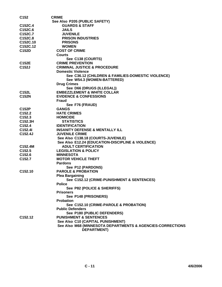| C <sub>152</sub>    | <b>CRIME</b>                                               |
|---------------------|------------------------------------------------------------|
|                     | See Also P205 (PUBLIC SAFETY)                              |
| C152C.4             | <b>GUARDS &amp; STAFF</b>                                  |
| C152C.6             | <b>JAILS</b>                                               |
| C152C.7             | <b>JUVENILE</b>                                            |
| C152C.8             | <b>PRISON INDUSTRIES</b>                                   |
| C152C.10            | <b>PRISONS</b>                                             |
| C152C.12            | <b>WOMEN</b>                                               |
| C152D               | <b>COST OF CRIME</b>                                       |
|                     | <b>Courts</b>                                              |
|                     | See C138 (COURTS)                                          |
| C152E               | <b>CRIME PREVENTION</b>                                    |
| C152J               | <b>CRIMINAL JUSTICE &amp; PROCEDURE</b>                    |
|                     | <b>Domestic Violence</b>                                   |
|                     |                                                            |
|                     | See C36.12 (CHILDREN & FAMILIES-DOMESTIC VIOLENCE)         |
|                     | See W54.3 (WOMEN-BATTERED)                                 |
|                     | <b>Drug Crimes</b>                                         |
|                     | See D66 (DRUGS (ILLEGAL))                                  |
| C152L               | <b>EMBEZZLEMENT &amp; WHITE COLLAR</b>                     |
| <b>C152N</b>        | <b>EVIDENCE &amp; CONFESSIONS</b>                          |
|                     | Fraud                                                      |
|                     | See F76 (FRAUD)                                            |
| C152P               | <b>GANGS</b>                                               |
| C <sub>152.2</sub>  | <b>HATE CRIMES</b>                                         |
| C152.3              | <b>HOMICIDE</b>                                            |
| C152.3H             | <b>STATISTICS</b>                                          |
| C152.4              | <b>IDENTIFICATION</b>                                      |
| C152.4I             | <b>INSANITY DEFENSE &amp; MENTALLY ILL</b>                 |
| C152.4J             | <b>JUVENILE CRIME</b>                                      |
|                     | See Also C138.18 (COURTS-JUVENILE)                         |
|                     | See Also E12.24 (EDUCATION-DISCIPLINE & VIOLENCE)          |
| C152.4M             | <b>ADULT CERTIFICATION</b>                                 |
| C <sub>152.5</sub>  | <b>LEGISLATION &amp; POLICY</b>                            |
| C <sub>152.6</sub>  | <b>MINNESOTA</b>                                           |
| C <sub>152.7</sub>  | <b>MOTOR VEHICLE THEFT</b>                                 |
|                     | <b>Pardons</b>                                             |
|                     | See P12 (PARDONS)                                          |
| C <sub>152.10</sub> | <b>PAROLE &amp; PROBATION</b>                              |
|                     | <b>Plea Bargaining</b>                                     |
|                     | See C152.12 (CRIME-PUNISHMENT & SENTENCES)                 |
|                     | <b>Police</b>                                              |
|                     | See P82 (POLICE & SHERIFFS)                                |
|                     | <b>Prisoners</b>                                           |
|                     | See P148 (PRISONERS)                                       |
|                     | <b>Probation</b>                                           |
|                     | See C152.10 (CRIME-PAROLE & PROBATION)                     |
|                     | <b>Public Defenders</b>                                    |
|                     | See P180 (PUBLIC DEFENDERS)                                |
| C <sub>152.12</sub> | <b>PUNISHMENT &amp; SENTENCES</b>                          |
|                     | See Also C10 (CAPITAL PUNISHMENT)                          |
|                     | See Also M68 (MINNESOTA DEPARTMENTS & AGENCIES-CORRECTIONS |
|                     | <b>DEPARTMENT)</b>                                         |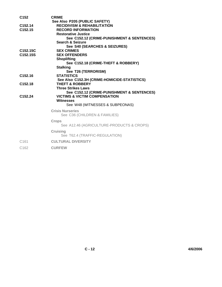| C <sub>152</sub>      | <b>CRIME</b>                                 |
|-----------------------|----------------------------------------------|
|                       | See Also P205 (PUBLIC SAFETY)                |
| C <sub>152.14</sub>   | <b>RECIDIVISM &amp; REHABILITATION</b>       |
| C <sub>152.15</sub>   | <b>RECORD INFORMATION</b>                    |
|                       | <b>Restorative Justice</b>                   |
|                       | See C152.12 (CRIME-PUNISHMENT & SENTENCES)   |
|                       | <b>Search &amp; Seizure</b>                  |
|                       | See S40 (SEARCHES & SEIZURES)                |
| C152.15C              | <b>SEX CRIMES</b>                            |
| C <sub>152.15</sub> S | <b>SEX OFFENDERS</b>                         |
|                       | <b>Shoplifting</b>                           |
|                       | See C152.18 (CRIME-THEFT & ROBBERY)          |
|                       | <b>Stalking</b>                              |
|                       | See T26 (TERRORISM)                          |
| C <sub>152.16</sub>   | <b>STATISTICS</b>                            |
|                       | See Also C152.3H (CRIME-HOMICIDE-STATISTICS) |
| C <sub>152.18</sub>   | <b>THEFT &amp; ROBBERY</b>                   |
|                       | <b>Three Strikes Laws</b>                    |
|                       | See C152.12 (CRIME-PUNISHMENT & SENTENCES)   |
| C <sub>152.24</sub>   | <b>VICTIMS &amp; VICTIM COMPENSATION</b>     |
|                       | <b>Witnesses</b>                             |
|                       | See W48 (WITNESSES & SUBPEONAS)              |
|                       | <b>Crisis Nurseries</b>                      |
|                       | See C36 (CHILDREN & FAMILIES)                |
|                       | <b>Crops</b>                                 |
|                       | See A12.46 (AGRICULTURE-PRODUCTS & CROPS)    |
|                       | <b>Cruising</b>                              |
|                       | See T62.4 (TRAFFIC-REGULATION)               |
| C <sub>161</sub>      | <b>CULTURAL DIVERSITY</b>                    |
| C <sub>162</sub>      | <b>CURFEW</b>                                |
|                       |                                              |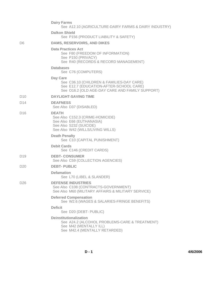|                 | <b>Dairy Farms</b><br>See A12.10 (AGRICULTURE-DAIRY FARMS & DAIRY INDUSTRY)                                                                         |
|-----------------|-----------------------------------------------------------------------------------------------------------------------------------------------------|
|                 | <b>Dalkon Shield</b><br>See P156 (PRODUCT LIABILITY & SAFETY)                                                                                       |
| D <sub>6</sub>  | <b>DAMS, RESERVOIRS, AND DIKES</b>                                                                                                                  |
|                 | <b>Data Practices Act</b><br>See F80 (FREEDOM OF INFORMATION)<br>See P150 (PRIVACY)<br>See R40 (RECORDS & RECORD MANAGEMENT)                        |
|                 | <b>Databases</b><br>See C76 (COMPUTERS)                                                                                                             |
|                 | Day Care<br>See C36.10 (CHILDREN & FAMILIES-DAY CARE)<br>See E12.7 (EDUCATION-AFTER-SCHOOL CARE)<br>See O16.2 (OLD AGE-DAY CARE AND FAMILY SUPPORT) |
| D <sub>10</sub> | <b>DAYLIGHT-SAVING TIME</b>                                                                                                                         |
| D <sub>14</sub> | <b>DEAFNESS</b><br>See Also D37 (DISABLED)                                                                                                          |
| D <sub>16</sub> | <b>DEATH</b><br>See Also C152.3 (CRIME-HOMICIDE)<br>See Also E66 (EUTHANASIA)<br>See Also S232 (SUICIDE)<br>See Also W42 (WILLS/LIVING WILLS)       |
|                 | <b>Death Penalty</b><br>See C10 (CAPITAL PUNISHMENT)                                                                                                |
|                 | <b>Debit Cards</b><br>See C146 (CREDIT CARDS)                                                                                                       |
| D <sub>19</sub> | <b>DEBT- CONSUMER</b><br>See Also C59 (COLLECTION AGENCIES)                                                                                         |
| D <sub>20</sub> | <b>DEBT-PUBLIC</b>                                                                                                                                  |
|                 | <b>Defamation</b><br>See L70 (LIBEL & SLANDER)                                                                                                      |
| D <sub>26</sub> | <b>DEFENSE INDUSTRIES</b><br>See Also C108 (CONTRACTS-GOVERNMENT)<br>See Also M60 (MILITARY AFFAIRS & MILITARY SERVICE)                             |
|                 | <b>Deferred Compensation</b><br>See W2.6 (WAGES & SALARIES-FRINGE BENEFITS)                                                                         |
|                 | <b>Deficit</b><br>See D20 (DEBT- PUBLIC)                                                                                                            |
|                 | <b>Deinstitutionalization</b><br>See A24.2 (ALCOHOL PROBLEMS-CARE & TREATMENT)<br>See M42 (MENTALLY ILL)<br>See M42.4 (MENTALLY RETARDED)           |

**D - 1 4/6/2006**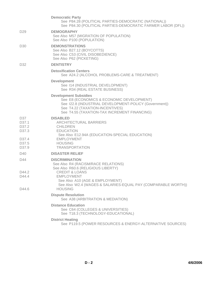|                                                                                      | <b>Democratic Party</b><br>See P84.28 (POLITICAL PARTIES-DEMOCRATIC (NATIONAL))<br>See P84.30 (POLITICAL PARTIES-DEMOCRATIC FARMER LABOR (DFL))                                                                        |
|--------------------------------------------------------------------------------------|------------------------------------------------------------------------------------------------------------------------------------------------------------------------------------------------------------------------|
| D <sub>29</sub>                                                                      | <b>DEMOGRAPHY</b><br>See Also M57 (MIGRATION OF POPULATION)<br>See Also P100 (POPULATION)                                                                                                                              |
| D <sub>30</sub>                                                                      | <b>DEMONSTRATIONS</b><br>See Also B27.12 (BOYCOTTS)<br>See Also C53 (CIVIL DISOBEDIENCE)<br>See Also P62 (PICKETING)                                                                                                   |
| D32                                                                                  | <b>DENTISTRY</b>                                                                                                                                                                                                       |
|                                                                                      | <b>Detoxification Centers</b><br>See A24.2 (ALCOHOL PROBLEMS-CARE & TREATMENT)                                                                                                                                         |
|                                                                                      | <b>Development</b><br>See I14 (INDUSTRIAL DEVELOPMENT)<br>See R34 (REAL ESTATE BUSINESS)                                                                                                                               |
|                                                                                      | <b>Development Subsidies</b><br>See E8 (ECONOMICS & ECONOMIC DEVELOPMENT)<br>See I22.8 (INDUSTRIAL DEVELOPMENT-POLICY (Government))<br>See T4.22 (TAXATION-INCENTIVES)<br>See T4.55 (TAXATION-TAX INCREMENT FINANCING) |
| D37<br>D <sub>37.1</sub><br>D37.2<br>D37.3<br>D <sub>37.4</sub><br>D <sub>37.5</sub> | <b>DISABLED</b><br>ARCHITECTURAL BARRIERS<br><b>CHILDREN</b><br><b>EDUCATION</b><br>See Also E12.94A (EDUCATION-SPECIAL EDUCATION)<br><b>EMPLOYMENT</b><br><b>HOUSING</b>                                              |
| D37.9                                                                                | <b>TRANSPORTATION</b>                                                                                                                                                                                                  |
| D40                                                                                  | <b>DISASTER RELIEF</b>                                                                                                                                                                                                 |
| D44                                                                                  | <b>DISCRIMINATION</b><br>See Also R4 (RACISM/RACE RELATIONS)<br>See Also R60.6 (RELIGIOUS LIBERTY)                                                                                                                     |
| D44.2<br>D44.4                                                                       | <b>CREDIT &amp; LOANS</b><br>EMPLOYMENT<br>See Also A10 (AGE & EMPLOYMENT)<br>See Also W2.4 (WAGES & SALARIES-EQUAL PAY (COMPARABLE WORTH))                                                                            |
| D44.6                                                                                | <b>HOUSING</b>                                                                                                                                                                                                         |
|                                                                                      | <b>Dispute Resolution</b><br>See A38 (ARBITRATION & MEDIATION)                                                                                                                                                         |
|                                                                                      | <b>Distance Education</b><br>See C64 (COLLEGES & UNIVERSITIES)<br>See T18.3 (TECHNOLOGY-EDUCATIONAL)                                                                                                                   |
|                                                                                      | <b>District Heating</b><br>See P119.5 (POWER RESOURCES & ENERGY-ALTERNATIVE SOURCES)                                                                                                                                   |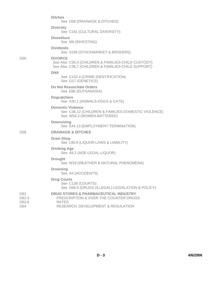|                                          | <b>Ditches</b><br>See D58 (DRAINAGE & DITCHES)                                                                                                  |
|------------------------------------------|-------------------------------------------------------------------------------------------------------------------------------------------------|
|                                          | <b>Diversity</b><br>See C161 (CULTURAL DIVERSITY)                                                                                               |
|                                          | <b>Divestiture</b><br>See I66 (INVESTING)                                                                                                       |
|                                          | Dividends<br>See S198 (STOCKMARKET & BROKERS)                                                                                                   |
| D <sub>50</sub>                          | <b>DIVORCE</b><br>See Also C36.3 (CHILDREN & FAMILIES-CHILD CUSTODY)<br>See Also C36.7 (CHILDREN & FAMILIES-CHILD SUPPORT)                      |
|                                          | <b>DNA</b><br>See C152.4 (CRIME-IDENTIFICATION)<br>See G17 (GENETICS)                                                                           |
|                                          | Do Not Resuscitate Orders<br>See E66 (EUTHANASIA)                                                                                               |
|                                          | <b>Dogcatchers</b><br>See A30.1 (ANIMALS-DOGS & CATS)                                                                                           |
|                                          | <b>Domestic Violence</b><br>See C36.12 (CHILDREN & FAMILIES-DOMESTIC VIOLENCE)<br>See W54.3 (WOMEN-BATTERED)                                    |
|                                          | <b>Downsizing</b><br>See E44.13 (EMPLOYMENT-TERMINATION)                                                                                        |
| D <sub>58</sub>                          | <b>DRAINAGE &amp; DITCHES</b>                                                                                                                   |
|                                          | <b>Dram Shop</b><br>See L90.8 (LIQUOR-LAWS & LIABILITY)                                                                                         |
|                                          | <b>Drinking Age</b><br>See A9.2 (AGE-LEGAL-LIQUOR)                                                                                              |
|                                          | <b>Drought</b><br>See W18 (WEATHER & NATURAL PHENOMENA)                                                                                         |
|                                          | <b>Drowning</b><br>See A4 (ACCIDENTS)                                                                                                           |
|                                          | <b>Drug Courts</b><br>See C138 (COURTS)<br>See D66.6 (DRUGS (ILLEGAL)-LEGISLATION & POLICY)                                                     |
| D <sub>62</sub><br>D62.4<br>D62.6<br>D64 | <b>DRUG STORES &amp; PHARMACEUTICAL INDUSTRY</b><br>PRESCRIPTION & OVER THE COUNTER DRUGS<br><b>RATES</b><br>RESEARCH, DEVELOPMENT & REGULATION |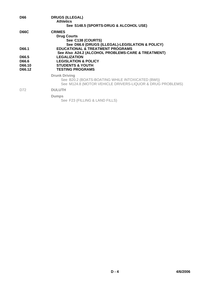| <b>D66</b>                         | <b>DRUGS (ILLEGAL)</b><br><b>Athletics</b><br>See S148.5 (SPORTS-DRUG & ALCOHOL USE)                                                   |
|------------------------------------|----------------------------------------------------------------------------------------------------------------------------------------|
| <b>D66C</b>                        | <b>CRIMES</b><br><b>Drug Courts</b><br>See C138 (COURTS)<br>See D66.6 (DRUGS (ILLEGAL)-LEGISLATION & POLICY)                           |
| D66.1                              | <b>EDUCATIONAL &amp; TREATMENT PROGRAMS</b><br>See Also A24.2 (ALCOHOL PROBLEMS-CARE & TREATMENT)                                      |
| D66.5<br>D66.6<br>D66.10<br>D66.12 | <b>LEGALIZATION</b><br><b>LEGISLATION &amp; POLICY</b><br><b>STUDENTS &amp; YOUTH</b><br><b>TESTING PROGRAMS</b>                       |
|                                    | <b>Drunk Driving</b><br>See B20.2 (BOATS-BOATING WHILE INTOXICATED (BWI))<br>See M124.8 (MOTOR VEHICLE DRIVERS-LIQUOR & DRUG PROBLEMS) |
| D72                                | <b>DULUTH</b>                                                                                                                          |
|                                    | <b>Dumps</b><br>See F23 (FILLING & LAND FILLS)                                                                                         |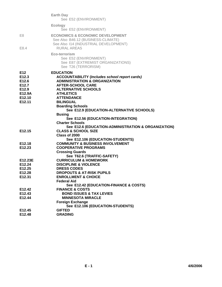|                                                   | <b>Earth Day</b><br>See E52 (ENVIRONMENT)                                                                                                                                                          |
|---------------------------------------------------|----------------------------------------------------------------------------------------------------------------------------------------------------------------------------------------------------|
|                                                   | <b>Ecology</b><br>See E52 (ENVIRONMENT)                                                                                                                                                            |
| E8<br>E8.4                                        | <b>ECONOMICS &amp; ECONOMIC DEVELOPMENT</b><br>See Also B46.12 (BUSINESS-CLIMATE)<br>See Also 114 (INDUSTRIAL DEVELOPMENT)<br><b>RURAL AREAS</b>                                                   |
|                                                   | Eco-terrorism<br>See E52 (ENVIRONMENT)<br>See E87 (EXTREMIST ORGANIZATIONS)<br>See T26 (TERRORISM)                                                                                                 |
| E12<br>E12.3<br>E12.6<br>E12.7<br>E12.9<br>E12.9A | <b>EDUCATION</b><br><b>ACCOUNTABILITY (Includes school report cards)</b><br><b>ADMINISTRATION &amp; ORGANIZATION</b><br><b>AFTER-SCHOOL CARE</b><br><b>ALTERNATIVE SCHOOLS</b><br><b>ATHLETICS</b> |
| E12.10                                            | <b>ATTENDANCE</b>                                                                                                                                                                                  |
| E <sub>12.11</sub>                                | <b>BILINGUAL</b>                                                                                                                                                                                   |
|                                                   | <b>Boarding Schools</b>                                                                                                                                                                            |
|                                                   | See E12.9 (EDUCATION-ALTERNATIVE SCHOOLS)<br><b>Busing</b>                                                                                                                                         |
|                                                   | See E12.56 (EDUCATION-INTEGRATION)                                                                                                                                                                 |
|                                                   | <b>Charter Schools</b>                                                                                                                                                                             |
|                                                   | See E12.6 (EDUCATION-ADMINISTRATION & ORGANIZATION)                                                                                                                                                |
| E <sub>12.15</sub>                                | <b>CLASS &amp; SCHOOL SIZE</b>                                                                                                                                                                     |
|                                                   | Class of 2000                                                                                                                                                                                      |
| E12.18                                            | See E12.106 (EDUCATION-STUDENTS)<br><b>COMMUNITY &amp; BUSINESS INVOLVEMENT</b>                                                                                                                    |
| E <sub>12.23</sub>                                | <b>COOPERATIVE PROGRAMS</b>                                                                                                                                                                        |
|                                                   | <b>Crossing Guards</b>                                                                                                                                                                             |
|                                                   | See T62.6 (TRAFFIC-SAFETY)                                                                                                                                                                         |
| E12.23E                                           | <b>CURRICULUM &amp; HOMEWORK</b>                                                                                                                                                                   |
| E12.24                                            | <b>DISCIPLINE &amp; VIOLENCE</b>                                                                                                                                                                   |
| E <sub>12.25</sub>                                | <b>DRESS CODES</b>                                                                                                                                                                                 |
| E12.28                                            | <b>DROPOUTS &amp; AT-RISK PUPILS</b>                                                                                                                                                               |
| E12.31                                            | <b>ENROLLMENT &amp; CHOICE</b>                                                                                                                                                                     |
|                                                   | <b>Federal Aid</b>                                                                                                                                                                                 |
| E12.42                                            | See E12.42 (EDUCATION-FINANCE & COSTS)<br><b>FINANCE &amp; COSTS</b>                                                                                                                               |
| E12.43                                            | <b>BOND ISSUES &amp; TAX LEVIES</b>                                                                                                                                                                |
| E12.44                                            | <b>MINNESOTA MIRACLE</b>                                                                                                                                                                           |
|                                                   | <b>Foreign Exchange</b>                                                                                                                                                                            |
|                                                   | See E12.106 (EDUCATION-STUDENTS)                                                                                                                                                                   |
| E12.45                                            | <b>GIFTED</b>                                                                                                                                                                                      |
| E12.48                                            | <b>GRADING</b>                                                                                                                                                                                     |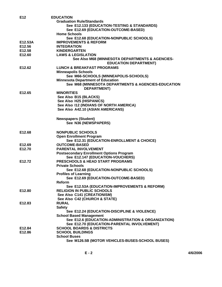| E <sub>12</sub>    | <b>EDUCATION</b>                                                                |
|--------------------|---------------------------------------------------------------------------------|
|                    | <b>Graduation Rule/Standards</b>                                                |
|                    | See E12.133 (EDUCATION-TESTING & STANDARDS)                                     |
|                    | See E12.69 (EDUCATION-OUTCOME-BASED)                                            |
|                    | <b>Home Schools</b>                                                             |
|                    |                                                                                 |
|                    | See E12.68 (EDUCATION-NONPUBLIC SCHOOLS)                                        |
| E12.53A            | <b>IMPROVEMENTS &amp; REFORM</b>                                                |
| E12.56             | <b>INTEGRATION</b>                                                              |
| E12.58             | <b>KINDERGARTEN</b>                                                             |
| E12.60             | <b>LAWS &amp; LEGISLATION</b>                                                   |
|                    | See Also M68 (MINNESOTA DEPARTMENTS & AGENCIES-<br><b>EDUCATION DEPARTMENT)</b> |
| E12.62             | <b>LUNCH &amp; BREAKFAST PROGRAMS</b>                                           |
|                    | <b>Minneapolis Schools</b>                                                      |
|                    | See M66-SCHOOLS (MINNEAPOLIS-SCHOOLS)                                           |
|                    | <b>Minnesota Department of Education</b>                                        |
|                    | See M68 (MINNESOTA DEPARTMENTS & AGENCIES-EDUCATION                             |
|                    | <b>DEPARTMENT)</b>                                                              |
| E12.65             | <b>MINORITIES</b>                                                               |
|                    | See Also B15 (BLACKS)                                                           |
|                    | See Also H25 (HISPANICS)                                                        |
|                    | See Also 112 (INDIANS OF NORTH AMERICA)                                         |
|                    | See Also A42.10 (ASIAN AMERICANS)                                               |
|                    |                                                                                 |
|                    | <b>Newspapers (Student)</b>                                                     |
|                    | See N36 (NEWSPAPERS)                                                            |
|                    |                                                                                 |
| E12.68             | <b>NONPUBLIC SCHOOLS</b>                                                        |
|                    | <b>Open Enrollment Program</b>                                                  |
|                    | See E12.31 (EDUCATION-ENROLLMENT & CHOICE)                                      |
| E12.69             | <b>OUTCOME-BASED</b>                                                            |
| E12.70             | <b>PARENTAL INVOLVEMENT</b>                                                     |
|                    | <b>Postsecondary Enrollment Options Program</b>                                 |
|                    | See E12.147 (EDUCATION-VOUCHERS)                                                |
| E12.72             | <b>PRESCHOOLS &amp; HEAD START PROGRAMS</b>                                     |
|                    | <b>Private Schools</b>                                                          |
|                    | See E12.68 (EDUCATION-NONPUBLIC SCHOOLS)                                        |
|                    |                                                                                 |
|                    | <b>Profiles of Learning</b><br>See E12.69 (EDUCATION-OUTCOME-BASED)             |
|                    |                                                                                 |
|                    | Reform                                                                          |
|                    | See E12.53A (EDUCATION-IMPROVEMENTS & REFORM)                                   |
| E <sub>12.80</sub> | <b>RELIGION IN PUBLIC SCHOOLS</b>                                               |
|                    | See Also C141 (CREATIONISM)                                                     |
|                    | See Also C42 (CHURCH & STATE)                                                   |
| E12.83             | <b>RURAL</b>                                                                    |
|                    | <b>Safety</b>                                                                   |
|                    | See E12.24 (EDUCATION-DISCIPLINE & VIOLENCE)                                    |
|                    | <b>School Based Management</b>                                                  |
|                    | See E12.6 (EDUCATION-ADMINISTRATION & ORGANIZATION)                             |
|                    | See E12.70 (EDUCATION-PARENTAL INVOLVEMENT)                                     |
| E12.84             | <b>SCHOOL BOARDS &amp; DISTRICTS</b>                                            |
| E12.86             | <b>SCHOOL BUILDINGS</b>                                                         |
|                    | <b>School Buses</b>                                                             |
|                    | See M126.5B (MOTOR VEHICLES-BUSES-SCHOOL BUSES)                                 |

**E - 2 4/6/2006**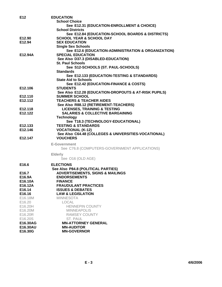| E12               | <b>EDUCATION</b>                                      |
|-------------------|-------------------------------------------------------|
|                   | <b>School Choice</b>                                  |
|                   | See E12.31 (EDUCATION-ENROLLMENT & CHOICE)            |
|                   | <b>School Districts</b>                               |
|                   | See E12.84 (EDUCATION-SCHOOL BOARDS & DISTRICTS)      |
| E12.90            | <b>SCHOOL YEAR &amp; SCHOOL DAY</b>                   |
| E12.94            | <b>SEX EDUCATION</b>                                  |
|                   | <b>Single Sex Schools</b>                             |
|                   | See E12.6 (EDUCATION-ADMINISTRATION & ORGANIZATION)   |
| E12.94A           | <b>SPECIAL EDUCATION</b>                              |
|                   | See Also D37.3 (DISABLED-EDUCATION)                   |
|                   | <b>St. Paul Schools</b>                               |
|                   | See S12-SCHOOLS (ST. PAUL-SCHOOLS)                    |
|                   | <b>Standards</b>                                      |
|                   |                                                       |
|                   | See E12.133 (EDUCATION-TESTING & STANDARDS)           |
|                   | <b>State Aid to Schools</b>                           |
|                   | See E12.42 (EDUCATION-FINANCE & COSTS)                |
| E12.106           | <b>STUDENTS</b>                                       |
|                   | See Also E12.28 (EDUCATION-DROPOUTS & AT-RISK PUPILS) |
| E12.110           | <b>SUMMER SCHOOL</b>                                  |
| E12.112           | <b>TEACHERS &amp; TEACHER AIDES</b>                   |
|                   | See Also R88.12 (RETIREMENT-TEACHERS)                 |
| E12.118           | <b>LICENSES, TRAINING &amp; TESTING</b>               |
| E12.122           | <b>SALARIES &amp; COLLECTIVE BARGAINING</b>           |
|                   | <b>Technology</b>                                     |
|                   | See T18.3 (TECHNOLOGY-EDUCATIONAL)                    |
| E12.133           | <b>TESTING &amp; STANDARDS</b>                        |
| E12.146           | <b>VOCATIONAL (K-12)</b>                              |
|                   | See Also C64.48 (COLLEGES & UNIVERSITIES-VOCATIONAL)  |
| E12.147           | <b>VOUCHERS</b>                                       |
|                   | <b>E-Government</b>                                   |
|                   | See C76.8 (COMPUTERS-GOVERNMENT APPLICATIONS)         |
|                   |                                                       |
|                   | <b>Elderly</b>                                        |
|                   | See O16 (OLD AGE)                                     |
| E16.6             | <b>ELECTIONS</b>                                      |
|                   | See Also P84.8 (POLITICAL PARTIES)                    |
| E <sub>16.7</sub> | <b>ADVERTISEMENTS, SIGNS &amp; MAILINGS</b>           |
| E16.9A            | <b>ENDORSEMENTS</b>                                   |
| E16.10A           | <b>FINANCE</b>                                        |
| E16.12A           | <b>FRAUDULANT PRACTICES</b>                           |
| E16.14            | <b>ISSUES &amp; DEBATES</b>                           |
| E16.16            | <b>LAW &amp; LEGISLATION</b>                          |
| E16.18M           | <b>MINNESOTA</b>                                      |
| E16.20            | <b>LOCAL</b>                                          |
| E16.20H           | <b>HENNEPIN COUNTY</b>                                |
| E16.20M           | <b>MINNEAPOLIS</b>                                    |
| E16.20R           | <b>RAMSEY COUNTY</b>                                  |
| E16.20S           | ST. PAUL                                              |
| E16.30AG          | <b>MN-ATTORNEY GENERAL</b>                            |
| E16.30AU          | <b>MN-AUDITOR</b>                                     |
| E16.30G           | <b>MN-GOVERNOR</b>                                    |
|                   |                                                       |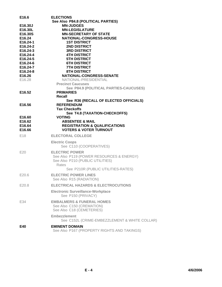| E16.6                | <b>ELECTIONS</b>                                               |
|----------------------|----------------------------------------------------------------|
| E16.30J              | See Also P84.8 (POLITICAL PARTIES)<br><b>MN-JUDGES</b>         |
| E16.30L              | <b>MN-LEGISLATURE</b>                                          |
| E16.30S              | <b>MN-SECRETARY OF STATE</b>                                   |
| E16.24               | NATIONAL-CONGRESS-HOUSE                                        |
| E16.24-1             | <b>1ST DISTRICT</b>                                            |
| E16.24-2             | <b>2ND DISTRICT</b>                                            |
| E16.24-3<br>E16.24-4 | <b>3RD DISTRICT</b><br><b>4TH DISTRICT</b>                     |
| E16.24-5             | <b>5TH DISTRICT</b>                                            |
| E16.24-6             | <b>6TH DISTRICT</b>                                            |
| E16.24-7             | <b>7TH DISTRICT</b>                                            |
| E16.24-8             | <b>8TH DISTRICT</b>                                            |
| E16.26<br>E16.28     | NATIONAL-CONGRESS-SENATE<br>NATIONAL-PRESIDENTIAL              |
|                      | <b>Precinct Caucuses</b>                                       |
|                      | See P84.9 (POLITICAL PARTIES-CAUCUSES)                         |
| E16.52               | <b>PRIMARIES</b><br>Recall                                     |
|                      | See R36 (RECALL OF ELECTED OFFICIALS)                          |
| E16.56               | <b>REFERENDUM</b>                                              |
|                      | <b>Tax Checkoffs</b>                                           |
|                      | See T4.8 (TAXATION-CHECKOFFS)                                  |
| E16.60<br>E16.62     | <b>VOTING</b><br><b>ABSENTEE &amp; MAIL</b>                    |
| E16.64               | <b>REGISTRATION &amp; QUALIFICATIONS</b>                       |
| E16.66               | <b>VOTERS &amp; VOTER TURNOUT</b>                              |
| E <sub>18</sub>      | <b>ELECTORAL COLLEGE</b>                                       |
|                      | <b>Electric Coops</b>                                          |
|                      | See C110 (COOPERATIVES)                                        |
| E20                  | <b>ELECTRIC POWER</b>                                          |
|                      | See Also P119 (POWER RESOURCES & ENERGY)                       |
|                      | See Also P210 (PUBLIC UTILITIES)<br>Rates                      |
|                      | See P210R (PUBLIC UTILITIES-RATES)                             |
| E20.6                | <b>ELECTRIC POWER LINES</b>                                    |
|                      | See Also R15 (RADIATION)                                       |
| E20.8                | <b>ELECTRICAL HAZARDS &amp; ELECTROCUTIONS</b>                 |
|                      | <b>Electronic Surveillance-Workplace</b><br>See P150 (PRIVACY) |
| E34                  | <b>EMBALMERS &amp; FUNERAL HOMES</b>                           |
|                      | See Also C150 (CREMATION)                                      |
|                      | See Also C18 (CEMETERIES)                                      |
|                      | <b>Embezzlement</b>                                            |
|                      | See C152L (CRIME-EMBEZZLEMENT & WHITE COLLAR)                  |
| E40                  | <b>EMINENT DOMAIN</b>                                          |
|                      | See Also P167 (PROPERTY RIGHTS AND TAKINGS)                    |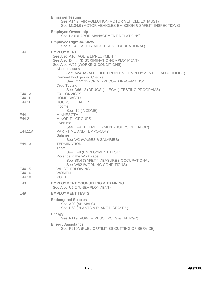|                  | <b>Emission Testing</b><br>See A14.2 (AIR POLLUTION-MOTOR VEHICLE EXHAUST)<br>See M134.6 (MOTOR VEHICLES-EMISSION & SAFETY INSPECTIONS)                   |
|------------------|-----------------------------------------------------------------------------------------------------------------------------------------------------------|
|                  | <b>Employee Ownership</b><br>See L2.6 (LABOR-MANAGEMENT RELATIONS)                                                                                        |
|                  | <b>Employee Right-to-Know</b><br>See S8.4 (SAFETY MEASURES-OCCUPATIONAL)                                                                                  |
| E44              | <b>EMPLOYMENT</b><br>See Also A10 (AGE & EMPLOYMENT)<br>See Also D44.4 (DISCRIMINATION-EMPLOYMENT)<br>See Also W62 (WORKING CONDITIONS)<br>Alcohol Issues |
|                  | See A24.3A (ALCOHOL PROBLEMS-EMPLOYMENT OF ALCOHOLICS)<br><b>Criminal Background Checks</b><br>See C152.15 (CRIME-RECORD INFORMATION)                     |
|                  | <b>Drug Testing</b><br>See D66.12 (DRUGS (ILLEGAL)-TESTING PROGRAMS)                                                                                      |
| E44.1A<br>E44.1B | <b>EX-CONVICTS</b><br><b>HOME BASED</b>                                                                                                                   |
| E44.1H           | <b>HOURS OF LABOR</b><br>Income                                                                                                                           |
| E44.1            | See 110 (INCOME)<br><b>MINNESOTA</b>                                                                                                                      |
| E44.2            | <b>MINORITY GROUPS</b><br>Overtime                                                                                                                        |
| E44.11A          | See E44.1H (EMPLOYMENT-HOURS OF LABOR)<br><b>PART-TIME AND TEMPORARY</b><br><b>Salaries</b>                                                               |
|                  | See W2 (WAGES & SALARIES)                                                                                                                                 |
| E44.13           | <b>TERMINATION</b><br><b>Tests</b>                                                                                                                        |
|                  | See E49 (EMPLOYMENT TESTS)<br>Violence in the Workplace                                                                                                   |
|                  | See S8.4 (SAFETY MEASURES-OCCUPATIONAL)<br>See W62 (WORKING CONDITIONS)                                                                                   |
| E44.15           | <b>WHISTLEBLOWING</b>                                                                                                                                     |
| E44.16           | <b>WOMEN</b>                                                                                                                                              |
| E44.18           | YOUTH                                                                                                                                                     |
| E48              | <b>EMPLOYMENT COUNSELING &amp; TRAINING</b><br>See Also U6.2 (UNEMPLOYMENT)                                                                               |
| E49              | <b>EMPLOYMENT TESTS</b>                                                                                                                                   |
|                  | <b>Endangered Species</b><br>See A30 (ANIMALS)<br>See P68 (PLANTS & PLANT DISEASES)                                                                       |
|                  | <b>Energy</b><br>See P119 (POWER RESOURCES & ENERGY)                                                                                                      |
|                  | <b>Energy Assistance</b><br>See P210A (PUBLIC UTILITIES-CUTTING OF SERVICE)                                                                               |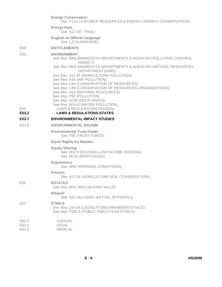|                         | <b>Energy Conservation</b><br>See P119.14 (POWER RESOURCES & ENERGY-ENERGY CONSERVATION)                                                                                                                                                      |
|-------------------------|-----------------------------------------------------------------------------------------------------------------------------------------------------------------------------------------------------------------------------------------------|
|                         | <b>Energy Park</b><br>See S12 (ST. PAUL)                                                                                                                                                                                                      |
|                         | <b>English as Official Language</b><br>See L22 (LANGUAGE)                                                                                                                                                                                     |
| E50                     | <b>ENTITLEMENTS</b>                                                                                                                                                                                                                           |
| E <sub>52</sub>         | <b>ENVIRONMENT</b><br>See Also M68 (MINNESOTA DEPARTMENTS & AGENCIES-POLLUTION CONTROL<br>AGENCY)                                                                                                                                             |
|                         | See Also M68 (MINNESOTA DEPARTMENTS & AGENCIES-NATURAL RESOURCES<br>DEPARTMENT (DNR))                                                                                                                                                         |
|                         | See Also A12.45 (AGRICULTURE-POLLUTION)<br>See Also A14 (AIR POLLUTION)<br>See Also C84 (CONSERVATION OF RESOURCES)<br>See Also C89 (CONSERVATION OF RESOURCES-ORGANIZATIONS)<br>See Also N16 (NATURAL RESOURCES)<br>See Also P90 (POLLUTION) |
|                         | See Also S130 (SOLID WASTE)                                                                                                                                                                                                                   |
| E <sub>53</sub>         | See Also W14.6 (WATER POLLUTION)<br>LAWS & REGULATIONS-FEDERAL                                                                                                                                                                                |
| E53.2                   | <b>LAWS &amp; REGULATIONS-STATES</b>                                                                                                                                                                                                          |
| E53.7                   | <b>ENVIRONMENTAL IMPACT STUDIES</b>                                                                                                                                                                                                           |
| E53.9                   | <b>ENVIRONMENTAL RACISM</b>                                                                                                                                                                                                                   |
|                         | <b>Environmental Trust Funds</b><br>See T88 (TRUST FUNDS)                                                                                                                                                                                     |
|                         | <b>Equal Rights for Women</b>                                                                                                                                                                                                                 |
|                         | <b>Equity Sharing</b><br>See H52.9 (HOUSING-LOW INCOME HOUSING)<br>See M110 (MORTGAGES)                                                                                                                                                       |
|                         | <b>Ergonomics</b><br>See W62 (WORKING CONDITIONS)                                                                                                                                                                                             |
|                         | Erosion<br>See A12.55 (AGRICULTURE-SOIL CONSERVATION)                                                                                                                                                                                         |
| E60                     | <b>ESTATES</b><br>See Also W42 (WILLS/LIVING WILLS)                                                                                                                                                                                           |
|                         | <b>Ethanol</b><br>See A23 (ALCOHOL AS FUEL (ETHANOL))                                                                                                                                                                                         |
| E62                     | <b>ETHICS</b><br>See Also L60.44 (LEGISLATURES-MEMBERS-ETHICS)<br>See Also P182.5 (PUBLIC EMPLOYEES-ETHICS)                                                                                                                                   |
| E62.2<br>E62.4<br>E62.6 | <b>JUDICIAL</b><br><b>LEGAL</b><br><b>MEDICAL</b>                                                                                                                                                                                             |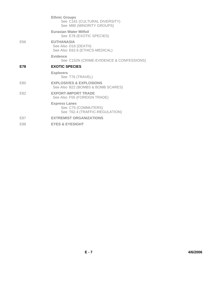|     | <b>Ethnic Groups</b><br>See C161 (CULTURAL DIVERSITY)<br>See M80 (MINORITY GROUPS) |
|-----|------------------------------------------------------------------------------------|
|     | <b>Eurasian Water Milfoil</b><br>See E78 (EXOTIC SPECIES)                          |
| E66 | <b>EUTHANASIA</b><br>See Also D16 (DEATH)<br>See Also E62.6 (ETHICS-MEDICAL)       |
|     | Evidence<br>See C152N (CRIME-EVIDENCE & CONFESSIONS)                               |
| E78 | <b>EXOTIC SPECIES</b>                                                              |
|     | <b>Explorers</b><br>See T76 (TRAVEL)                                               |
| E80 | <b>EXPLOSIVES &amp; EXPLOSIONS</b><br>See Also B22 (BOMBS & BOMB SCARES)           |
| E82 | <b>EXPORT-IMPORT TRADE</b><br>See Also F55 (FOREIGN TRADE)                         |
|     | <b>Express Lanes</b><br>See C75 (COMMUTERS)<br>See T62.4 (TRAFFIC-REGULATION)      |
| E87 | <b>EXTREMIST ORGANIZATIONS</b>                                                     |
| E88 | <b>EYES &amp; EYESIGHT</b>                                                         |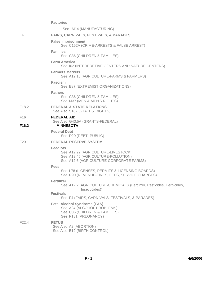|                   | <b>Factories</b>                                                                                                                       |
|-------------------|----------------------------------------------------------------------------------------------------------------------------------------|
|                   | See M14 (MANUFACTURING)                                                                                                                |
| F4                | <b>FAIRS, CARNIVALS, FESTIVALS, &amp; PARADES</b>                                                                                      |
|                   | <b>False Imprisonment</b><br>See C152A (CRIME-ARRESTS & FALSE ARREST)                                                                  |
|                   | <b>Families</b><br>See C36 (CHILDREN & FAMILIES)                                                                                       |
|                   | <b>Farm America</b><br>See 162 (INTERPRETIVE CENTERS AND NATURE CENTERS)                                                               |
|                   | <b>Farmers Markets</b><br>See A12.16 (AGRICULTURE-FARMS & FARMERS)                                                                     |
|                   | <b>Fascism</b><br>See E87 (EXTREMIST ORGANIZATIONS)                                                                                    |
|                   | <b>Fathers</b><br>See C36 (CHILDREN & FAMILIES)<br>See M37 (MEN & MEN'S RIGHTS)                                                        |
| F <sub>18.2</sub> | <b>FEDERAL &amp; STATE RELATIONS</b><br>See Also S182 (STATES' RIGHTS)                                                                 |
| F <sub>16</sub>   | <b>FEDERAL AID</b>                                                                                                                     |
| F <sub>16.2</sub> | See Also G43.5A (GRANTS-FEDERAL)<br><b>MINNESOTA</b>                                                                                   |
|                   | <b>Federal Debt</b><br>See D20 (DEBT- PUBLIC)                                                                                          |
| F <sub>20</sub>   | <b>FEDERAL RESERVE SYSTEM</b>                                                                                                          |
|                   | <b>Feedlots</b><br>See A12.22 (AGRICULTURE-LIVESTOCK)<br>See A12.45 (AGRICULTURE-POLLUTION)<br>See A12.6 (AGRICULTURE-CORPORATE FARMS) |
|                   | <b>Fees</b>                                                                                                                            |
|                   | See L78 (LICENSES, PERMITS & LICENSING BOARDS)<br>See R90 (REVENUE-FINES, FEES, SERVICE CHARGES)                                       |
|                   | <b>Fertilizer</b><br>See A12.2 (AGRICULTURE-CHEMICALS (Fertilizer, Pesticides, Herbicides,<br>Insecticides))                           |
|                   | <b>Festivals</b><br>See F4 (FAIRS, CARNIVALS, FESTIVALS, & PARADES)                                                                    |
|                   | <b>Fetal Alcohol Syndrome (FAS)</b><br>See A24 (ALCOHOL PROBLEMS)<br>See C36 (CHILDREN & FAMILIES)<br>See P131 (PREGNANCY)             |
| F <sub>22.4</sub> | <b>FETUS</b><br>See Also A2 (ABORTION)<br>See Also B12 (BIRTH CONTROL)                                                                 |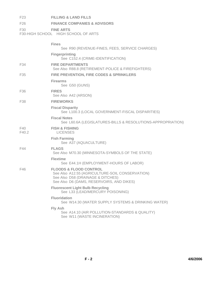| F <sub>23</sub> | <b>FILLING &amp; LAND FILLS</b>                                                                                                                                        |
|-----------------|------------------------------------------------------------------------------------------------------------------------------------------------------------------------|
| F <sub>26</sub> | <b>FINANCE COMPANIES &amp; ADVISORS</b>                                                                                                                                |
| F <sub>30</sub> | <b>FINE ARTS</b><br>F30-HIGH SCHOOL HIGH SCHOOL OF ARTS                                                                                                                |
|                 | <b>Fines</b>                                                                                                                                                           |
|                 | See R90 (REVENUE-FINES, FEES, SERVICE CHARGES)<br><b>Fingerprinting</b>                                                                                                |
|                 | See C152.4 (CRIME-IDENTIFICATION)                                                                                                                                      |
| F34             | <b>FIRE DEPARTMENTS</b><br>See Also R88.8 (RETIREMENT-POLICE & FIREFIGHTERS)                                                                                           |
| F35             | <b>FIRE PREVENTION, FIRE CODES &amp; SPRINKLERS</b>                                                                                                                    |
|                 | <b>Firearms</b><br>See G50 (GUNS)                                                                                                                                      |
| F36             | <b>FIRES</b><br>See Also A42 (ARSON)                                                                                                                                   |
| F38             | <b>FIREWORKS</b>                                                                                                                                                       |
|                 | <b>Fiscal Disparity</b><br>See L100.3 (LOCAL GOVERNMENT-FISCAL DISPARITIES)                                                                                            |
|                 | <b>Fiscal Notes</b><br>See L60.6A (LEGISLATURES-BILLS & RESOLUTIONS-APPROPRIATION)                                                                                     |
| F40<br>F40.2    | <b>FISH &amp; FISHING</b><br><b>LICENSES</b>                                                                                                                           |
|                 | <b>Fish Farming</b><br>See A37 (AQUACULTURE)                                                                                                                           |
| F44             | <b>FLAGS</b><br>See Also M70.30 (MINNESOTA-SYMBOLS OF THE STATE)                                                                                                       |
|                 | <b>Flextime</b><br>See E44.1H (EMPLOYMENT-HOURS OF LABOR)                                                                                                              |
| F46             | <b>FLOODS &amp; FLOOD CONTROL</b><br>See Also A12.55 (AGRICULTURE-SOIL CONSERVATION)<br>See Also D58 (DRAINAGE & DITCHES)<br>See Also D6 (DAMS, RESERVOIRS, AND DIKES) |
|                 | <b>Fluorescent Light Bulb Recycling</b><br>See L33 (LEAD/MERCURY POISONING)                                                                                            |
|                 | <b>Fluoridation</b><br>See W14.30 (WATER SUPPLY SYSTEMS & DRINKING WATER)                                                                                              |
|                 | Fly Ash<br>See A14.10 (AIR POLLUTION-STANDARDS & QUALITY)<br>See W11 (WASTE INCINERATION)                                                                              |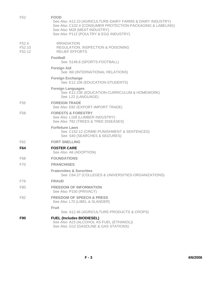| F <sub>52</sub>                                   | <b>FOOD</b><br>See Also A12.10 (AGRICULTURE-DAIRY FARMS & DAIRY INDUSTRY)<br>See Also C102.4 (CONSUMER PROTECTION-PACKAGING & LABELING)<br>See Also M28 (MEAT INDUSTRY)<br>See Also P112 (POULTRY & EGG INDUSTRY) |
|---------------------------------------------------|-------------------------------------------------------------------------------------------------------------------------------------------------------------------------------------------------------------------|
| F <sub>52.4</sub><br>F52.10<br>F <sub>52.12</sub> | <b>IRRADIATION</b><br>REGULATION, INSPECTION & POISONING<br><b>RELIEF EFFORTS</b>                                                                                                                                 |
|                                                   | <b>Football</b><br>See S148.8 (SPORTS-FOOTBALL)                                                                                                                                                                   |
|                                                   | <b>Foreign Aid</b><br>See 160 (INTERNATIONAL RELATIONS)                                                                                                                                                           |
|                                                   | <b>Foreign Exchange</b><br>See E12.106 (EDUCATION-STUDENTS)                                                                                                                                                       |
|                                                   | <b>Foreign Languages</b><br>See E12.23E (EDUCATION-CURRICULUM & HOMEWORK)<br>See L22 (LANGUAGE)                                                                                                                   |
| F <sub>55</sub>                                   | <b>FOREIGN TRADE</b><br>See Also E82 (EXPORT-IMPORT TRADE)                                                                                                                                                        |
| F <sub>58</sub>                                   | <b>FORESTS &amp; FORESTRY</b><br>See Also L108 (LUMBER INDUSTRY)<br>See Also T82 (TREES & TREE DISEASES)                                                                                                          |
|                                                   | <b>Forfeiture Laws</b><br>See C152.12 (CRIME-PUNISHMENT & SENTENCES)<br>See S40 (SEARCHES & SEIZURES)                                                                                                             |
| F62                                               | <b>FORT SNELLING</b>                                                                                                                                                                                              |
| F64                                               | <b>FOSTER CARE</b><br>See Also A6 (ADOPTION)                                                                                                                                                                      |
| F68                                               | <b>FOUNDATIONS</b>                                                                                                                                                                                                |
| F70                                               | <b>FRANCHISES</b>                                                                                                                                                                                                 |
|                                                   | <b>Fraternities &amp; Sororities</b><br>See C64.27 (COLLEGES & UNIVERSITIES-ORGANIZATIONS)                                                                                                                        |
| F76                                               | <b>FRAUD</b>                                                                                                                                                                                                      |
| F80                                               | <b>FREEDOM OF INFORMATION</b><br>See Also P150 (PRIVACY)                                                                                                                                                          |
| F82                                               | <b>FREEDOM OF SPEECH &amp; PRESS</b><br>See Also L70 (LIBEL & SLANDER)                                                                                                                                            |
|                                                   | Fruit                                                                                                                                                                                                             |
|                                                   | See A12.46 (AGRICULTURE-PRODUCTS & CROPS)                                                                                                                                                                         |
| F90                                               | <b>FUEL (Includes BIODIESEL)</b><br>See Also A23 (ALCOHOL AS FUEL (ETHANOL))<br>See Also G12 (GASOLINE & GAS STATIONS)                                                                                            |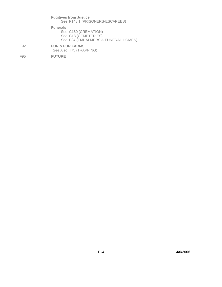|     | <b>Fugitives from Justice</b><br>See P148.1 (PRISONERS-ESCAPEES)                                       |
|-----|--------------------------------------------------------------------------------------------------------|
|     | <b>Funerals</b><br>See C150 (CREMATION)<br>See C18 (CEMETERIES)<br>See E34 (EMBALMERS & FUNERAL HOMES) |
| F92 | <b>FUR &amp; FUR FARMS</b><br>See Also T75 (TRAPPING)                                                  |
| F95 | <b>FUTURE</b>                                                                                          |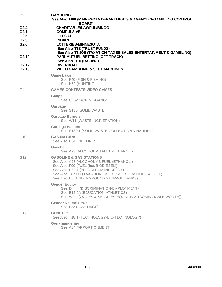| G <sub>2</sub>                                   | <b>GAMBLING</b><br>See Also M68 (MINNESOTA DEPARTMENTS & AGENCIES-GAMBLING CONTROL<br><b>BOARD</b> )                                                                                                                                                               |
|--------------------------------------------------|--------------------------------------------------------------------------------------------------------------------------------------------------------------------------------------------------------------------------------------------------------------------|
| G2.4<br>G2.1<br>G <sub>2.5</sub><br>G2.3<br>G2.6 | <b>CHARITABLE/LAWFUL/BINGO</b><br><b>COMPULSIVE</b><br><b>ILLEGAL</b><br><b>INDIAN</b><br><b>LOTTERIES-MINNESOTA</b><br>See Also T88 (TRUST FUNDS)<br>See Also T8.90E (TAXATION-TAXES-SALES-ENTERTAINMENT & GAMBLING)                                              |
| G <sub>2.10</sub><br>G <sub>2</sub> .12          | <b>PARI-MUTUEL BETTING (OFF-TRACK)</b><br>See Also R10 (RACING)<br><b>RIVERBOAT</b>                                                                                                                                                                                |
| G2.18                                            | <b>VIDEO GAMBLING &amp; SLOT MACHINES</b>                                                                                                                                                                                                                          |
|                                                  | <b>Game Laws</b><br>See F40 (FISH & FISHING)<br>See H62 (HUNTING)                                                                                                                                                                                                  |
| G4                                               | <b>GAMES-CONTESTS-VIDEO GAMES</b>                                                                                                                                                                                                                                  |
|                                                  | Gangs<br>See C152P (CRIME-GANGS)                                                                                                                                                                                                                                   |
|                                                  | Garbage<br>See S130 (SOLID WASTE)                                                                                                                                                                                                                                  |
|                                                  | <b>Garbage Burners</b><br>See W11 (WASTE INCINERATION)                                                                                                                                                                                                             |
|                                                  | <b>Garbage Haulers</b><br>See S130.1 (SOLID WASTE-COLLECTION & HAULING)                                                                                                                                                                                            |
| G <sub>10</sub>                                  | <b>GAS-NATURAL</b><br>See Also P64 (PIPELINES)                                                                                                                                                                                                                     |
|                                                  | Gasohol<br>See A23 (ALCOHOL AS FUEL (ETHANOL))                                                                                                                                                                                                                     |
| G12                                              | <b>GASOLINE &amp; GAS STATIONS</b><br>See Also A23 (ALCOHOL AS FUEL (ETHANOL))<br>See Also F90 (FUEL (Inc. BIODIESEL))<br>See Also P54.1 (PETROLEUM INDUSTRY)<br>See Also T8.90G (TAXATION-TAXES-SALES-GASOLINE & FUEL)<br>See Also U3 (UNDERGROUND STORAGE TANKS) |
|                                                  | <b>Gender Equity</b><br>See D44.4 (DISCRIMINATION-EMPLOYMENT)<br>See E12.9A (EDUCATION-ATHLETICS)<br>See W2.4 (WAGES & SALARIES-EQUAL PAY (COMPARABLE WORTH))                                                                                                      |
|                                                  | <b>Gender Neutral Laws</b><br>See L22 (LANGUAGE)                                                                                                                                                                                                                   |
| G17                                              | <b>GENETICS</b><br>See Also T18.1 (TECHNOLOGY-BIO-TECHNOLOGY)                                                                                                                                                                                                      |
|                                                  | Gerrymandering<br>See A34 (APPORTIONMENT)                                                                                                                                                                                                                          |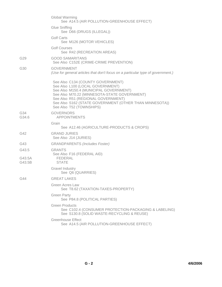|                  | <b>Global Warming</b><br>See A14.5 (AIR POLLUTION-GREENHOUSE EFFECT)                                                                                                                                                                                                                         |
|------------------|----------------------------------------------------------------------------------------------------------------------------------------------------------------------------------------------------------------------------------------------------------------------------------------------|
|                  | <b>Glue Sniffing</b><br>See D66 (DRUGS (ILLEGAL))                                                                                                                                                                                                                                            |
|                  | Golf Carts<br>See M126 (MOTOR VEHICLES)                                                                                                                                                                                                                                                      |
|                  | <b>Golf Courses</b><br>See R42 (RECREATION AREAS)                                                                                                                                                                                                                                            |
| G29              | <b>GOOD SAMARITANS</b><br>See Also C152E (CRIME-CRIME PREVENTION)                                                                                                                                                                                                                            |
| G30              | <b>GOVERNMENT</b><br>(Use for general articles that don't focus on a particular type of government.)                                                                                                                                                                                         |
|                  | See Also C134 (COUNTY GOVERNMENT)<br>See Also L100 (LOCAL GOVERNMENT)<br>See Also M150.4 (MUNICIPAL GOVERNMENT)<br>See Also M70.22 (MINNESOTA-STATE GOVERNMENT)<br>See Also R51 (REGIONAL GOVERNMENT)<br>See Also S162 (STATE GOVERNMENT (OTHER THAN MINNESOTA))<br>See Also T52 (TOWNSHIPS) |
| G34<br>G34.6     | <b>GOVERNORS</b><br><b>APPOINTMENTS</b>                                                                                                                                                                                                                                                      |
|                  | Grain<br>See A12.46 (AGRICULTURE-PRODUCTS & CROPS)                                                                                                                                                                                                                                           |
| G42              | <b>GRAND JURIES</b><br>See Also J14 (JURIES)                                                                                                                                                                                                                                                 |
| G43              | <b>GRANDPARENTS (Includes Foster)</b>                                                                                                                                                                                                                                                        |
| G43.5            | <b>GRANTS</b>                                                                                                                                                                                                                                                                                |
| G43.5A<br>G43.5B | See Also F16 (FEDERAL AID)<br><b>FEDERAL</b><br><b>STATE</b>                                                                                                                                                                                                                                 |
|                  | Gravel Industry<br>See Q6 (QUARRIES)                                                                                                                                                                                                                                                         |
| G44              | <b>GREAT LAKES</b>                                                                                                                                                                                                                                                                           |
|                  | Green Acres Law<br>See T8.62 (TAXATION-TAXES-PROPERTY)                                                                                                                                                                                                                                       |
|                  | <b>Green Party</b><br>See P84.8 (POLITICAL PARTIES)                                                                                                                                                                                                                                          |
|                  | <b>Green Products</b><br>See C102.4 (CONSUMER PROTECTION-PACKAGING & LABELING)<br>See S130.8 (SOLID WASTE-RECYCLING & REUSE)                                                                                                                                                                 |
|                  | <b>Greenhouse Effect</b><br>See A14.5 (AIR POLLUTION-GREENHOUSE EFFECT)                                                                                                                                                                                                                      |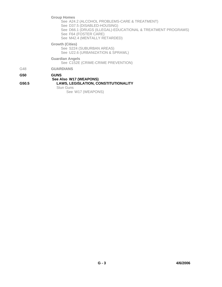**Group Homes**

See A24.2 (ALCOHOL PROBLEMS-CARE & TREATMENT) See D37.5 (DISABLED-HOUSING) See D66.1 (DRUGS (ILLEGAL)-EDUCATIONAL & TREATMENT PROGRAMS) See F64 (FOSTER CARE) See M42.4 (MENTALLY RETARDED)

**Growth (Cities)**

See S224 (SUBURBAN AREAS) See U22.6 (URBANIZATION & SPRAWL)

**Guardian Angels**

See C152E (CRIME-CRIME PREVENTION)

G48 **GUARDIANS**

## **G50 GUNS**

## **See Also W17 (WEAPONS) G50.5 LAWS, LEGISLATION, CONSTITUTIONALITY** Stun Guns

See W17 (WEAPONS)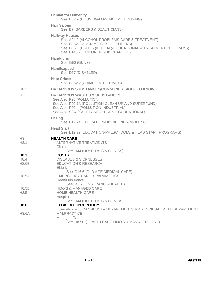|                      | <b>Habitat for Humanity</b><br>See H52.9 (HOUSING-LOW INCOME HOUSING)                                                                                                                                               |
|----------------------|---------------------------------------------------------------------------------------------------------------------------------------------------------------------------------------------------------------------|
|                      | <b>Hair Salons</b><br>See B7 (BARBERS & BEAUTICIANS)                                                                                                                                                                |
|                      | <b>Halfway Houses</b><br>See A24.2 (ALCOHOL PROBLEMS-CARE & TREATMENT)<br>See C152.15S (CRIME-SEX OFFENDERS)<br>See D66.1 (DRUGS (ILLEGAL)-EDUCATIONAL & TREATMENT PROGRAMS)<br>See P148.2 (PRISONERS-DISCHARGED)   |
|                      | <b>Handguns</b><br>See G50 (GUNS)                                                                                                                                                                                   |
|                      | <b>Handicapped</b><br>See D37 (DISABLED)                                                                                                                                                                            |
|                      | <b>Hate Crimes</b><br>See C152.2 (CRIME-HATE CRIMES)                                                                                                                                                                |
| H6.2                 | <b>HAZARDOUS SUBSTANCES/COMMUNITY RIGHT TO KNOW</b>                                                                                                                                                                 |
| H7                   | <b>HAZARDOUS WASTES &amp; SUBSTANCES</b><br>See Also P90 (POLLUTION)<br>See Also P90.1A (POLLUTION-CLEAN-UP AND SUPERFUND)<br>See Also P90.4 (POLLUTION-INDUSTRIAL)<br>See Also S8.4 (SAFETY MEASURES-OCCUPATIONAL) |
|                      | <b>Hazing</b><br>See E12.24 (EDUCATION-DISCIPLINE & VIOLENCE)                                                                                                                                                       |
|                      | <b>Head Start</b><br>See E12.72 (EDUCATION-PRESCHOOLS & HEAD START PROGRAMS)                                                                                                                                        |
| H8<br>H8.1           | <b>HEALTH CARE</b><br><b>ALTERNATIVE TREATMENTS</b><br>Clinics                                                                                                                                                      |
| H8.3                 | See H44 (HOSPITALS & CLINICS)<br><b>COSTS</b>                                                                                                                                                                       |
| H8.4<br><b>H8.6E</b> | <b>DISEASES &amp; SICKNESSES</b><br><b>EDUCATION &amp; RESEARCH</b><br>Elderly                                                                                                                                      |
| H8.5A                | See O16.6 (OLD AGE-MEDICAL CARE)<br><b>EMERGENCY CARE &amp; PARAMEDICS</b><br><b>Health Insurance</b>                                                                                                               |
| H8.5B<br>H8.5        | See 146.28 (INSURANCE-HEALTH)<br><b>HMO'S &amp; MANAGED CARE</b><br>HOME HEALTH CARE<br>Hospitals                                                                                                                   |
| H8.6                 | See H44 (HOSPITALS & CLINICS)<br><b>LEGISLATION &amp; POLICY</b>                                                                                                                                                    |
| H8.6A                | See Also M68 (MINNESOTA DEPARTMENTS & AGENCIES-HEALTH DEPARTMENT)<br><b>MALPRACTICE</b><br>Managed Care<br>See H8.5B (HEALTH CARE-HMO'S & MANAGED CARE)                                                             |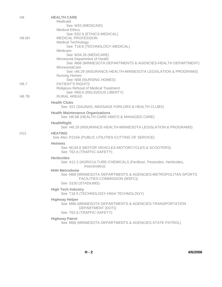| H <sub>8</sub>   | <b>HEALTH CARE</b><br>Medicaid                                                                 |
|------------------|------------------------------------------------------------------------------------------------|
|                  | See M33 (MEDICAID)<br><b>Medical Ethics</b>                                                    |
| <b>H8.6H</b>     | See E62.6 (ETHICS-MEDICAL)<br><b>MEDICAL PROFESSION</b>                                        |
|                  | <b>Medical Technology</b>                                                                      |
|                  | See T18.8 (TECHNOLOGY-MEDICAL)<br>Medicare                                                     |
|                  | See M34.26 (MEDICARE)                                                                          |
|                  | Minnesota Department of Health<br>See M68 (MINNESOTA DEPARTMENTS & AGENCIES-HEALTH DEPARTMENT) |
|                  | MinnesotaCare                                                                                  |
|                  | See 146.29 (INSURANCE-HEALTH-MINNESOTA LEGISLATION & PROGRAMS)<br><b>Nursing Homes</b>         |
|                  | See N68 (NURSING HOMES)                                                                        |
| H <sub>8.7</sub> | <b>PATIENT'S RIGHTS</b><br><b>Religious Refusal of Medical Treatment</b>                       |
|                  | See R60.6 (RELIGIOUS LIBERTY)                                                                  |
| <b>H8.7B</b>     | RURAL AREAS                                                                                    |
|                  | <b>Health Clubs</b><br>See S21 (SAUNAS, MASSAGE PARLORS & HEALTH CLUBS)                        |
|                  | <b>Health Maintenance Organizations</b><br>See H8.5B (HEALTH CARE-HMO'S & MANAGED CARE)        |
|                  | <b>HealthRight</b><br>See 146.29 (INSURANCE-HEALTH-MINNESOTA LEGISLATION & PROGRAMS)           |
| H <sub>12</sub>  | <b>HEATING</b><br>See Also P210A (PUBLIC UTILITIES-CUTTING OF SERVICE)                         |
|                  | <b>Helmets</b>                                                                                 |
|                  | See M134.8 (MOTOR VEHICLES-MOTORCYCLES & SCOOTERS)<br>See T62.6 (TRAFFIC-SAFETY)               |
|                  | <b>Herbicides</b>                                                                              |
|                  | See A12.2 (AGRICULTURE-CHEMICALS (Fertilizer, Pesticides, Herbicides,<br>Insecticides))        |
|                  | <b>HHH Metrodome</b><br>See M68 (MINNESOTA DEPARTMENTS & AGENCIES-METROPOLITAN SPORTS          |
|                  | FACILITIES COMMISSION (MSFC))                                                                  |
|                  | See S150 (STADIUMS)                                                                            |
|                  | <b>High Tech Industry</b><br>See T18.5 (TECHNOLOGY-HIGH TECHNOLOGY)                            |
|                  | <b>Highway Helper</b>                                                                          |
|                  | See M68 (MINNESOTA DEPARTMENTS & AGENCIES-TRANSPORTATION<br>DEPARTMENT (DOT))                  |
|                  | See T62.6 (TRAFFIC-SAFETY)                                                                     |
|                  | <b>Highway Patrol</b><br>See M68 (MINNESOTA DEPARTMENTS & AGENCIES-STATE PATROL)               |
|                  |                                                                                                |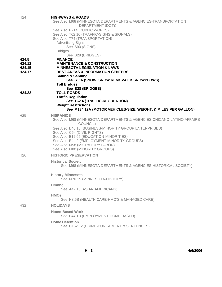| H <sub>24</sub>    | <b>HIGHWAYS &amp; ROADS</b><br>See Also M68 (MINNESOTA DEPARTMENTS & AGENCIES-TRANSPORTATION<br>DEPARTMENT (DOT))<br>See Also P214 (PUBLIC WORKS)<br>See Also T62.10 (TRAFFIC-SIGNS & SIGNALS)<br>See Also T74 (TRANSPORTATION)<br><b>Advertising Signs</b><br>See S90 (SIGNS)<br><b>Bridges</b> |
|--------------------|--------------------------------------------------------------------------------------------------------------------------------------------------------------------------------------------------------------------------------------------------------------------------------------------------|
| H24.5              | See B28 (BRIDGES)<br><b>FINANCE</b>                                                                                                                                                                                                                                                              |
| H24.12             | <b>MAINTENANCE &amp; CONSTRUCTION</b>                                                                                                                                                                                                                                                            |
| H <sub>24.15</sub> | <b>MINNESOTA LEGISLATION &amp; LAWS</b>                                                                                                                                                                                                                                                          |
| H <sub>24.17</sub> | <b>REST AREAS &amp; INFORMATION CENTERS</b><br><b>Salting &amp; Sanding</b>                                                                                                                                                                                                                      |
|                    | See S116 (SNOW, SNOW REMOVAL & SNOWPLOWS)                                                                                                                                                                                                                                                        |
|                    | <b>Toll Bridges</b>                                                                                                                                                                                                                                                                              |
|                    | See B28 (BRIDGES)                                                                                                                                                                                                                                                                                |
| H <sub>24.22</sub> | <b>TOLL ROADS</b>                                                                                                                                                                                                                                                                                |
|                    | <b>Traffic Regulation</b><br>See T62.4 (TRAFFIC-REGULATION)                                                                                                                                                                                                                                      |
|                    | <b>Weight Restrictions</b>                                                                                                                                                                                                                                                                       |
|                    | See M134.12A (MOTOR VEHICLES-SIZE, WEIGHT, & MILES PER GALLON)                                                                                                                                                                                                                                   |
| H <sub>25</sub>    | <b>HISPANICS</b>                                                                                                                                                                                                                                                                                 |
|                    | See Also M68 (MINNESOTA DEPARTMENTS & AGENCIES-CHICANO-LATINO AFFAIRS<br>COUNCIL)                                                                                                                                                                                                                |
|                    | See Also B46.18 (BUSINESS-MINORITY GROUP ENTERPRISES)                                                                                                                                                                                                                                            |
|                    | See Also C54 (CIVIL RIGHTS)<br>See Also E12.65 (EDUCATION-MINORITIES)                                                                                                                                                                                                                            |
|                    | See Also E44.2 (EMPLOYMENT-MINORITY GROUPS)                                                                                                                                                                                                                                                      |
|                    | See Also M58 (MIGRATORY LABOR)                                                                                                                                                                                                                                                                   |
|                    | See Also M80 (MINORITY GROUPS)                                                                                                                                                                                                                                                                   |
| H <sub>26</sub>    | <b>HISTORIC PRESERVATION</b>                                                                                                                                                                                                                                                                     |
|                    | <b>Historical Society</b>                                                                                                                                                                                                                                                                        |
|                    | See M68 (MINNESOTA DEPARTMENTS & AGENCIES-HISTORICAL SOCIETY)                                                                                                                                                                                                                                    |
|                    | <b>History-Minnesota</b>                                                                                                                                                                                                                                                                         |
|                    | See M70.15 (MINNESOTA-HISTORY)                                                                                                                                                                                                                                                                   |
|                    | Hmong<br>See A42.10 (ASIAN AMERICANS)                                                                                                                                                                                                                                                            |
|                    |                                                                                                                                                                                                                                                                                                  |
|                    | <b>HMOs</b><br>See H8.5B (HEALTH CARE-HMO'S & MANAGED CARE)                                                                                                                                                                                                                                      |
| H <sub>32</sub>    | <b>HOLIDAYS</b>                                                                                                                                                                                                                                                                                  |
|                    | <b>Home-Based Work</b><br>See E44.1B (EMPLOYMENT-HOME BASED)                                                                                                                                                                                                                                     |
|                    | <b>Home Detention</b>                                                                                                                                                                                                                                                                            |
|                    | See C152.12 (CRIME-PUNISHMENT & SENTENCES)                                                                                                                                                                                                                                                       |

**H - 3 4/6/2006**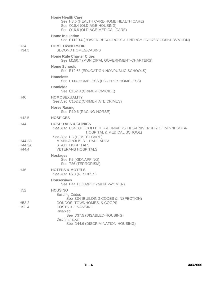|                                        | <b>Home Health Care</b><br>See H8.5 (HEALTH CARE-HOME HEALTH CARE)<br>See O16.4 (OLD AGE-HOUSING)<br>See O16.6 (OLD AGE-MEDICAL CARE)                                        |
|----------------------------------------|------------------------------------------------------------------------------------------------------------------------------------------------------------------------------|
|                                        | <b>Home Insulation</b><br>See P119.14 (POWER RESOURCES & ENERGY-ENERGY CONSERVATION)                                                                                         |
| H34<br>H <sub>34.5</sub>               | <b>HOME OWNERSHIP</b><br><b>SECOND HOMES/CABINS</b>                                                                                                                          |
|                                        | <b>Home Rule Charter Cities</b><br>See M150.7 (MUNICIPAL GOVERNMENT-CHARTERS)                                                                                                |
|                                        | <b>Home Schools</b><br>See E12.68 (EDUCATION-NONPUBLIC SCHOOLS)                                                                                                              |
|                                        | <b>Homeless</b><br>See P114-HOMELESS (POVERTY-HOMELESS)                                                                                                                      |
|                                        | <b>Homicide</b><br>See C152.3 (CRIME-HOMICIDE)                                                                                                                               |
| H40                                    | <b>HOMOSEXUALITY</b><br>See Also C152.2 (CRIME-HATE CRIMES)                                                                                                                  |
|                                        | <b>Horse Racing</b><br>See R10.6 (RACING-HORSE)                                                                                                                              |
| H42.5                                  | <b>HOSPICES</b>                                                                                                                                                              |
| H44                                    | <b>HOSPITALS &amp; CLINICS</b><br>See Also C64.38H (COLLEGES & UNIVERSITIES-UNIVERSITY OF MINNESOTA-<br><b>HOSPITAL &amp; MEDICAL SCHOOL)</b>                                |
| H44.2A<br>H44.3A<br>H44.4              | See Also H8 (HEALTH CARE)<br>MINNEAPOLIS-ST. PAUL AREA<br><b>STATE HOSPITALS</b><br><b>VETERANS HOSPITALS</b>                                                                |
|                                        | <b>Hostages</b><br>See K2 (KIDNAPPING)<br>See T26 (TERRORISM)                                                                                                                |
| H46                                    | <b>HOTELS &amp; MOTELS</b><br>See Also R78 (RESORTS)                                                                                                                         |
|                                        | <b>Housewives</b><br>See E44.16 (EMPLOYMENT-WOMEN)                                                                                                                           |
| H <sub>52</sub>                        | <b>HOUSING</b><br><b>Building Codes</b><br>See B34 (BUILDING CODES & INSPECTION)                                                                                             |
| H <sub>52.2</sub><br>H <sub>52.4</sub> | CONDOS, TOWNHOMES, & COOPS<br><b>COSTS &amp; FINANCING</b><br><b>Disabled</b><br>See D37.5 (DISABLED-HOUSING)<br><b>Discrimination</b><br>See D44.6 (DISCRIMINATION-HOUSING) |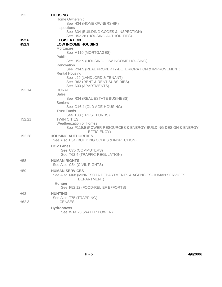| H <sub>52</sub>    | <b>HOUSING</b>                                                            |
|--------------------|---------------------------------------------------------------------------|
|                    | Home Ownership                                                            |
|                    | See H34 (HOME OWNERSHIP)                                                  |
|                    | Inspections                                                               |
|                    | See B34 (BUILDING CODES & INSPECTION)<br>See H52.28 (HOUSING AUTHORITIES) |
| H <sub>52.6</sub>  | <b>LEGISLATION</b>                                                        |
| H <sub>52.9</sub>  | <b>LOW INCOME HOUSING</b>                                                 |
|                    | Mortgages                                                                 |
|                    | See M110 (MORTGAGES)                                                      |
|                    | Public                                                                    |
|                    | See H52.9 (HOUSING-LOW INCOME HOUSING)                                    |
|                    | Renovation                                                                |
|                    | See R34.5 (REAL PROPERTY-DETERIORATION & IMPROVEMENT)                     |
|                    | <b>Rental Housing</b><br>See L20 (LANDLORD & TENANT)                      |
|                    | See R62 (RENT & RENT SUBSIDIES)                                           |
|                    | See A33 (APARTMENTS)                                                      |
| H <sub>52.14</sub> | <b>RURAL</b>                                                              |
|                    | <b>Sales</b>                                                              |
|                    | See R34 (REAL ESTATE BUSINESS)                                            |
|                    | Seniors                                                                   |
|                    | See O16.4 (OLD AGE-HOUSING)<br><b>Trust Funds</b>                         |
|                    | See T88 (TRUST FUNDS)                                                     |
| H <sub>52.21</sub> | <b>TWIN CITIES</b>                                                        |
|                    | Weatherization of Homes                                                   |
|                    | See P119.9 (POWER RESOURCES & ENERGY-BUILDING DESIGN & ENERGY             |
|                    | EFFICIENCY)                                                               |
| H52.28             | <b>HOUSING AUTHORITIES</b>                                                |
|                    | See Also B34 (BUILDING CODES & INSPECTION)                                |
|                    | <b>HOV Lanes</b>                                                          |
|                    | See C75 (COMMUTERS)                                                       |
|                    | See T62.4 (TRAFFIC-REGULATION)                                            |
| H <sub>58</sub>    | <b>HUMAN RIGHTS</b>                                                       |
|                    | See Also C54 (CIVIL RIGHTS)                                               |
| H <sub>59</sub>    | <b>HUMAN SERVICES</b>                                                     |
|                    | See Also M68 (MINNESOTA DEPARTMENTS & AGENCIES-HUMAN SERVICES             |
|                    | DEPARTMENT)                                                               |
|                    | Hunger<br>See F52.12 (FOOD-RELIEF EFFORTS)                                |
|                    |                                                                           |
| H <sub>62</sub>    | <b>HUNTING</b>                                                            |
| H62.3              | See Also T75 (TRAPPING)<br><b>LICENSES</b>                                |
|                    |                                                                           |
|                    | Hydropower                                                                |
|                    | See W14.20 (WATER POWER)                                                  |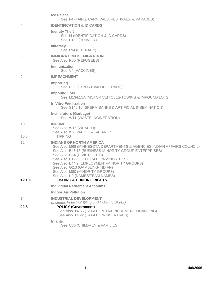|                       | <b>Ice Palace</b><br>See F4 (FAIRS, CARNIVALS, FESTIVALS, & PARADES)                                                                                                                                                                                                                                                                                                                                                                     |
|-----------------------|------------------------------------------------------------------------------------------------------------------------------------------------------------------------------------------------------------------------------------------------------------------------------------------------------------------------------------------------------------------------------------------------------------------------------------------|
| 4                     | <b>IDENTIFICATION &amp; ID CARDS</b>                                                                                                                                                                                                                                                                                                                                                                                                     |
|                       | <b>Identity Theft</b><br>See 14 (IDENTIFICATION & ID CARDS)<br>See P150 (PRIVACY)                                                                                                                                                                                                                                                                                                                                                        |
|                       | <b>Illiteracy</b><br>See L94 (LITERACY)                                                                                                                                                                                                                                                                                                                                                                                                  |
| 8                     | <b>IMMIGRATION &amp; EMIGRATION</b><br>See Also R50 (REFUGEES)                                                                                                                                                                                                                                                                                                                                                                           |
|                       | Immunization<br>See V4 (VACCINES)                                                                                                                                                                                                                                                                                                                                                                                                        |
| 19                    | <b>IMPEACHMENT</b>                                                                                                                                                                                                                                                                                                                                                                                                                       |
|                       | Importing<br>See E82 (EXPORT-IMPORT TRADE)                                                                                                                                                                                                                                                                                                                                                                                               |
|                       | <b>Impound Lots</b><br>See M134.15A (MOTOR VEHICLES-TOWING & IMPOUND LOTS)                                                                                                                                                                                                                                                                                                                                                               |
|                       | In Vitro Fertilization<br>See S146.10 (SPERM BANKS & ARTIFICIAL INSEMINATION)                                                                                                                                                                                                                                                                                                                                                            |
|                       | <b>Incinerators (Garbage)</b><br>See W11 (WASTE INCINERATION)                                                                                                                                                                                                                                                                                                                                                                            |
| 110<br>110.6          | <b>INCOME</b><br>See Also W16 (WEALTH)<br>See Also W2 (WAGES & SALARIES)<br><b>TIPPING</b>                                                                                                                                                                                                                                                                                                                                               |
| 112<br><b>I12.10F</b> | <b>INDIANS OF NORTH AMERICA</b><br>See Also M68 (MINNESOTA DEPARTMENTS & AGENCIES-INDIAN AFFAIRS COUNCIL)<br>See Also B46.18 (BUSINESS-MINORITY GROUP ENTERPRISES)<br>See Also C54 (CIVIL RIGHTS)<br>See Also E12.65 (EDUCATION-MINORITIES)<br>See Also E44.2 (EMPLOYMENT-MINORITY GROUPS)<br>See Also G2.3 (GAMBLING-INDIAN)<br>See Also M80 (MINORITY GROUPS)<br>See Also N2 (NAMES/TEAM NAMES)<br><b>FISHING &amp; HUNTING RIGHTS</b> |
|                       | <b>Individual Retirement Accounts</b>                                                                                                                                                                                                                                                                                                                                                                                                    |
|                       | <b>Indoor Air Pollution</b>                                                                                                                                                                                                                                                                                                                                                                                                              |
| 114                   | <b>INDUSTRIAL DEVELOPMENT</b>                                                                                                                                                                                                                                                                                                                                                                                                            |
| 122.8                 | (Includes Industrial Siting and Industrial Parks)<br><b>POLICY (Government)</b><br>See Also T4.55 (TAXATION-TAX INCREMENT FINANCING)<br>See Also T4.22 (TAXATION-INCENTIVES)                                                                                                                                                                                                                                                             |
|                       | <b>Infants</b><br>See C36 (CHILDREN & FAMILIES)                                                                                                                                                                                                                                                                                                                                                                                          |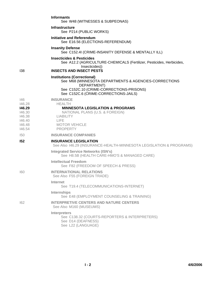|                                                                           | <b>Informants</b><br>See W48 (WITNESSES & SUBPEONAS)                                                                                                                                            |
|---------------------------------------------------------------------------|-------------------------------------------------------------------------------------------------------------------------------------------------------------------------------------------------|
|                                                                           | <b>Infrastructure</b><br>See P214 (PUBLIC WORKS)                                                                                                                                                |
|                                                                           | Initiative and Referendum<br>See E16.56 (ELECTIONS-REFERENDUM)                                                                                                                                  |
|                                                                           | <b>Insanity Defense</b><br>See C152.4I (CRIME-INSANITY DEFENSE & MENTALLY ILL)                                                                                                                  |
| 138                                                                       | <b>Insecticides &amp; Pesticides</b><br>See A12.2 (AGRICULTURE-CHEMICALS (Fertilizer, Pesticides, Herbicides,<br>Insecticides))<br><b>INSECTS AND INSECT PESTS</b>                              |
|                                                                           | <b>Institutions (Correctional)</b><br>See M68 (MINNESOTA DEPARTMENTS & AGENCIES-CORRECTIONS<br>DEPARTMENT)<br>See C152C.10 (CRIME-CORRECTIONS-PRISONS)<br>See C152C.6 (CRIME-CORRECTIONS-JAILS) |
| 146<br>146.28<br>146.29<br>146.30<br>146.38<br>146.40<br>146.48<br>146.54 | <b>INSURANCE</b><br><b>HEALTH</b><br><b>MINNESOTA LEGISLATION &amp; PROGRAMS</b><br>NATIONAL PLANS (U.S. & FOREIGN)<br><b>LIABILITY</b><br>LIFE.<br><b>MOTOR VEHICLE</b><br><b>PROPERTY</b>     |
| 150                                                                       | <b>INSURANCE COMPANIES</b>                                                                                                                                                                      |
| 152                                                                       | <b>INSURANCE LEGISLATION</b><br>See Also 146.29 (INSURANCE-HEALTH-MINNESOTA LEGISLATION & PROGRAMS)                                                                                             |
|                                                                           | <b>Integrated Service Networks (ISN's)</b><br>See H8.5B (HEALTH CARE-HMO'S & MANAGED CARE)                                                                                                      |
|                                                                           | <b>Intellectual Freedom</b><br>See F82 (FREEDOM OF SPEECH & PRESS)                                                                                                                              |
| 160                                                                       | <b>INTERNATIONAL RELATIONS</b><br>See Also F55 (FOREIGN TRADE)                                                                                                                                  |
|                                                                           | Internet<br>See T19.4 (TELECOMMUNICATIONS-INTERNET)                                                                                                                                             |
|                                                                           | Internships<br>See E48 (EMPLOYMENT COUNSELING & TRAINING)                                                                                                                                       |
| 162                                                                       | <b>INTERPRETIVE CENTERS AND NATURE CENTERS</b><br>See Also M160 (MUSEUMS)                                                                                                                       |
|                                                                           | Interpreters<br>See C138.32 (COURTS-REPORTERS & INTERPRETERS)<br>See D14 (DEAFNESS)<br>See L22 (LANGUAGE)                                                                                       |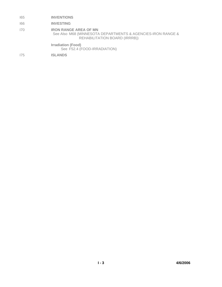# I65 **INVENTIONS**

## I66 **INVESTING**

I70 **IRON RANGE AREA OF MN** See Also M68 (MINNESOTA DEPARTMENTS & AGENCIES-IRON RANGE & REHABILITATION BOARD (IRRRB))

**Irradiation (Food)**

See F52.4 (FOOD-IRRADIATION)

I75 **ISLANDS**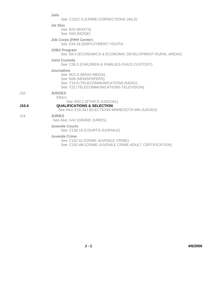|       | Jails                                                                                                                                           |
|-------|-------------------------------------------------------------------------------------------------------------------------------------------------|
|       | See C152C.6 (CRIME-CORRECTIONS-JAILS)                                                                                                           |
|       | <b>Jet Skis</b><br>See B20 (BOATS)<br>See N40 (NOISE)                                                                                           |
|       | <b>Job Corps (HHH Center)</b><br>See E44.18 (EMPLOYMENT-YOUTH)                                                                                  |
|       | <b>JOBZ Program</b><br>See E8.4 (ECONOMICS & ECONOMIC DEVELOPMENT-RURAL AREAS)                                                                  |
|       | <b>Joint Custody</b><br>See C36.3 (CHILDREN & FAMILIES-CHILD CUSTODY)                                                                           |
|       | Journalism<br>See M22.8 (MASS MEDIA)<br>See N36 (NEWSPAPERS)<br>See T19.8 (TELECOMMUNICATIONS-RADIO)<br>See T22 (TELECOMMUNICATIONS-TELEVISION) |
| J10   | <b>JUDGES</b><br>Ethics                                                                                                                         |
| J10.4 | See E62.2 (ETHICS-JUDICIAL)<br><b>QUALIFICATIONS &amp; SELECTION</b><br>See Also E16.30J (ELECTIONS-MINNESOTA-MN-JUDGES)                        |
| J14   | <b>JURIES</b><br>See Also G42 (GRAND JURIES)                                                                                                    |
|       | <b>Juvenile Courts</b><br>See C138.18 (COURTS-JUVENILE)                                                                                         |
|       | Juvenile Crime<br>See C152.4J (CRIME-JUVENILE CRIME)                                                                                            |

See C152.4M (CRIME-JUVENILE CRIME-ADULT CERTIFICATION)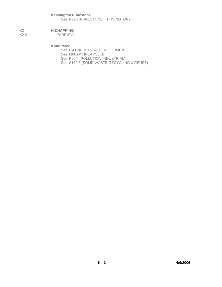# **Kensington Runestone** See R120 (RUNESTONE, KENSINGTON)

#### K2<br>K2.2 **KIDNAPPING**<br>PARENTAL PARENTAL

**Kondirator**

See I14 (INDUSTRIAL DEVELOPMENT) See M66 (MINNEAPOLIS) See P90.4 (POLLUTION-INDUSTRIAL) See S130.8 (SOLID WASTE-RECYCLING & REUSE)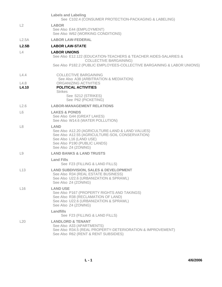|                | <b>Labels and Labeling</b><br>See C102.4 (CONSUMER PROTECTION-PACKAGING & LABELING)                                                                                                                   |
|----------------|-------------------------------------------------------------------------------------------------------------------------------------------------------------------------------------------------------|
| L2             | <b>LABOR</b><br>See Also E44 (EMPLOYMENT)<br>See Also W62 (WORKING CONDITIONS)                                                                                                                        |
| L2.5A          | <b>LABOR LAW-FEDERAL</b>                                                                                                                                                                              |
| L2.5B          | <b>LABOR LAW-STATE</b>                                                                                                                                                                                |
| L4             | <b>LABOR UNIONS</b><br>See Also E12.122 (EDUCATION-TEACHERS & TEACHER AIDES-SALARIES &<br><b>COLLECTIVE BARGAINING)</b><br>See Also P182.2 (PUBLIC EMPLOYEES-COLLECTIVE BARGAINING & LABOR UNIONS)    |
| L4.4           | <b>COLLECTIVE BARGAINING</b><br>See Also A38 (ARBITRATION & MEDIATION)                                                                                                                                |
| L4.8<br>L4.10  | ORGANIZING ACTIVITIES<br><b>POLITICAL ACTIVITIES</b><br><b>Strikes</b><br>See S212 (STRIKES)<br>See P62 (PICKETING)                                                                                   |
| L2.6           | <b>LABOR-MANAGEMENT RELATIONS</b>                                                                                                                                                                     |
| L <sub>6</sub> | <b>LAKES &amp; PONDS</b><br>See Also G44 (GREAT LAKES)<br>See Also W14.6 (WATER POLLUTION)                                                                                                            |
| L8             | <b>LAND</b><br>See Also A12.20 (AGRICULTURE-LAND & LAND VALUES)<br>See Also A12.55 (AGRICULTURE-SOIL CONSERVATION)<br>See Also L16 (LAND USE)<br>See Also P190 (PUBLIC LANDS)<br>See Also Z4 (ZONING) |
| L9             | <b>LAND BANKS &amp; LAND TRUSTS</b>                                                                                                                                                                   |
|                | <b>Land Fills</b><br>See F23 (FILLING & LAND FILLS)                                                                                                                                                   |
| L13            | <b>LAND SUBDIVISION, SALES &amp; DEVELOPMENT</b><br>See Also R34 (REAL ESTATE BUSINESS)<br>See Also U22.6 (URBANIZATION & SPRAWL)<br>See Also Z4 (ZONING)                                             |
| L16            | <b>LAND USE</b><br>See Also P167 (PROPERTY RIGHTS AND TAKINGS)<br>See Also R38 (RECLAMATION OF LAND)<br>See Also U22.6 (URBANIZATION & SPRAWL)<br>See Also Z4 (ZONING)                                |
|                | Landfills<br>See F23 (FILLING & LAND FILLS)                                                                                                                                                           |
| L20            | <b>LANDLORD &amp; TENANT</b><br>See Also A33 (APARTMENTS)<br>See Also R34.5 (REAL PROPERTY-DETERIORATION & IMPROVEMENT)<br>See Also R62 (RENT & RENT SUBSIDIES)                                       |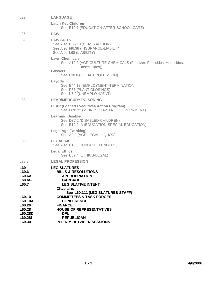| L22                                                                   | <b>LANGUAGE</b>                                                                                                                                                                      |
|-----------------------------------------------------------------------|--------------------------------------------------------------------------------------------------------------------------------------------------------------------------------------|
|                                                                       | <b>Latch Key Children</b><br>See E12.7 (EDUCATION-AFTER-SCHOOL CARE)                                                                                                                 |
| L26                                                                   | LAW                                                                                                                                                                                  |
| L32                                                                   | <b>LAW SUITS</b><br>See Also C56.10 (CLASS ACTION)<br>See Also 146.38 (INSURANCE-LIABILITY)<br>See Also L68 (LIABILITY)                                                              |
|                                                                       | <b>Lawn Chemicals</b><br>See A12.2 (AGRICULTURE-CHEMICALS (Fertilizer, Pesticides, Herbicides,<br>Insecticides))                                                                     |
|                                                                       | Lawyers<br>See L38.8 (LEGAL PROFESSION)                                                                                                                                              |
|                                                                       | Layoffs<br>See E44.13 (EMPLOYMENT-TERMINATION)<br>See P67 (PLANT CLOSINGS)<br>See U6.2 (UNEMPLOYMENT)                                                                                |
| L33                                                                   | <b>LEAD/MERCURY POISONING</b>                                                                                                                                                        |
|                                                                       | <b>LEAP (Loaned Executives Action Program)</b><br>See M70.22 (MINNESOTA-STATE GOVERNMENT)                                                                                            |
|                                                                       | <b>Learning Disabled</b><br>See D37.2 (DISABLED-CHILDREN)<br>See E12.94A (EDUCATION-SPECIAL EDUCATION)                                                                               |
|                                                                       | <b>Legal Age (Drinking)</b><br>See A9.2 (AGE-LEGAL-LIQUOR)                                                                                                                           |
| L <sub>38</sub>                                                       | <b>LEGAL AID</b><br>See Also P180 (PUBLIC DEFENDERS)                                                                                                                                 |
|                                                                       | <b>Legal Ethics</b><br>See E62.4 (ETHICS-LEGAL)                                                                                                                                      |
| L38.8                                                                 | <b>LEGAL PROFESSION</b>                                                                                                                                                              |
| <b>L60</b><br>L60.6<br>L60.6A<br>L60.6G<br>L60.7                      | <b>LEGISLATURES</b><br><b>BILLS &amp; RESOLUTIONS</b><br><b>APPROPRIATION</b><br><b>GARBAGE</b><br><b>LEGISLATIVE INTENT</b><br><b>Chaplains</b><br>See L60.111 (LEGISLATURES-STAFF) |
| L60.10<br>L60.10A<br>L60.26<br>L60.28<br>L60.28D<br>L60.28I<br>L60.30 | <b>COMMITTEES &amp; TASK FORCES</b><br><b>CONFERENCE</b><br><b>FINANCE</b><br><b>HOUSE OF REPRESENTATIVES</b><br><b>DFL</b><br><b>REPUBLICAN</b><br><b>INTERIM BETWEEN SESSIONS</b>  |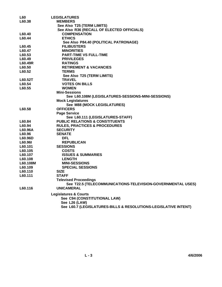| <b>L60</b> | <b>LEGISLATURES</b>                                             |
|------------|-----------------------------------------------------------------|
| L60.38     | <b>MEMBERS</b>                                                  |
|            | See Also T25 (TERM LIMITS)                                      |
|            | See Also R36 (RECALL OF ELECTED OFFICIALS)                      |
| L60.40     | <b>COMPENSATION</b>                                             |
| L60.44     | <b>ETHICS</b>                                                   |
|            | See Also P84.40 (POLITICAL PATRONAGE)                           |
| L60.45     | <b>FILIBUSTERS</b>                                              |
| L60.47     | <b>MINORITIES</b>                                               |
| L60.53     | <b>PART-TIME VS FULL-TIME</b>                                   |
| L60.49     | <b>PRIVILEGES</b>                                               |
| L60.49R    | <b>RATINGS</b>                                                  |
| L60.50     | <b>RETIREMENT &amp; VACANCIES</b>                               |
| L60.52     | <b>TERMS</b>                                                    |
|            | See Also T25 (TERM LIMITS)                                      |
| L60.52T    | <b>TRAVEL</b>                                                   |
| L60.54     | <b>VOTES ON BILLS</b>                                           |
| L60.55     | <b>WOMEN</b>                                                    |
|            | <b>Mini-Sessions</b>                                            |
|            | See L60.108M (LEGISLATURES-SESSIONS-MINI-SESSIONS)              |
|            | <b>Mock Legislatures</b>                                        |
|            | See M88 (MOCK LEGISLATURES)                                     |
| L60.58     | <b>OFFICERS</b>                                                 |
|            | <b>Page Service</b>                                             |
|            | See L60.111 (LEGISLATURES-STAFF)                                |
| L60.84     | <b>PUBLIC RELATIONS &amp; CONSTITUENTS</b>                      |
| L60.94     | <b>RULES, PRACTICES &amp; PROCEDURES</b>                        |
| L60.96A    | <b>SECURITY</b>                                                 |
| L60.96     | <b>SENATE</b>                                                   |
| L60.96D    | <b>DFL</b>                                                      |
| L60.96I    | <b>REPUBLICAN</b>                                               |
| L60.101    | <b>SESSIONS</b>                                                 |
| L60.105    | <b>COSTS</b>                                                    |
| L60.107    | <b>ISSUES &amp; SUMMARIES</b>                                   |
| L60.108    | <b>LENGTH</b>                                                   |
| L60.108M   | <b>MINI-SESSIONS</b>                                            |
| L60.109    | <b>SPECIAL SESSIONS</b>                                         |
| L60.110    | <b>SIZE</b>                                                     |
| L60.111    | <b>STAFF</b>                                                    |
|            | <b>Televised Proceedings</b>                                    |
|            | See T22.5 (TELECOMMUNICATIONS-TELEVISION-GOVERNMENTAL USES)     |
| L60.116    | <b>UNICAMERAL</b>                                               |
|            | <b>Legislatures &amp; Courts</b>                                |
|            | See C94 (CONSTITUTIONAL LAW)                                    |
|            | See L26 (LAW)                                                   |
|            | See L60.7 (LEGISLATURES-BILLS & RESOLUTIONS-LEGISLATIVE INTENT) |
|            |                                                                 |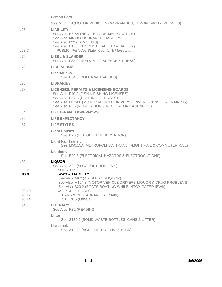**Lemon Cars** See M134.18 (MOTOR VEHICLES-WARRANTIES, LEMON LAWS & RECALLS) L68 **LIABILITY** See Also H8.6A (HEALTH CARE-MALPRACTICE) See Also I46.38 (INSURANCE-LIABILITY) See Also L32 (LAW SUITS) See Also P156 (PRODUCT LIABILITY & SAFETY) L68.7 PUBLIC *(Includes State, County, & Municipal)* L70 **LIBEL & SLANDER** See Also F82 (FREEDOM OF SPEECH & PRESS) L72 **LIBERALISM Libertarians** See P84.8 (POLITICAL PARTIES) L76 **LIBRARIES** L78 **LICENSES, PERMITS & LICENSING BOARDS** See Also F40.2 (FISH & FISHING-LICENSES) See Also H62.3 (HUNTING-LICENSES) See Also M124.6 (MOTOR VEHICLE DRIVERS-DRIVER LICENSES & TRAINING) See Also R55 (REGULATION & REGULATORY AGENCIES) L84 **LIEUTENANT GOVERNORS** L86 **LIFE EXPECTANCY** L87 **LIFE STYLES Light Houses** See H26 (HISTORIC PRESERVATION) **Light Rail Transit** See M50.15A (METROPOLITAN TRANSIT-LIGHT RAIL & COMMUTER RAIL) **Lightning** See E20.8 (ELECTRICAL HAZARDS & ELECTROCUTIONS) L90 **LIQUOR** See Also A24 (ALCOHOL PROBLEMS) L90.2 INDUSTRY **L90.8 LAWS & LIABILITY** See Also A9.2 (AGE-LEGAL-LIQUOR) See Also M124.8 (MOTOR VEHICLE DRIVERS-LIQUOR & DRUG PROBLEMS) See Also B20.2 (BOATS-BOATING WHILE INTOXICATED (BWI)) L90.10 SALES & LICENSES L90.12 BARS & RESTAURANTS (Onsale) L90.14 STORES (Offsale) L94 **LITERACY** See Also R32 (READING) **Litter** See S130.2 (SOLID WASTE-BOTTLES, CANS & LITTER) **Livestock** See A12.22 (AGRICULTURE-LIVESTOCK)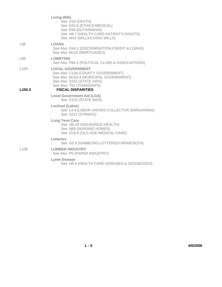| <b>Living Wills</b><br>See D16 (DEATH)<br>See E62.6 (ETHICS-MEDICAL)<br>See E66 (EUTHANASIA)<br>See H8.7 (HEALTH CARE-PATIENT'S RIGHTS)<br>See W42 (WILLS/LIVING WILLS) |
|-------------------------------------------------------------------------------------------------------------------------------------------------------------------------|
| LOANS<br>See Also D44.2 (DISCRIMINATION-CREDIT & LOANS)<br>See Also M110 (MORTGAGES)                                                                                    |
| <b>LOBBYING</b><br>See Also P84.2 (POLITICAL CLUBS & ASSOCIATIONS)                                                                                                      |
| <b>LOCAL GOVERNMENT</b><br>See Also C134 (COUNTY GOVERNMENT)<br>See Also M150.4 (MUNICIPAL GOVERNMENT)<br>See Also S152 (STATE AIDS)<br>See Also T52 (TOWNSHIPS)        |
| <b>FISCAL DISPARITIES</b>                                                                                                                                               |
| <b>Local Government Aid (LGA)</b><br>See S152 (STATE AIDS)                                                                                                              |
| Lockout (Labor)<br>See L4.4 (LABOR UNIONS-COLLECTIVE BARGAINING)<br>See S212 (STRIKES)                                                                                  |
| <b>Long Term Care</b><br>See I46.28 (INSURANCE-HEALTH)<br>See N68 (NURSING HOMES)<br>See O16.6 (OLD AGE-MEDICAL CARE)                                                   |
| Lotteries<br>See G2.6 (GAMBLING-LOTTERIES-MINNESOTA)                                                                                                                    |
| <b>LUMBER INDUSTRY</b><br>See Also P6 (PAPER INDUSTRY)                                                                                                                  |
| <b>Lyme Disease</b><br>See H8.4 (HEALTH CARE-DISEASES & SICKNESSES)                                                                                                     |
|                                                                                                                                                                         |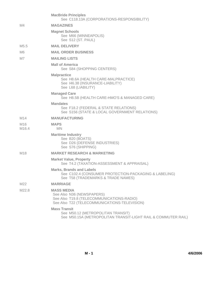|              | <b>MacBride Principles</b><br>See C118.13A (CORPORATIONS-RESPONSIBILITY)                                                                    |
|--------------|---------------------------------------------------------------------------------------------------------------------------------------------|
| M4           | <b>MAGAZINES</b>                                                                                                                            |
|              | <b>Magnet Schools</b><br>See M66 (MINNEAPOLIS)<br>See S12 (ST. PAUL)                                                                        |
| M5.5         | <b>MAIL DELIVERY</b>                                                                                                                        |
| M6           | <b>MAIL ORDER BUSINESS</b>                                                                                                                  |
| M7           | <b>MAILING LISTS</b>                                                                                                                        |
|              | <b>Mall of America</b><br>See S84 (SHOPPING CENTERS)                                                                                        |
|              | <b>Malpractice</b><br>See H8.6A (HEALTH CARE-MALPRACTICE)<br>See 146.38 (INSURANCE-LIABILITY)<br>See L68 (LIABILITY)                        |
|              | <b>Managed Care</b><br>See H8.5B (HEALTH CARE-HMO'S & MANAGED CARE)                                                                         |
|              | <b>Mandates</b><br>See F18.2 (FEDERAL & STATE RELATIONS)<br>See S156 (STATE & LOCAL GOVERNMENT RELATIONS)                                   |
| M14          | <b>MANUFACTURING</b>                                                                                                                        |
| M16<br>M16.4 | <b>MAPS</b><br><b>MN</b>                                                                                                                    |
|              | <b>Maritime Industry</b><br>See B20 (BOATS)<br>See D26 (DEFENSE INDUSTRIES)<br>See S76 (SHIPPING)                                           |
| M18          | <b>MARKET RESEARCH &amp; MARKETING</b>                                                                                                      |
|              | <b>Market Value, Property</b><br>See T4.2 (TAXATION-ASSESSMENT & APPRAISAL)                                                                 |
|              | <b>Marks, Brands and Labels</b><br>See C102.4 (CONSUMER PROTECTION-PACKAGING & LABELING)<br>See T58 (TRADEMARKS & TRADE NAMES)              |
| M22          | <b>MARRIAGE</b>                                                                                                                             |
| M22.8        | <b>MASS MEDIA</b><br>See Also N36 (NEWSPAPERS)<br>See Also T19.8 (TELECOMMUNICATIONS-RADIO)<br>See Also T22 (TELECOMMUNICATIONS-TELEVISION) |
|              | <b>Mass Transit</b><br>See M50.12 (METROPOLITAN TRANSIT)<br>See M50.15A (METROPOLITAN TRANSIT-LIGHT RAIL & COMMUTER RAIL)                   |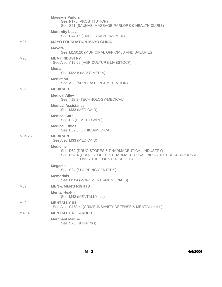|        | <b>Massage Parlors</b><br>See P170 (PROSTITUTION)<br>See S21 (SAUNAS, MASSAGE PARLORS & HEALTH CLUBS)                                                            |
|--------|------------------------------------------------------------------------------------------------------------------------------------------------------------------|
|        | <b>Maternity Leave</b><br>See E44.16 (EMPLOYMENT-WOMEN)                                                                                                          |
| M26    | <b>MAYO FOUNDATION-MAYO CLINIC</b>                                                                                                                               |
|        | <b>Mayors</b><br>See M150.20 (MUNICIPAL OFFICIALS AND SALARIES)                                                                                                  |
| M28    | <b>MEAT INDUSTRY</b><br>See Also A12.22 (AGRICULTURE-LIVESTOCK)                                                                                                  |
|        | <b>Media</b><br>See M22.8 (MASS MEDIA)                                                                                                                           |
|        | <b>Mediation</b><br>See A38 (ARBITRATION & MEDIATION)                                                                                                            |
| M33    | <b>MEDICAID</b>                                                                                                                                                  |
|        | <b>Medical Alley</b><br>See T18.8 (TECHNOLOGY-MEDICAL)                                                                                                           |
|        | <b>Medical Assistance</b><br>See M33 (MEDICAID)                                                                                                                  |
|        | <b>Medical Care</b><br>See H8 (HEALTH CARE)                                                                                                                      |
|        | <b>Medical Ethics</b><br>See E62.6 (ETHICS-MEDICAL)                                                                                                              |
| M34.26 | <b>MEDICARE</b><br>See Also M33 (MEDICAID)                                                                                                                       |
|        | <b>Medicine</b><br>See D62 (DRUG STORES & PHARMACEUTICAL INDUSTRY)<br>See D62.4 (DRUG STORES & PHARMACEUTICAL INDUSTRY-PRESCRIPTION &<br>OVER THE COUNTER DRUGS) |
|        | Megamall<br>See S84 (SHOPPING CENTERS)                                                                                                                           |
|        | <b>Memorials</b><br>See M104 (MONUMENTS/MEMORIALS)                                                                                                               |
| M37    | <b>MEN &amp; MEN'S RIGHTS</b>                                                                                                                                    |
|        | <b>Mental Health</b><br>See M42 (MENTALLY ILL)                                                                                                                   |
| M42    | <b>MENTALLY ILL</b><br>See Also C152.4I (CRIME-INSANITY DEFENSE & MENTALLY ILL)                                                                                  |
| M42.4  | <b>MENTALLY RETARDED</b>                                                                                                                                         |
|        | <b>Merchant Marine</b><br>See S76 (SHIPPING)                                                                                                                     |

**M - 2 4/6/2006**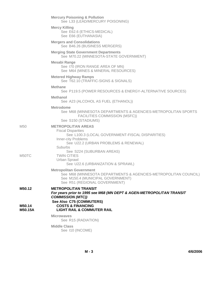|                             | <b>Mercury Poisoning &amp; Pollution</b><br>See L33 (LEAD/MERCURY POISONING)                                                                                                                                                         |
|-----------------------------|--------------------------------------------------------------------------------------------------------------------------------------------------------------------------------------------------------------------------------------|
|                             | <b>Mercy Killing</b><br>See E62.6 (ETHICS-MEDICAL)<br>See E66 (EUTHANASIA)                                                                                                                                                           |
|                             | <b>Mergers and Consolidations</b><br>See B46.26 (BUSINESS MERGERS)                                                                                                                                                                   |
|                             | <b>Merging State Government Departments</b><br>See M70.22 (MINNESOTA-STATE GOVERNMENT)                                                                                                                                               |
|                             | <b>Mesabi Range</b><br>See I70 (IRON RANGE AREA OF MN)<br>See M64 (MINES & MINERAL RESOURCES)                                                                                                                                        |
|                             | <b>Metered Highway Ramps</b><br>See T62.10 (TRAFFIC-SIGNS & SIGNALS)                                                                                                                                                                 |
|                             | <b>Methane</b><br>See P119.5 (POWER RESOURCES & ENERGY-ALTERNATIVE SOURCES)                                                                                                                                                          |
|                             | <b>Methanol</b><br>See A23 (ALCOHOL AS FUEL (ETHANOL))                                                                                                                                                                               |
|                             | <b>Metrodome</b><br>See M68 (MINNESOTA DEPARTMENTS & AGENCIES-METROPOLITAN SPORTS<br>FACILITIES COMMISSION (MSFC))<br>See S150 (STADIUMS)                                                                                            |
| M50                         | <b>METROPOLITAN AREAS</b><br><b>Fiscal Disparities</b><br>See L100.3 (LOCAL GOVERNMENT-FISCAL DISPARITIES)<br><b>Inner-city Problems</b><br>See U22.2 (URBAN PROBLEMS & RENEWAL)<br>Suburbs                                          |
| M50TC                       | See S224 (SUBURBAN AREAS)<br><b>TWIN CITIES</b><br>Urban Sprawl<br>See U22.6 (URBANIZATION & SPRAWL)                                                                                                                                 |
|                             | <b>Metropolitan Government</b><br>See M68 (MINNESOTA DEPARTMENTS & AGENCIES-METROPOLITAN COUNCIL)<br>See M150.4 (MUNICIPAL GOVERNMENT)<br>See R51 (REGIONAL GOVERNMENT)                                                              |
| M50.12<br>M50.14<br>M50.15A | <b>METROPOLITAN TRANSIT</b><br>For years prior to 1995 see M68 (MN DEPT & AGEN-METROPOLITAN TRANSIT<br><b>COMMISSION (MTC))</b><br>See Also C75 (COMMUTERS)<br><b>COSTS &amp; FINANCING</b><br><b>LIGHT RAIL &amp; COMMUTER RAIL</b> |
|                             | <b>Microwaves</b><br>See R15 (RADIATION)                                                                                                                                                                                             |
|                             | <b>Middle Class</b><br>See I10 (INCOME)                                                                                                                                                                                              |
|                             |                                                                                                                                                                                                                                      |

**M - 3 4/6/2006**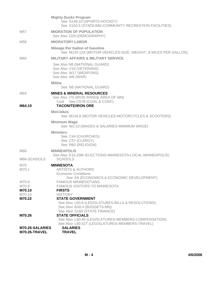| M70.8<br>M70.9<br>M70.10    | See E8 (ECONOMICS & ECONOMIC DEVELOPMENT)<br><b>FAMOUS MINNESOTANS</b><br><b>FAMOUS VISITORS TO MINNESOTA</b><br><b>FIRSTS</b>                        |
|-----------------------------|-------------------------------------------------------------------------------------------------------------------------------------------------------|
| M66-SCHOOLS<br>M70<br>M70.1 | See Also E16.20M (ELECTIONS-MINNESOTA-LOCAL-MINNEAPOLIS)<br><b>SCHOOLS</b><br><b>MINNESOTA</b><br><b>ARTISTS &amp; AUTHORS</b><br>Economic Conditions |
| M66                         | <b>MINNEAPOLIS</b>                                                                                                                                    |
|                             | <b>Ministers</b><br>See C44 (CHURCHES)<br>See C57 (CLERGY)<br>See R60 (RELIGION)                                                                      |
|                             | <b>Minimum Wage</b><br>See W2.10 (WAGES & SALARIES-MINIMUM WAGE)                                                                                      |
|                             | Mini-bikes<br>See M134.8 (MOTOR VEHICLES-MOTORCYCLES & SCOOTERS)                                                                                      |
| M64.10                      | See Also 170 (IRON RANGE AREA OF MN)<br>Coal See C57B (COAL & COKE)<br><b>TACONITE/IRON ORE</b>                                                       |
| M64                         | Militia<br>See N8 (NATIONAL GUARD)<br><b>MINES &amp; MINERAL RESOURCES</b>                                                                            |
|                             | See Also N8 (NATIONAL GUARD)<br>See Also V16 (VETERANS)<br>See Also W17 (WEAPONS)<br>See Also W6 (WAR)                                                |
| M60                         | <b>MILITARY AFFAIRS &amp; MILITARY SERVICE</b>                                                                                                        |
|                             | <b>Mileage Per Gallon of Gasoline</b><br>See M134.12A (MOTOR VEHICLES-SIZE, WEIGHT, & MILES PER GALLON)                                               |
| M <sub>58</sub>             | See Also D29 (DEMOGRAPHY)<br><b>MIGRATORY LABOR</b>                                                                                                   |
| M57                         | <b>Mighty Ducks Program</b><br>See S148.10 (SPORTS-HOCKEY)<br>See S150.5 (STADIUMS-COMMUNITY RECREATION FACILITIES)<br><b>MIGRATION OF POPULATION</b> |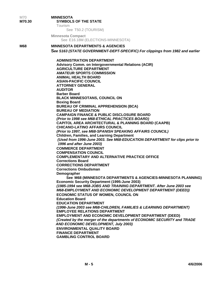| M70<br>M70.30 | <b>MINNESOTA</b><br><b>SYMBOLS OF THE STATE</b><br><b>Tourism</b><br>See T50.2 (TOURISM)                                                                                                                                                                                                                                                                                                                                                                                                                                                                                                                                                                                                                                                                                                                                                                                                                                                                                                                                                                                                                                                                                                                                                                                                                                                                                                                                                                                                                                                                                                                                                                                                                                                                                                                                                                                                                              |
|---------------|-----------------------------------------------------------------------------------------------------------------------------------------------------------------------------------------------------------------------------------------------------------------------------------------------------------------------------------------------------------------------------------------------------------------------------------------------------------------------------------------------------------------------------------------------------------------------------------------------------------------------------------------------------------------------------------------------------------------------------------------------------------------------------------------------------------------------------------------------------------------------------------------------------------------------------------------------------------------------------------------------------------------------------------------------------------------------------------------------------------------------------------------------------------------------------------------------------------------------------------------------------------------------------------------------------------------------------------------------------------------------------------------------------------------------------------------------------------------------------------------------------------------------------------------------------------------------------------------------------------------------------------------------------------------------------------------------------------------------------------------------------------------------------------------------------------------------------------------------------------------------------------------------------------------------|
|               | <b>Minnesota Compact</b><br>See E16.18M (ELECTIONS-MINNESOTA)                                                                                                                                                                                                                                                                                                                                                                                                                                                                                                                                                                                                                                                                                                                                                                                                                                                                                                                                                                                                                                                                                                                                                                                                                                                                                                                                                                                                                                                                                                                                                                                                                                                                                                                                                                                                                                                         |
| M68           | <b>MINNESOTA DEPARTMENTS &amp; AGENCIES</b><br>See S163 (STATE GOVERNMENT-DEPT-SPECIFIC) For clippings from 1982 and earlier                                                                                                                                                                                                                                                                                                                                                                                                                                                                                                                                                                                                                                                                                                                                                                                                                                                                                                                                                                                                                                                                                                                                                                                                                                                                                                                                                                                                                                                                                                                                                                                                                                                                                                                                                                                          |
|               | <b>ADMINISTRATION DEPARTMENT</b><br>Advisory Comm. on Intergovernmental Relations (ACIR)<br><b>AGRICULTURE DEPARTMENT</b><br><b>AMATEUR SPORTS COMMISSION</b><br><b>ANIMAL HEALTH BOARD</b><br><b>ASIAN-PACIFIC COUNCIL</b><br><b>ATTORNEY GENERAL</b><br><b>AUDITOR</b><br><b>Barber Board</b><br><b>BLACK MINNESOTANS, COUNCIL ON</b><br><b>Boxing Board</b><br><b>BUREAU OF CRIMINAL APPREHENSION (BCA)</b><br><b>BUREAU OF MEDIATION</b><br><b>CAMPAIGN FINANCE &amp; PUBLIC DISCLOSURE BOARD</b><br>(Prior to 1998 see M68-ETHICAL PRACTICES BOARD)<br><b>CAPITOL AREA ARCHITECTURAL &amp; PLANNING BOARD (CAAPB)</b><br><b>CHICANO-LATINO AFFAIRS COUNCIL</b><br>(Prior to 1997, see M68-SPANISH SPEAKING AFFAIRS COUNCIL)<br><b>Children, Families, and Learning Department</b><br>(Used from 1996-June 2003. See M68-EDUCATION DEPARTMENT for clips prior to<br>1996 and after June 2003)<br><b>COMMERCE DEPARTMENT</b><br><b>COMPENSATION COUNCIL</b><br><b>COMPLEMENTARY AND ALTERNATIVE PRACTICE OFFICE</b><br><b>Corrections Board</b><br><b>CORRECTIONS DEPARTMENT</b><br><b>Corrections Ombudsman</b><br>Demographer<br>See M68 (MINNESOTA DEPARTMENTS & AGENCIES-MINNESOTA PLANNING)<br><b>Economic Security Department (1995-June 2003)</b><br>(1985-1994 see M68-JOBS AND TRAINING DEPARTMENT. After June 2003 see<br><b>M68-EMPLOYMENT AND ECONOMIC DEVELOPMENT DEPARTMENT (DEED))</b><br><b>ECONOMIC STATUS OF WOMEN, COUNCIL ON</b><br><b>Education Board</b><br><b>EDUCATION DEPARTMENT</b><br>(1996-June 2003 see M68-CHILDREN, FAMILIES & LEARNING DEPARTMENT)<br><b>EMPLOYEE RELATIONS DEPARTMENT</b><br><b>EMPLOYMENT AND ECONOMIC DEVELOPMENT DEPARTMENT (DEED)</b><br>(Created by the merger of the departments of ECONOMIC SECURITY and TRADE<br>AND ECONOMIC DEVELOPMENT, July 2003)<br><b>ENVIRONMENTAL QUALITY BOARD</b><br><b>FINANCE DEPARTMENT</b><br><b>GAMBLING CONTROL BOARD</b> |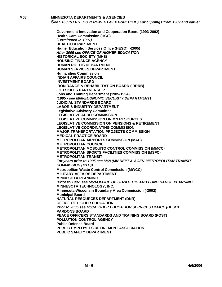**M68 MINNESOTA DEPARTMENTS & AGENCIES S***ee S163 (STATE GOVERNMENT-DEPT-SPECIFIC) For clippings from 1982 and earlier* 

> **Government Innovation and Cooperation Board (1993-2002) Health Care Commission (HCC)** *(Terminated in 1997)* **HEALTH DEPARTMENT Higher Education Services Office (HESO) (-2005)** *After 2005 see OFFICE OF HIGHER EDUCATION* **HISTORICAL SOCIETY (MHS) HOUSING FINANCE AGENCY HUMAN RIGHTS DEPARTMENT HUMAN SERVICES DEPARTMENT Humanities Commission INDIAN AFFAIRS COUNCIL INVESTMENT BOARD IRON RANGE & REHABILITATION BOARD (IRRRB) JOB SKILLS PARTNERSHIP Jobs and Training Department (1985-1994)** *(1995 - see M68-ECONOMIC SECURITY DEPARTMENT)* **JUDICIAL STANDARDS BOARD LABOR & INDUSTRY DEPARTMENT Legislative Advisory Committee LEGISLATIVE AUDIT COMMISSION LEGISLATIVE COMMISSION ON MN RESOURCES LEGISLATIVE COMMISSION ON PENSIONS & RETIREMENT LEGISLATIVE COORDINATING COMMISSION MAJOR TRANSPORTATION PROJECTS COMMISSION MEDICAL PRACTICE BOARD METROPOLITAN AIRPORTS COMMISSION (MAC) METROPOLITAN COUNCIL METROPOLITAN MOSQUITO CONTROL COMMISSION (MMCC) METROPOLITAN SPORTS FACILITIES COMMISSION (MSFC) METROPOLITAN TRANSIT** *For years prior to 1995 see M68 (MN DEPT & AGEN-METROPOLITAN TRANSIT COMMISSION (MTC))* **Metropolitan Waste Control Commission (MWCC) MILITARY AFFAIRS DEPARTMENT MINNESOTA PLANNING** *(Prior to 1997, see M68-OFFICE OF STRATEGIC AND LONG RANGE PLANNING*  **MINNESOTA TECHNOLOGY, INC. Minnesota-Wisconsin Boundary Area Commission (-2002) Municipal Board NATURAL RESOURCES DEPARTMENT (DNR) OFFICE OF HIGHER EDUCATION** *Prior to 2005 see M68-HIGHER EDUCATION SERVICES OFFICE (HESO)* **PARDONS BOARD PEACE OFFICERS STANDARDS AND TRAINING BOARD (POST) POLLUTION CONTROL AGENCY Public Defense Board PUBLIC EMPLOYEES RETIREMENT ASSOCIATION PUBLIC SAFETY DEPARTMENT**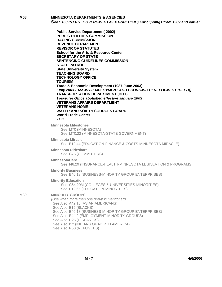**M68 MINNESOTA DEPARTMENTS & AGENCIES S***ee S163 (STATE GOVERNMENT-DEPT-SPECIFIC) For clippings from 1982 and earlier* 

> **Public Service Department (-2002) PUBLIC UTILITIES COMMISSION RACING COMMISSION REVENUE DEPARTMENT REVISOR OF STATUTES School for the Arts & Resource Center SECRETARY OF STATE SENTENCING GUIDELINES COMMISSION STATE PATROL State University System TEACHING BOARD TECHNOLOGY OFFICE TOURISM Trade & Economic Development (1987-June 2003)** *(July 2003 - see M68-EMPLOYMENT AND ECONOMIC DEVELOPMENT (DEED))* **TRANSPORTATION DEPARTMENT (DOT) Treasurer** *Office abolished effective January 2003* **VETERANS AFFAIRS DEPARTMENT VETERANS HOME WATER AND SOIL RESOURCES BOARD World Trade Center ZOO**

**Minnesota Milestones** See M70 (MINNESOTA) See M70.22 (MINNESOTA-STATE GOVERNMENT)

**Minnesota Miracle**

See E12.44 (EDUCATION-FINANCE & COSTS-MINNESOTA MIRACLE)

**Minnesota Rideshare**

See C75 (COMMUTERS)

**MinnesotaCare**

See I46.29 (INSURANCE-HEALTH-MINNESOTA LEGISLATION & PROGRAMS)

#### **Minority Business**

See B46.18 (BUSINESS-MINORITY GROUP ENTERPRISES)

#### **Minority Education**

See C64.20M (COLLEGES & UNIVERSITIES-MINORITIES) See E12.65 (EDUCATION-MINORITIES)

#### M80 **MINORITY GROUPS**

*(Use when more than one group is mentioned)* See Also A42.10 (ASIAN AMERICANS) See Also B15 (BLACKS) See Also B46.18 (BUSINESS-MINORITY GROUP ENTERPRISES) See Also E44.2 (EMPLOYMENT-MINORITY GROUPS) See Also H25 (HISPANICS) See Also I12 (INDIANS OF NORTH AMERICA) See Also R50 (REFUGEES)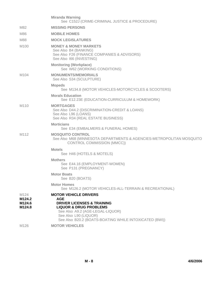|                                    | <b>Miranda Warning</b><br>See C152J (CRIME-CRIMINAL JUSTICE & PROCEDURE)                                                                                                                                                                        |
|------------------------------------|-------------------------------------------------------------------------------------------------------------------------------------------------------------------------------------------------------------------------------------------------|
| M82                                | <b>MISSING PERSONS</b>                                                                                                                                                                                                                          |
| M86                                | <b>MOBILE HOMES</b>                                                                                                                                                                                                                             |
| M88                                | <b>MOCK LEGISLATURES</b>                                                                                                                                                                                                                        |
| M <sub>100</sub>                   | <b>MONEY &amp; MONEY MARKETS</b><br>See Also B4 (BANKING)<br>See Also F26 (FINANCE COMPANIES & ADVISORS)<br>See Also 166 (INVESTING)                                                                                                            |
|                                    | <b>Monitoring (Workplace)</b><br>See W62 (WORKING CONDITIONS)                                                                                                                                                                                   |
| M <sub>104</sub>                   | <b>MONUMENTS/MEMORIALS</b><br>See Also S34 (SCULPTURE)                                                                                                                                                                                          |
|                                    | <b>Mopeds</b><br>See M134.8 (MOTOR VEHICLES-MOTORCYCLES & SCOOTERS)                                                                                                                                                                             |
|                                    | <b>Morals Education</b><br>See E12.23E (EDUCATION-CURRICULUM & HOMEWORK)                                                                                                                                                                        |
| M <sub>110</sub>                   | <b>MORTGAGES</b><br>See Also D44.2 (DISCRIMINATION-CREDIT & LOANS)<br>See Also L96 (LOANS)<br>See Also R34 (REAL ESTATE BUSINESS)                                                                                                               |
|                                    | <b>Morticians</b><br>See E34 (EMBALMERS & FUNERAL HOMES)                                                                                                                                                                                        |
| M <sub>1</sub> 12                  | <b>MOSQUITO CONTROL</b><br>See Also M68 (MINNESOTA DEPARTMENTS & AGENCIES-METROPOLITAN MOSQUITO<br>CONTROL COMMISSION (MMCC))                                                                                                                   |
|                                    | <b>Motels</b><br>See H46 (HOTELS & MOTELS)                                                                                                                                                                                                      |
|                                    | <b>Mothers</b><br>See E44.16 (EMPLOYMENT-WOMEN)<br>See P131 (PREGNANCY)                                                                                                                                                                         |
|                                    | <b>Motor Boats</b><br>See B20 (BOATS)                                                                                                                                                                                                           |
|                                    | <b>Motor Homes</b><br>See M126.2 (MOTOR VEHICLES-ALL-TERRAIN & RECREATIONAL)                                                                                                                                                                    |
| M124<br>M124.2<br>M124.6<br>M124.8 | <b>MOTOR VEHICLE DRIVERS</b><br><b>AGE</b><br><b>DRIVER LICENSES &amp; TRAINING</b><br><b>LIQUOR &amp; DRUG PROBLEMS</b><br>See Also A9.2 (AGE-LEGAL-LIQUOR)<br>See Also L90 (LIQUOR)<br>See Also B20.2 (BOATS-BOATING WHILE INTOXICATED (BWI)) |
| M <sub>126</sub>                   | <b>MOTOR VEHICLES</b>                                                                                                                                                                                                                           |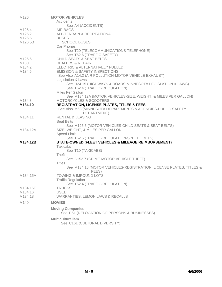| M126             | <b>MOTOR VEHICLES</b>                                                       |
|------------------|-----------------------------------------------------------------------------|
|                  | Accidents<br>See A4 (ACCIDENTS)                                             |
| M126.4           | <b>AIR BAGS</b>                                                             |
| M126.2           | ALL-TERRAIN & RECREATIONAL                                                  |
| M126.5           | <b>BUSES</b>                                                                |
| M126.5B          | <b>SCHOOL BUSES</b>                                                         |
|                  | Car Phones                                                                  |
|                  | See T20 (TELECOMMUNICATIONS-TELEPHONE)                                      |
|                  | See T62.6 (TRAFFIC-SAFETY)                                                  |
| M126.6           | <b>CHILD SEATS &amp; SEAT BELTS</b>                                         |
| M130             | <b>DEALERS &amp; REPAIR</b>                                                 |
| M134.2           | ELECTRIC & ALTERNATIVELY FUELED                                             |
| M134.6           | <b>EMISSION &amp; SAFETY INSPECTIONS</b>                                    |
|                  | See Also A14.2 (AIR POLLUTION-MOTOR VEHICLE EXHAUST)                        |
|                  | Legislation & Laws                                                          |
|                  | See H24.15 (HIGHWAYS & ROADS-MINNESOTA LEGISLATION & LAWS)                  |
|                  | See T62.4 (TRAFFIC-REGULATION)                                              |
|                  | Miles Per Gallon                                                            |
|                  | See M134.12A (MOTOR VEHICLES-SIZE, WEIGHT, & MILES PER GALLON)              |
| M134.8           | <b>MOTORCYCLES &amp; SCOOTERS</b>                                           |
| M134.10          | <b>REGISTRATION, LICENSE PLATES, TITLES &amp; FEES</b>                      |
|                  | See Also M68 (MINNESOTA DEPARTMENTS & AGENCIES-PUBLIC SAFETY<br>DEPARTMENT) |
| M134.11          | <b>RENTAL &amp; LEASING</b>                                                 |
|                  | <b>Seat Belts</b>                                                           |
|                  | See M126.6 (MOTOR VEHICLES-CHILD SEATS & SEAT BELTS)                        |
| M134.12A         | SIZE, WEIGHT, & MILES PER GALLON                                            |
|                  | <b>Speed Limit</b>                                                          |
|                  | See T62.5 (TRAFFIC-REGULATION-SPEED LIMITS)                                 |
| M134.12B         | STATE-OWNED (FLEET VEHICLES & MILEAGE REIMBURSEMENT)                        |
|                  | <b>Taxicabs</b>                                                             |
|                  | See T10 (TAXICABS)                                                          |
|                  | Theft                                                                       |
|                  | See C152.7 (CRIME-MOTOR VEHICLE THEFT)                                      |
|                  | <b>Titles</b>                                                               |
|                  | See M134.10 (MOTOR VEHICLES-REGISTRATION, LICENSE PLATES, TITLES &          |
|                  | FEES)                                                                       |
| M134.15A         | <b>TOWING &amp; IMPOUND LOTS</b><br><b>Traffic Regulation</b>               |
|                  | See T62.4 (TRAFFIC-REGULATION)                                              |
| M134.15T         | <b>TRUCKS</b>                                                               |
| M134.16          | <b>USED</b>                                                                 |
| M134.18          | <b>WARRANTIES, LEMON LAWS &amp; RECALLS</b>                                 |
| M <sub>140</sub> | <b>MOVIES</b>                                                               |
|                  |                                                                             |
|                  | <b>Moving Companies</b><br>See R61 (RELOCATION OF PERSONS & BUSINESSES)     |
|                  |                                                                             |
|                  | <b>Multiculturalism</b>                                                     |

See C161 (CULTURAL DIVERSITY)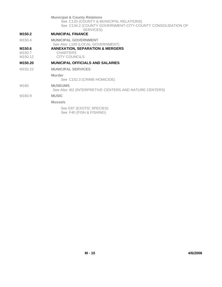**Municipal & County Relations**

See C133 (COUNTY & MUNICIPAL RELATIONS) See C134.2 (COUNTY GOVERNMENT-CITY-COUNTY CONSOLIDATION OF SERVICES)

# **M150.2 MUNICIPAL FINANCE**

M150.4 **MUNICIPAL GOVERNMENT** See Also L100 (LOCAL GOVERNMENT)

# **M150.6 ANNEXATION, SEPARATION & MERGERS**

M150.7 CHARTERS<br>M150.12 CITY COUN

**CITY COUNCILS** 

## **M150.20 MUNICIPAL OFFICIALS AND SALARIES**

M150.22 **MUNICIPAL SERVICES**

**Murder**

See C152.3 (CRIME-HOMICIDE)

M160 **MUSEUMS**

See Also I62 (INTERPRETIVE CENTERS AND NATURE CENTERS)

# M160.9 **MUSIC**

**Mussels** 

See E87 (EXOTIC SPECIES) See F40 (FISH & FISHING)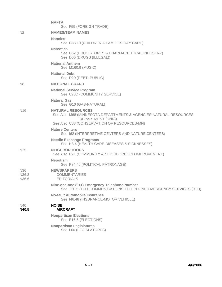|                                                           | <b>NAFTA</b><br>See F55 (FOREIGN TRADE)                                                                                                                          |
|-----------------------------------------------------------|------------------------------------------------------------------------------------------------------------------------------------------------------------------|
| N <sub>2</sub>                                            | <b>NAMES/TEAM NAMES</b>                                                                                                                                          |
|                                                           | <b>Nannies</b><br>See C36.10 (CHILDREN & FAMILIES-DAY CARE)                                                                                                      |
|                                                           | <b>Narcotics</b><br>See D62 (DRUG STORES & PHARMACEUTICAL INDUSTRY)<br>See D66 (DRUGS (ILLEGAL))                                                                 |
|                                                           | <b>National Anthem</b><br>See M160.9 (MUSIC)                                                                                                                     |
|                                                           | <b>National Debt</b><br>See D20 (DEBT- PUBLIC)                                                                                                                   |
| N <sub>8</sub>                                            | <b>NATIONAL GUARD</b>                                                                                                                                            |
|                                                           | <b>National Service Program</b><br>See C73D (COMMUNITY SERVICE)                                                                                                  |
|                                                           | <b>Natural Gas</b><br>See G10 (GAS-NATURAL)                                                                                                                      |
| N <sub>16</sub>                                           | <b>NATURAL RESOURCES</b><br>See Also M68 (MINNESOTA DEPARTMENTS & AGENCIES-NATURAL RESOURCES<br>DEPARTMENT (DNR))<br>See Also C88 (CONSERVATION OF RESOURCES-MN) |
|                                                           | <b>Nature Centers</b><br>See 162 (INTERPRETIVE CENTERS AND NATURE CENTERS)                                                                                       |
|                                                           | <b>Needle Exchange Programs</b><br>See H8.4 (HEALTH CARE-DISEASES & SICKNESSES)                                                                                  |
| N <sub>25</sub>                                           | <b>NEIGHBORHOODS</b><br>See Also C71 (COMMUNITY & NEIGHBORHOOD IMPROVEMENT)                                                                                      |
|                                                           | <b>Nepotism</b><br>See P84.40 (POLITICAL PATRONAGE)                                                                                                              |
| N <sub>36</sub><br>N <sub>36.3</sub><br>N <sub>36.6</sub> | <b>NEWSPAPERS</b><br><b>COMMENTARIES</b><br><b>EDITORIALS</b>                                                                                                    |
|                                                           | Nine-one-one (911) Emergency Telephone Number<br>See T20.5 (TELECOMMUNICATIONS-TELEPHONE-EMERGENCY SERVICES (911))                                               |
|                                                           | <b>No-fault Automobile Insurance</b><br>See 146.48 (INSURANCE-MOTOR VEHICLE)                                                                                     |
| N40<br>N40.5                                              | <b>NOISE</b><br><b>AIRCRAFT</b>                                                                                                                                  |
|                                                           | <b>Nonpartisan Elections</b><br>See E16.6 (ELECTIONS)                                                                                                            |
|                                                           | <b>Nonpartisan Legislatures</b><br>See L60 (LEGISLATURES)                                                                                                        |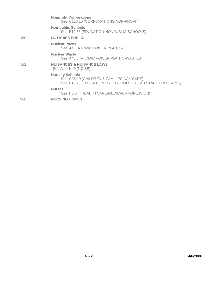|                 | <b>Nonprofit Corporations</b><br>See C118.10 (CORPORATIONS-NON-PROFIT)                                                         |
|-----------------|--------------------------------------------------------------------------------------------------------------------------------|
|                 | <b>Non-public Schools</b><br>See E12.68 (EDUCATION-NONPUBLIC SCHOOLS)                                                          |
| N <sub>50</sub> | <b>NOTARIES PUBLIC</b>                                                                                                         |
|                 | <b>Nuclear Power</b><br>See A43 (ATOMIC POWER PLANTS)                                                                          |
|                 | <b>Nuclear Waste</b><br>See A43.5 (ATOMIC POWER PLANTS-WASTES)                                                                 |
| N <sub>62</sub> | <b>NUISANCES &amp; NUISANCE LAWS</b><br>See Also N40 (NOISE)                                                                   |
|                 | <b>Nursery Schools</b><br>See C36.10 (CHILDREN & FAMILIES-DAY CARE)<br>See E12.72 (EDUCATION-PRESCHOOLS & HEAD START PROGRAMS) |
|                 | <b>Nurses</b><br>See H8.6H (HEALTH CARE-MEDICAL PROFESSION)                                                                    |
| N68             | <b>NURSING HOMES</b>                                                                                                           |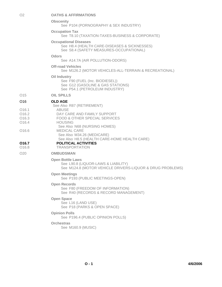#### **Obscenity**

See P104 (PORNOGRAPHY & SEX INDUSTRY)

**Occupation Tax**

See T8.10 (TAXATION-TAXES-BUSINESS & CORPORATE)

### **Occupational Diseases**

See H8.4 (HEALTH CARE-DISEASES & SICKNESSES)

See S8.4 (SAFETY MEASURES-OCCUPATIONAL)

#### **Odors**

See A14.7A (AIR POLLUTION-ODORS)

#### **Off-road Vehicles**

See M126.2 (MOTOR VEHICLES-ALL-TERRAIN & RECREATIONAL)

#### **Oil Industry**

See F90 (FUEL (Inc. BIODIESEL)) See G12 (GASOLINE & GAS STATIONS) See P54.1 (PETROLEUM INDUSTRY)

O15 **OIL SPILLS**

## O16 **OLD AGE**

|                   | See Also R87 (RETIREMENT)                    |
|-------------------|----------------------------------------------|
| 016.1             | ABUSE                                        |
| O16.2             | DAY CARE AND FAMILY SUPPORT                  |
| O16.3             | FOOD & OTHER SPECIAL SERVICES                |
| O <sub>16.4</sub> | <b>HOUSING</b>                               |
|                   | See Also N68 (NURSING HOMES)                 |
| 016.6             | <b>MEDICAL CARE</b>                          |
|                   | See Also M34.26 (MEDICARE)                   |
|                   | See Also H8.5 (HEALTH CARE-HOME HEALTH CARE) |

#### **O16.7 POLITICAL ACTIVITIES** O16.8 TRANSPORTATION

# O20 **OMBUDSMAN**

# **Open Bottle Laws**

See L90.8 (LIQUOR-LAWS & LIABILITY) See M124.8 (MOTOR VEHICLE DRIVERS-LIQUOR & DRUG PROBLEMS)

#### **Open Meetings**

See P193 (PUBLIC MEETINGS-OPEN)

**Open Records**

See F80 (FREEDOM OF INFORMATION) See R40 (RECORDS & RECORD MANAGEMENT)

## **Open Space**

See L16 (LAND USE) See P18 (PARKS & OPEN SPACE)

#### **Opinion Polls**

See P196.4 (PUBLIC OPINION POLLS)

### **Orchestras**

See M160.9 (MUSIC)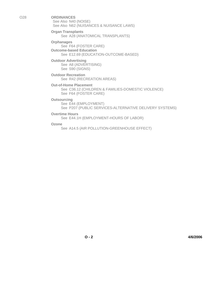O28 **ORDINANCES** See Also N40 (NOISE) See Also N62 (NUISANCES & NUISANCE LAWS)

> **Organ Transplants** See A28 (ANATOMICAL TRANSPLANTS)

**Orphanages** See F64 (FOSTER CARE) **Outcome-based Education** See E12.69 (EDUCATION-OUTCOME-BASED)

**Outdoor Advertising** See A8 (ADVERTISING) See S90 (SIGNS)

**Outdoor Recreation** See R42 (RECREATION AREAS)

**Out-of-Home Placement** See C36.12 (CHILDREN & FAMILIES-DOMESTIC VIOLENCE) See F64 (FOSTER CARE)

**Outsourcing**

See E44 (EMPLOYMENT) See P207 (PUBLIC SERVICES-ALTERNATIVE DELIVERY SYSTEMS)

**Overtime Hours**

See E44.1H (EMPLOYMENT-HOURS OF LABOR)

**Ozone**

See A14.5 (AIR POLLUTION-GREENHOUSE EFFECT)

**O - 2 4/6/2006**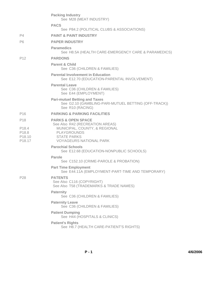|                                                                                           | <b>Packing Industry</b><br>See M28 (MEAT INDUSTRY)                                                                                                                              |
|-------------------------------------------------------------------------------------------|---------------------------------------------------------------------------------------------------------------------------------------------------------------------------------|
|                                                                                           | <b>PACS</b>                                                                                                                                                                     |
|                                                                                           | See P84.2 (POLITICAL CLUBS & ASSOCIATIONS)                                                                                                                                      |
| P4                                                                                        | <b>PAINT &amp; PAINT INDUSTRY</b>                                                                                                                                               |
| P <sub>6</sub>                                                                            | <b>PAPER INDUSTRY</b>                                                                                                                                                           |
|                                                                                           | <b>Paramedics</b><br>See H8.5A (HEALTH CARE-EMERGENCY CARE & PARAMEDICS)                                                                                                        |
| P12                                                                                       | <b>PARDONS</b>                                                                                                                                                                  |
|                                                                                           | <b>Parent &amp; Child</b><br>See C36 (CHILDREN & FAMILIES)                                                                                                                      |
|                                                                                           | <b>Parental Involvement in Education</b><br>See E12.70 (EDUCATION-PARENTAL INVOLVEMENT)                                                                                         |
|                                                                                           | <b>Parental Leave</b><br>See C36 (CHILDREN & FAMILIES)<br>See E44 (EMPLOYMENT)                                                                                                  |
|                                                                                           | <b>Pari-mutuel Betting and Taxes</b><br>See G2.10 (GAMBLING-PARI-MUTUEL BETTING (OFF-TRACK))<br>See R10 (RACING)                                                                |
| P <sub>16</sub>                                                                           | <b>PARKING &amp; PARKING FACILITIES</b>                                                                                                                                         |
| P18<br>P <sub>18.4</sub><br>P <sub>18.8</sub><br>P <sub>18.10</sub><br>P <sub>18.17</sub> | <b>PARKS &amp; OPEN SPACE</b><br>See Also R42 (RECREATION AREAS)<br>MUNICIPAL, COUNTY, & REGIONAL<br><b>PLAYGROUNDS</b><br><b>STATE PARKS</b><br><b>VOYAGEURS NATIONAL PARK</b> |
|                                                                                           | <b>Parochial Schools</b><br>See E12.68 (EDUCATION-NONPUBLIC SCHOOLS)                                                                                                            |
|                                                                                           | <b>Parole</b><br>See C152.10 (CRIME-PAROLE & PROBATION)                                                                                                                         |
|                                                                                           | <b>Part Time Employment</b><br>See E44.11A (EMPLOYMENT-PART-TIME AND TEMPORARY)                                                                                                 |
| P28                                                                                       | <b>PATENTS</b><br>See Also C116 (COPYRIGHT)<br>See Also T58 (TRADEMARKS & TRADE NAMES)                                                                                          |
|                                                                                           | <b>Paternity</b><br>See C36 (CHILDREN & FAMILIES)                                                                                                                               |
|                                                                                           | <b>Paternity Leave</b><br>See C36 (CHILDREN & FAMILIES)                                                                                                                         |
|                                                                                           | <b>Patient Dumping</b><br>See H44 (HOSPITALS & CLINICS)                                                                                                                         |
|                                                                                           | <b>Patient's Rights</b><br>See H8.7 (HEALTH CARE-PATIENT'S RIGHTS)                                                                                                              |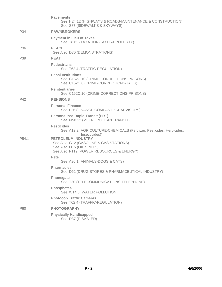|                   | <b>Pavements</b><br>See H24.12 (HIGHWAYS & ROADS-MAINTENANCE & CONSTRUCTION)<br>See S87 (SIDEWALKS & SKYWAYS)                                |
|-------------------|----------------------------------------------------------------------------------------------------------------------------------------------|
| P34               | <b>PAWNBROKERS</b>                                                                                                                           |
|                   | <b>Payment in Lieu of Taxes</b><br>See T8.62 (TAXATION-TAXES-PROPERTY)                                                                       |
| P <sub>36</sub>   | <b>PEACE</b><br>See Also D30 (DEMONSTRATIONS)                                                                                                |
| P39               | <b>PEAT</b>                                                                                                                                  |
|                   | <b>Pedestrians</b><br>See T62.4 (TRAFFIC-REGULATION)                                                                                         |
|                   | <b>Penal Institutions</b><br>See C152C.10 (CRIME-CORRECTIONS-PRISONS)<br>See C152C.6 (CRIME-CORRECTIONS-JAILS)                               |
|                   | <b>Penitentiaries</b><br>See C152C.10 (CRIME-CORRECTIONS-PRISONS)                                                                            |
| P42               | <b>PENSIONS</b>                                                                                                                              |
|                   | <b>Personal Finance</b><br>See F26 (FINANCE COMPANIES & ADVISORS)                                                                            |
|                   | <b>Personalized Rapid Transit (PRT)</b><br>See M50.12 (METROPOLITAN TRANSIT)                                                                 |
|                   | <b>Pesticides</b><br>See A12.2 (AGRICULTURE-CHEMICALS (Fertilizer, Pesticides, Herbicides,<br>Insecticides))                                 |
| P <sub>54.1</sub> | <b>PETROLEUM INDUSTRY</b><br>See Also G12 (GASOLINE & GAS STATIONS)<br>See Also O15 (OIL SPILLS)<br>See Also P119 (POWER RESOURCES & ENERGY) |
|                   | <b>Pets</b><br>See A30.1 (ANIMALS-DOGS & CATS)                                                                                               |
|                   | <b>Pharmacies</b><br>See D62 (DRUG STORES & PHARMACEUTICAL INDUSTRY)                                                                         |
|                   | Phonegate<br>See T20 (TELECOMMUNICATIONS-TELEPHONE)                                                                                          |
|                   | <b>Phosphates</b><br>See W14.6 (WATER POLLUTION)                                                                                             |
|                   | <b>Photocop Traffic Cameras</b><br>See T62.4 (TRAFFIC-REGULATION)                                                                            |
| P60               | <b>PHOTOGRAPHY</b>                                                                                                                           |
|                   | <b>Physically Handicapped</b><br>See D37 (DISABLED)                                                                                          |
|                   |                                                                                                                                              |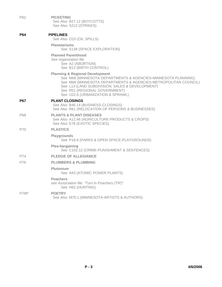| P62  | <b>PICKETING</b><br>See Also B27.12 (BOYCOTTS)<br>See Also S212 (STRIKES)                                                                                                                                                                                                                               |
|------|---------------------------------------------------------------------------------------------------------------------------------------------------------------------------------------------------------------------------------------------------------------------------------------------------------|
| P64  | <b>PIPELINES</b><br>See Also O15 (OIL SPILLS)                                                                                                                                                                                                                                                           |
|      | <b>Planetariums</b><br>See S138 (SPACE EXPLORATION)                                                                                                                                                                                                                                                     |
|      | <b>Planned Parenthood</b><br>See organization file.<br>See A2 (ABORTION)<br>See B12 (BIRTH CONTROL)                                                                                                                                                                                                     |
|      | <b>Planning &amp; Regional Development</b><br>See M68 (MINNESOTA DEPARTMENTS & AGENCIES-MINNESOTA PLANNING)<br>See M68 (MINNESOTA DEPARTMENTS & AGENCIES-METROPOLITAN COUNCIL)<br>See L13 (LAND SUBDIVISION, SALES & DEVELOPMENT)<br>See R51 (REGIONAL GOVERNMENT)<br>See U22.6 (URBANIZATION & SPRAWL) |
| P67  | <b>PLANT CLOSINGS</b><br>See Also B46.14 (BUSINESS-CLOSINGS)<br>See Also R61 (RELOCATION OF PERSONS & BUSINESSES)                                                                                                                                                                                       |
| P68  | <b>PLANTS &amp; PLANT DISEASES</b><br>See Also A12.46 (AGRICULTURE-PRODUCTS & CROPS)<br>See Also E78 (EXOTIC SPECIES)                                                                                                                                                                                   |
| P70  | <b>PLASTICS</b>                                                                                                                                                                                                                                                                                         |
|      | <b>Playgrounds</b><br>See P18.8 (PARKS & OPEN SPACE-PLAYGROUNDS)                                                                                                                                                                                                                                        |
|      | Plea-bargaining<br>See C152.12 (CRIME-PUNISHMENT & SENTENCES)                                                                                                                                                                                                                                           |
| P74  | <b>PLEDGE OF ALLEGIANCE</b>                                                                                                                                                                                                                                                                             |
| P76  | <b>PLUMBERS &amp; PLUMBING</b>                                                                                                                                                                                                                                                                          |
|      | Plutonium<br>See A43 (ATOMIC POWER PLANTS)                                                                                                                                                                                                                                                              |
|      | <b>Poachers</b><br>see Association file: "Turn in Poachers (TIP)"<br>See H62 (HUNTING)                                                                                                                                                                                                                  |
| P78P | <b>POETRY</b><br>See Also M70.1 (MINNESOTA-ARTISTS & AUTHORS)                                                                                                                                                                                                                                           |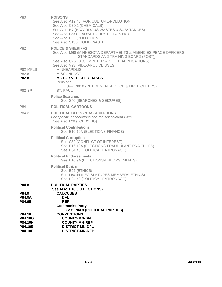| P80                                                       | <b>POISONS</b><br>See Also A12.45 (AGRICULTURE-POLLUTION)<br>See Also C30.2 (CHEMICALS)<br>See Also H7 (HAZARDOUS WASTES & SUBSTANCES)<br>See Also L33 (LEAD/MERCURY POISONING)<br>See Also P90 (POLLUTION)<br>See Also S130 (SOLID WASTE)         |
|-----------------------------------------------------------|----------------------------------------------------------------------------------------------------------------------------------------------------------------------------------------------------------------------------------------------------|
| P82<br>P82-MPLS                                           | <b>POLICE &amp; SHERIFFS</b><br>See Also M68 (MINNESOTA DEPARTMENTS & AGENCIES-PEACE OFFICERS<br>STANDARDS AND TRAINING BOARD (POST))<br>See Also C76.10 (COMPUTERS-POLICE APPLICATIONS)<br>See Also V23 (VIDEO-POLICE USES)<br><b>MINNEAPOLIS</b> |
| P82.6<br>P82.8                                            | <b>MISCONDUCT</b><br><b>MOTOR VEHICLE CHASES</b><br>Pensions                                                                                                                                                                                       |
| <b>P82-SP</b>                                             | See R88.8 (RETIREMENT-POLICE & FIREFIGHTERS)<br>ST. PAUL                                                                                                                                                                                           |
|                                                           | <b>Police Searches</b><br>See S40 (SEARCHES & SEIZURES)                                                                                                                                                                                            |
| P84                                                       | <b>POLITICAL CARTOONS</b>                                                                                                                                                                                                                          |
| P84.2                                                     | <b>POLITICAL CLUBS &amp; ASSOCIATIONS</b><br>For specific associations see the Association Files.<br>See Also L98 (LOBBYING)                                                                                                                       |
|                                                           | <b>Political Contributions</b><br>See E16.10A (ELECTIONS-FINANCE)                                                                                                                                                                                  |
|                                                           | <b>Political Corruption</b><br>See C82 (CONFLICT OF INTEREST)<br>See E16.12A (ELECTIONS-FRAUDULANT PRACTICES)<br>See P84.40 (POLITICAL PATRONAGE)                                                                                                  |
|                                                           | <b>Political Endorsements</b><br>See E16.9A (ELECTIONS-ENDORSEMENTS)                                                                                                                                                                               |
|                                                           | <b>Political Ethics</b><br>See E62 (ETHICS)<br>See L60.44 (LEGISLATURES-MEMBERS-ETHICS)<br>See P84.40 (POLITICAL PATRONAGE)                                                                                                                        |
| P84.8<br>P84.9<br><b>P84.9A</b><br>P84.9B                 | <b>POLITICAL PARTIES</b><br>See Also E16.6 (ELECTIONS)<br><b>CAUCUSES</b><br><b>DFL</b><br><b>REP</b><br><b>Communist Party</b>                                                                                                                    |
|                                                           | See P84.8 (POLITICAL PARTIES)                                                                                                                                                                                                                      |
| P84.10<br>P84.10G<br>P84.10H<br>P84.10E<br><b>P84.10F</b> | <b>CONVENTIONS</b><br><b>COUNTY-MN-DFL</b><br><b>COUNTY-MN-REP</b><br><b>DISTRICT-MN-DFL</b><br><b>DISTRICT-MN-REP</b>                                                                                                                             |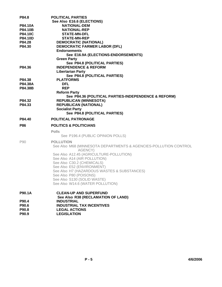|                    | <b>POLITICAL PARTIES</b>                                         |
|--------------------|------------------------------------------------------------------|
|                    | See Also E16.6 (ELECTIONS)                                       |
| <b>P84.10A</b>     | <b>NATIONAL-DEM</b>                                              |
| P84.10B            | <b>NATIONAL-REP</b>                                              |
| P84.10C            | <b>STATE-MN-DFL</b>                                              |
| P84.10D            | <b>STATE-MN-REP</b>                                              |
| P84.28             | <b>DEMOCRATIC (NATIONAL)</b>                                     |
| P84.30             | <b>DEMOCRATIC FARMER LABOR (DFL)</b>                             |
|                    | <b>Endorsements</b>                                              |
|                    | See E16.9A (ELECTIONS-ENDORSEMENTS)                              |
|                    | <b>Green Party</b>                                               |
|                    | See P84.8 (POLITICAL PARTIES)                                    |
| P84.36             | <b>INDEPENDENCE &amp; REFORM</b>                                 |
|                    | <b>Libertarian Party</b>                                         |
|                    | See P84.8 (POLITICAL PARTIES)                                    |
| P84.38             | <b>PLATFORMS</b><br><b>DFL</b>                                   |
| P84.38A<br>P84.38B | <b>REP</b>                                                       |
|                    | <b>Reform Party</b>                                              |
|                    | See P84.36 (POLITICAL PARTIES-INDEPENDENCE & REFORM)             |
| P84.32             | <b>REPUBLICAN (MINNESOTA)</b>                                    |
| P84.33             | <b>REPUBLICAN (NATIONAL)</b>                                     |
|                    | <b>Socialist Party</b>                                           |
|                    | See P84.8 (POLITICAL PARTIES)                                    |
| P84.40             | <b>POLITICAL PATRONAGE</b>                                       |
|                    |                                                                  |
| <b>P86</b>         | <b>POLITICS &amp; POLITICIANS</b>                                |
|                    |                                                                  |
|                    | <b>Polls</b>                                                     |
|                    | See P196.4 (PUBLIC OPINION POLLS)                                |
| P90                | <b>POLLUTION</b>                                                 |
|                    | See Also M68 (MINNESOTA DEPARTMENTS & AGENCIES-POLLUTION CONTROL |
|                    | AGENCY)                                                          |
|                    | See Also A12.45 (AGRICULTURE-POLLUTION)                          |
|                    | See Also A14 (AIR POLLUTION)                                     |
|                    | See Also C30.2 (CHEMICALS)                                       |
|                    | See Also E52 (ENVIRONMENT)                                       |
|                    | See Also H7 (HAZARDOUS WASTES & SUBSTANCES)                      |
|                    | See Also P80 (POISONS)                                           |
|                    | See Also S130 (SOLID WASTE)                                      |
|                    | See Also W14.6 (WATER POLLUTION)                                 |
| P90.1A             | <b>CLEAN-UP AND SUPERFUND</b>                                    |
|                    |                                                                  |
| P90.4              | See Also R38 (RECLAMATION OF LAND)<br><b>INDUSTRIAL</b>          |
| P90.6              | <b>INDUSTRIAL TAX INCENTIVES</b>                                 |
| P90.8              | <b>LEGAL ACTIONS</b>                                             |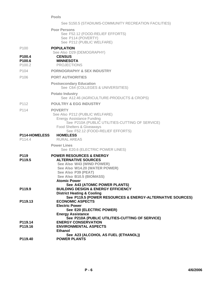## **Pools**

|                                                                        | See S150.5 (STADIUMS-COMMUNITY RECREATION FACILITIES)                                                                                                                                                     |
|------------------------------------------------------------------------|-----------------------------------------------------------------------------------------------------------------------------------------------------------------------------------------------------------|
|                                                                        | <b>Poor Persons</b><br>See F52.12 (FOOD-RELIEF EFFORTS)<br>See P114 (POVERTY)<br>See P212 (PUBLIC WELFARE)                                                                                                |
| P <sub>100</sub><br>P100.4<br>P <sub>100.6</sub><br>P <sub>100.2</sub> | <b>POPULATION</b><br>See Also D29 (DEMOGRAPHY)<br><b>CENSUS</b><br><b>MINNESOTA</b><br><b>PROJECTIONS</b>                                                                                                 |
| P104                                                                   | <b>PORNOGRAPHY &amp; SEX INDUSTRY</b>                                                                                                                                                                     |
| P106                                                                   | <b>PORT AUTHORITIES</b>                                                                                                                                                                                   |
|                                                                        | <b>Postsecondary Education</b><br>See C64 (COLLEGES & UNIVERSITIES)                                                                                                                                       |
|                                                                        | <b>Potato Industry</b><br>See A12.46 (AGRICULTURE-PRODUCTS & CROPS)                                                                                                                                       |
| P112                                                                   | <b>POULTRY &amp; EGG INDUSTRY</b>                                                                                                                                                                         |
| P114                                                                   | <b>POVERTY</b><br>See Also P212 (PUBLIC WELFARE)<br><b>Energy Assistance Funding</b><br>See P210A (PUBLIC UTILITIES-CUTTING OF SERVICE)<br>Food Shelters & Giveaways                                      |
|                                                                        |                                                                                                                                                                                                           |
| P114-HOMELESS<br>P114.4                                                | See F52.12 (FOOD-RELIEF EFFORTS)<br><b>HOMELESS</b><br><b>RURAL AREAS</b>                                                                                                                                 |
|                                                                        | <b>Power Lines</b><br>See E20.6 (ELECTRIC POWER LINES)                                                                                                                                                    |
| P119<br>P119.5                                                         | <b>POWER RESOURCES &amp; ENERGY</b><br><b>ALTERNATIVE SOURCES</b><br>See Also W43 (WIND POWER)<br>See Also W14.20 (WATER POWER)<br>See Also P39 (PEAT)<br>See Also B10.5 (BIOMASS)<br><b>Atomic Power</b> |
| P <sub>119.9</sub>                                                     | See A43 (ATOMIC POWER PLANTS)<br><b>BUILDING DESIGN &amp; ENERGY EFFICIENCY</b><br><b>District Heating &amp; Cooling</b>                                                                                  |
| P <sub>119.13</sub>                                                    | See P119.5 (POWER RESOURCES & ENERGY-ALTERNATIVE SOURCES)<br><b>ECONOMIC ASPECTS</b><br><b>Electric Power</b><br>See E20 (ELECTRIC POWER)<br><b>Energy Assistance</b>                                     |
| P119.14<br>P119.16                                                     | See P210A (PUBLIC UTILITIES-CUTTING OF SERVICE)<br><b>ENERGY CONSERVATION</b><br><b>ENVIRONMENTAL ASPECTS</b><br><b>Ethanol</b><br>See A23 (ALCOHOL AS FUEL (ETHANOL))                                    |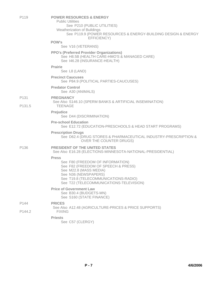| P <sub>119</sub>           | <b>POWER RESOURCES &amp; ENERGY</b><br><b>Public Utilities</b><br>See P210 (PUBLIC UTILITIES)<br>Weatherization of Buildings<br>See P119.9 (POWER RESOURCES & ENERGY-BUILDING DESIGN & ENERGY<br>EFFICIENCY)                 |
|----------------------------|------------------------------------------------------------------------------------------------------------------------------------------------------------------------------------------------------------------------------|
|                            | <b>POW's</b><br>See V16 (VETERANS)                                                                                                                                                                                           |
|                            | <b>PPO's (Preferred Provider Organizations)</b><br>See H8.5B (HEALTH CARE-HMO'S & MANAGED CARE)<br>See 146.28 (INSURANCE-HEALTH)                                                                                             |
|                            | <b>Prairie</b><br>See L8 (LAND)                                                                                                                                                                                              |
|                            | <b>Precinct Caucuses</b><br>See P84.9 (POLITICAL PARTIES-CAUCUSES)                                                                                                                                                           |
|                            | <b>Predator Control</b><br>See A30 (ANIMALS)                                                                                                                                                                                 |
| P <sub>131</sub><br>P131.5 | <b>PREGNANCY</b><br>See Also S146.10 (SPERM BANKS & ARTIFICIAL INSEMINATION)<br><b>TEENAGE</b>                                                                                                                               |
|                            | <b>Prejudice</b><br>See D44 (DISCRIMINATION)                                                                                                                                                                                 |
|                            | <b>Pre-school Education</b><br>See E12.72 (EDUCATION-PRESCHOOLS & HEAD START PROGRAMS)                                                                                                                                       |
|                            | <b>Prescription Drugs</b><br>See D62.4 (DRUG STORES & PHARMACEUTICAL INDUSTRY-PRESCRIPTION &<br>OVER THE COUNTER DRUGS)                                                                                                      |
| P136                       | <b>PRESIDENT OF THE UNITED STATES</b><br>See Also E16.28 (ELECTIONS-MINNESOTA-NATIONAL-PRESIDENTIAL)                                                                                                                         |
|                            | <b>Press</b><br>See F80 (FREEDOM OF INFORMATION)<br>See F82 (FREEDOM OF SPEECH & PRESS)<br>See M22.8 (MASS MEDIA)<br>See N36 (NEWSPAPERS)<br>See T19.8 (TELECOMMUNICATIONS-RADIO)<br>See T22 (TELECOMMUNICATIONS-TELEVISION) |
|                            | <b>Price of Government Law</b><br>See B30.4 (BUDGETS-MN)<br>See S160 (STATE FINANCE)                                                                                                                                         |
| P144<br>P <sub>144.2</sub> | <b>PRICES</b><br>See Also A12.48 (AGRICULTURE-PRICES & PRICE SUPPORTS)<br><b>FIXING</b>                                                                                                                                      |
|                            | <b>Priests</b><br>See C57 (CLERGY)                                                                                                                                                                                           |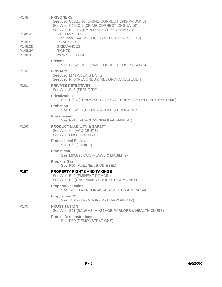| P148                                                | <b>PRISONERS</b><br>See Also C152C.10 (CRIME-CORRECTIONS-PRISONS)<br>See Also C152C.6 (CRIME-CORRECTIONS-JAILS)<br>See Also E44.1A (EMPLOYMENT-EX-CONVICTS) |
|-----------------------------------------------------|-------------------------------------------------------------------------------------------------------------------------------------------------------------|
| P148.2                                              | <b>DISCHARGED</b><br>See Also E44.1A (EMPLOYMENT-EX-CONVICTS)                                                                                               |
| P148.1<br>P <sub>148.2</sub> D<br>P148.3C<br>P148.4 | <b>ESCAPEES</b><br><b>GRIEVANCES</b><br><b>RIGHTS</b><br><b>WORK RELEASE</b>                                                                                |
|                                                     | <b>Prisons</b><br>See C152C.10 (CRIME-CORRECTIONS-PRISONS)                                                                                                  |
| P <sub>150</sub>                                    | <b>PRIVACY</b><br>See Also M7 (MAILING LISTS)<br>See Also R40 (RECORDS & RECORD MANAGEMENT)                                                                 |
| P <sub>151</sub>                                    | <b>PRIVATE DETECTIVES</b><br>See Also S48 (SECURITY)                                                                                                        |
|                                                     | <b>Privatization</b><br>See P207 (PUBLIC SERVICES-ALTERNATIVE DELIVERY SYSTEMS)                                                                             |
|                                                     | Probation<br>See C152.10 (CRIME-PAROLE & PROBATION)                                                                                                         |
|                                                     | <b>Procurement</b><br>See P216 (PURCHASING-GOVERNMENT)                                                                                                      |
| P <sub>156</sub>                                    | <b>PRODUCT LIABILITY &amp; SAFETY</b><br>See Also A4 (ACCIDENTS)<br>See Also L68 (LIABILITY)                                                                |
|                                                     | <b>Professional Ethics</b><br>See E62 (ETHICS)                                                                                                              |
|                                                     | <b>Prohibition</b><br>See L90.8 (LIQUOR-LAWS & LIABILITY)                                                                                                   |
|                                                     | <b>Propane Gas</b><br>See F90 (FUEL (Inc. BIODIESEL))                                                                                                       |
| P <sub>167</sub>                                    | <b>PROPERTY RIGHTS AND TAKINGS</b><br>See Also E40 (EMINENT DOMAIN)<br>See Also U2 (UNCLAIMED PROPERTY & MONEY)                                             |
|                                                     | <b>Property-Valuation</b><br>See T4.2 (TAXATION-ASSESSMENT & APPRAISAL)                                                                                     |
|                                                     | <b>Proposition 13</b><br>See T8.62 (TAXATION-TAXES-PROPERTY)                                                                                                |
| P <sub>170</sub>                                    | <b>PROSTITUTION</b><br>See Also S21 (SAUNAS, MASSAGE PARLORS & HEALTH CLUBS)                                                                                |
|                                                     | <b>Protest Demonstrations</b><br>See D30 (DEMONSTRATIONS)                                                                                                   |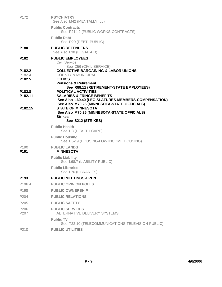| P <sub>172</sub>                                   | <b>PSYCHIATRY</b><br>See Also M42 (MENTALLY ILL)                                                                                                                       |
|----------------------------------------------------|------------------------------------------------------------------------------------------------------------------------------------------------------------------------|
|                                                    | <b>Public Contracts</b><br>See P214.2 (PUBLIC WORKS-CONTRACTS)                                                                                                         |
|                                                    | <b>Public Debt</b><br>See D20 (DEBT- PUBLIC)                                                                                                                           |
| P <sub>180</sub>                                   | <b>PUBLIC DEFENDERS</b><br>See Also L38 (LEGAL AID)                                                                                                                    |
| P <sub>182</sub>                                   | <b>PUBLIC EMPLOYEES</b><br>Civil Service                                                                                                                               |
| P182.2<br>P <sub>182.4</sub><br>P <sub>182.5</sub> | See C56 (CIVIL SERVICE)<br><b>COLLECTIVE BARGAINING &amp; LABOR UNIONS</b><br><b>COUNTY &amp; MUNICIPAL</b><br><b>ETHICS</b><br><b>Pensions &amp; Retirement</b>       |
| P <sub>182.8</sub><br>P <sub>182.11</sub>          | See R88.11 (RETIREMENT-STATE EMPLOYEES)<br><b>POLITICAL ACTIVITIES</b><br><b>SALARIES &amp; FRINGE BENEFITS</b><br>See Also L60.40 (LEGISLATURES-MEMBERS-COMPENSATION) |
| P <sub>182.15</sub>                                | See Also M70.26 (MINNESOTA-STATE OFFICIALS)<br><b>STATE OF MINNESOTA</b><br>See Also M70.26 (MINNESOTA-STATE OFFICIALS)<br><b>Strikes</b><br>See S212 (STRIKES)        |
|                                                    | <b>Public Health</b><br>See H8 (HEALTH CARE)                                                                                                                           |
|                                                    | <b>Public Housing</b><br>See H52.9 (HOUSING-LOW INCOME HOUSING)                                                                                                        |
| P <sub>190</sub><br>P <sub>191</sub>               | <b>PUBLIC LANDS</b><br><b>MINNESOTA</b>                                                                                                                                |
|                                                    | <b>Public Liability</b><br>See L68.7 (LIABILITY-PUBLIC)                                                                                                                |
|                                                    | <b>Public Libraries</b><br>See L76 (LIBRARIES)                                                                                                                         |
| P <sub>193</sub>                                   | <b>PUBLIC MEETINGS-OPEN</b>                                                                                                                                            |
| P196.4                                             | <b>PUBLIC OPINION POLLS</b>                                                                                                                                            |
| P198                                               | <b>PUBLIC OWNERSHIP</b>                                                                                                                                                |
| P <sub>204</sub>                                   | <b>PUBLIC RELATIONS</b>                                                                                                                                                |
| P205                                               | <b>PUBLIC SAFETY</b>                                                                                                                                                   |
| P206<br>P207                                       | <b>PUBLIC SERVICES</b><br>ALTERNATIVE DELIVERY SYSTEMS                                                                                                                 |
|                                                    | <b>Public TV</b><br>See T22.10 (TELECOMMUNICATIONS-TELEVISION-PUBLIC)                                                                                                  |
| P210                                               | <b>PUBLIC UTILITIES</b>                                                                                                                                                |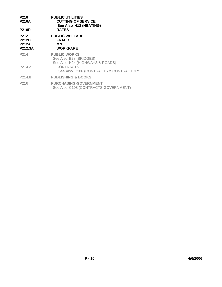| P210<br><b>P210A</b><br><b>P210R</b>            | <b>PUBLIC UTILITIES</b><br><b>CUTTING OF SERVICE</b><br>See Also H12 (HEATING)<br><b>RATES</b> |  |
|-------------------------------------------------|------------------------------------------------------------------------------------------------|--|
| P212<br><b>P212D</b><br><b>P212A</b><br>P212.3A | <b>PUBLIC WELFARE</b><br><b>FRAUD</b><br>ΜN<br><b>WORKFARE</b>                                 |  |
| P <sub>2</sub> 14                               | <b>PUBLIC WORKS</b><br>See Also B28 (BRIDGES)<br>See Also H24 (HIGHWAYS & ROADS)               |  |
| P214.2                                          | <b>CONTRACTS</b><br>See Also C106 (CONTRACTS & CONTRACTORS)                                    |  |
| P214.8                                          | <b>PUBLISHING &amp; BOOKS</b>                                                                  |  |
| P216                                            | <b>PURCHASING-GOVERNMENT</b><br>See Also C108 (CONTRACTS-GOVERNMENT)                           |  |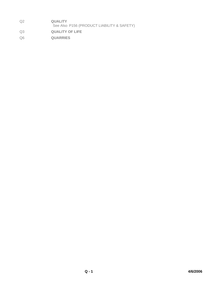- Q2 **QUALITY** See Also P156 (PRODUCT LIABILITY & SAFETY) Q3 **QUALITY OF LIFE**
- Q6 **QUARRIES**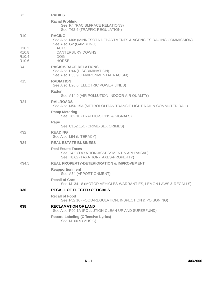| R <sub>2</sub>                                                       | <b>RABIES</b>                                                                                                 |
|----------------------------------------------------------------------|---------------------------------------------------------------------------------------------------------------|
|                                                                      | <b>Racial Profiling</b><br>See R4 (RACISM/RACE RELATIONS)<br>See T62.4 (TRAFFIC-REGULATION)                   |
| R <sub>10</sub>                                                      | <b>RACING</b><br>See Also M68 (MINNESOTA DEPARTMENTS & AGENCIES-RACING COMMISSION)<br>See Also G2 (GAMBLING)  |
| R <sub>10.2</sub><br>R10.8<br>R <sub>10.4</sub><br>R <sub>10.6</sub> | <b>AUTO</b><br><b>CANTERBURY DOWNS</b><br><b>DOG</b><br><b>HORSE</b>                                          |
| R4                                                                   | <b>RACISM/RACE RELATIONS</b><br>See Also D44 (DISCRIMINATION)<br>See Also E53.9 (ENVIRONMENTAL RACISM)        |
| R <sub>15</sub>                                                      | <b>RADIATION</b><br>See Also E20.6 (ELECTRIC POWER LINES)                                                     |
|                                                                      | Radon<br>See A14.9 (AIR POLLUTION-INDOOR AIR QUALITY)                                                         |
| R <sub>24</sub>                                                      | <b>RAILROADS</b><br>See Also M50.15A (METROPOLITAN TRANSIT-LIGHT RAIL & COMMUTER RAIL)                        |
|                                                                      | <b>Ramp Metering</b><br>See T62.10 (TRAFFIC-SIGNS & SIGNALS)                                                  |
|                                                                      | Rape<br>See C152.15C (CRIME-SEX CRIMES)                                                                       |
| R32                                                                  | <b>READING</b><br>See Also L94 (LITERACY)                                                                     |
| <b>R34</b>                                                           | <b>REAL ESTATE BUSINESS</b>                                                                                   |
|                                                                      | <b>Real Estate Taxes</b><br>See T4.2 (TAXATION-ASSESSMENT & APPRAISAL)<br>See T8.62 (TAXATION-TAXES-PROPERTY) |
| R <sub>34.5</sub>                                                    | <b>REAL PROPERTY-DETERIORATION &amp; IMPROVEMENT</b>                                                          |
|                                                                      | <b>Reapportionment</b><br>See A34 (APPORTIONMENT)                                                             |
|                                                                      | <b>Recall of Cars</b><br>See M134.18 (MOTOR VEHICLES-WARRANTIES, LEMON LAWS & RECALLS)                        |
| <b>R36</b>                                                           | <b>RECALL OF ELECTED OFFICIALS</b>                                                                            |
|                                                                      | <b>Recall of Food</b><br>See F52.10 (FOOD-REGULATION, INSPECTION & POISONING)                                 |
| <b>R38</b>                                                           | <b>RECLAMATION OF LAND</b><br>See Also P90.1A (POLLUTION-CLEAN-UP AND SUPERFUND)                              |
|                                                                      | <b>Record Labeling (Offensive Lyrics)</b><br>See M160.9 (MUSIC)                                               |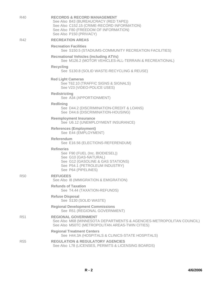| R40        | <b>RECORDS &amp; RECORD MANAGEMENT</b><br>See Also B43 (BUREAUCRACY (RED TAPE))<br>See Also C152.15 (CRIME-RECORD INFORMATION)<br>See Also F80 (FREEDOM OF INFORMATION)<br>See Also P150 (PRIVACY) |
|------------|----------------------------------------------------------------------------------------------------------------------------------------------------------------------------------------------------|
| R42        | <b>RECREATION AREAS</b>                                                                                                                                                                            |
|            | <b>Recreation Facilities</b><br>See S150.5 (STADIUMS-COMMUNITY RECREATION FACILITIES)                                                                                                              |
|            | <b>Recreational Vehicles (including ATVs)</b><br>See M126.2 (MOTOR VEHICLES-ALL-TERRAIN & RECREATIONAL)                                                                                            |
|            | <b>Recycling</b><br>See S130.8 (SOLID WASTE-RECYCLING & REUSE)                                                                                                                                     |
|            | <b>Red Light Cameras</b><br>See T62.10 (TRAFFIC SIGNS & SIGNALS)<br>See V23 (VIDEO-POLICE USES)                                                                                                    |
|            | <b>Redistricting</b><br>See A34 (APPORTIONMENT)                                                                                                                                                    |
|            | <b>Redlining</b><br>See D44.2 (DISCRIMINATION-CREDIT & LOANS)<br>See D44.6 (DISCRIMINATION-HOUSING)                                                                                                |
|            | <b>Reemployment Insurance</b><br>See U6.12 (UNEMPLOYMENT INSURANCE)                                                                                                                                |
|            | <b>References (Employment)</b><br>See E44 (EMPLOYMENT)                                                                                                                                             |
|            | <b>Referendum</b><br>See E16.56 (ELECTIONS-REFERENDUM)                                                                                                                                             |
|            | <b>Refineries</b><br>See F90 (FUEL (Inc. BIODIESEL))<br>See G10 (GAS-NATURAL)<br>See G12 (GASOLINE & GAS STATIONS)<br>See P54.1 (PETROLEUM INDUSTRY)<br>See P64 (PIPELINES)                        |
| <b>R50</b> | <b>REFUGEES</b><br>See Also 18 (IMMIGRATION & EMIGRATION)                                                                                                                                          |
|            | <b>Refunds of Taxation</b><br>See T4.44 (TAXATION-REFUNDS)                                                                                                                                         |
|            | <b>Refuse Disposal</b><br>See S130 (SOLID WASTE)                                                                                                                                                   |
|            | <b>Regional Development Commissions</b><br>See R51 (REGIONAL GOVERNMENT)                                                                                                                           |
| <b>R51</b> | <b>REGIONAL GOVERNMENT</b><br>See Also M68 (MINNESOTA DEPARTMENTS & AGENCIES-METROPOLITAN COUNCIL)<br>See Also M50TC (METROPOLITAN AREAS-TWIN CITIES)                                              |
|            | <b>Regional Treatment Centers</b><br>See H44.3A (HOSPITALS & CLINICS-STATE HOSPITALS)                                                                                                              |
| <b>R55</b> | <b>REGULATION &amp; REGULATORY AGENCIES</b><br>See Also L78 (LICENSES, PERMITS & LICENSING BOARDS)                                                                                                 |
|            |                                                                                                                                                                                                    |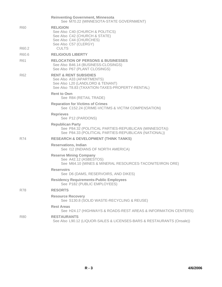|              | <b>Reinventing Government, Minnesota</b><br>See M70.22 (MINNESOTA-STATE GOVERNMENT)                                                                      |
|--------------|----------------------------------------------------------------------------------------------------------------------------------------------------------|
| R60<br>R60.2 | <b>RELIGION</b><br>See Also C40 (CHURCH & POLITICS)<br>See Also C42 (CHURCH & STATE)<br>See Also C44 (CHURCHES)<br>See Also C57 (CLERGY)<br><b>CULTS</b> |
| R60.6        | <b>RELIGIOUS LIBERTY</b>                                                                                                                                 |
| R61          | <b>RELOCATION OF PERSONS &amp; BUSINESSES</b><br>See Also B46.14 (BUSINESS-CLOSINGS)<br>See Also P67 (PLANT CLOSINGS)                                    |
| R62          | <b>RENT &amp; RENT SUBSIDIES</b><br>See Also A33 (APARTMENTS)<br>See Also L20 (LANDLORD & TENANT)<br>See Also T8.83 (TAXATION-TAXES-PROPERTY-RENTAL)     |
|              | <b>Rent to Own</b><br>See R84 (RETAIL TRADE)                                                                                                             |
|              | <b>Reparation for Victims of Crimes</b><br>See C152.24 (CRIME-VICTIMS & VICTIM COMPENSATION)                                                             |
|              | <b>Reprieves</b><br>See P12 (PARDONS)                                                                                                                    |
|              | <b>Republican Party</b><br>See P84.32 (POLITICAL PARTIES-REPUBLICAN (MINNESOTA))<br>See P84.33 (POLITICAL PARTIES-REPUBLICAN (NATIONAL))                 |
| R74          | <b>RESEARCH &amp; DEVELOPMENT (THINK TANKS)</b>                                                                                                          |
|              | <b>Reservations, Indian</b><br>See 112 (INDIANS OF NORTH AMERICA)                                                                                        |
|              | <b>Reserve Mining Company</b><br>See A42.12 (ASBESTOS)<br>See M64.10 (MINES & MINERAL RESOURCES-TACONITE/IRON ORE)                                       |
|              | <b>Reservoirs</b><br>See D6 (DAMS, RESERVOIRS, AND DIKES)                                                                                                |
|              | <b>Residency Requirements-Public Employees</b><br>See P182 (PUBLIC EMPLOYEES)                                                                            |
| R78          | <b>RESORTS</b>                                                                                                                                           |
|              | <b>Resource Recovery</b><br>See S130.8 (SOLID WASTE-RECYCLING & REUSE)                                                                                   |
|              | <b>Rest Areas</b><br>See H24.17 (HIGHWAYS & ROADS-REST AREAS & INFORMATION CENTERS)                                                                      |
| R80          | <b>RESTAURANTS</b><br>See Also L90.12 (LIQUOR-SALES & LICENSES-BARS & RESTAURANTS (Onsale))                                                              |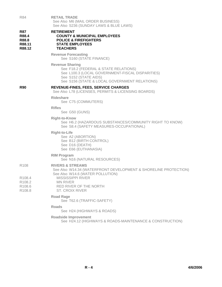| R84                                                          | <b>RETAIL TRADE</b><br>See Also M6 (MAIL ORDER BUSINESS)<br>See Also S236 (SUNDAY LAWS & BLUE LAWS)                                                                                           |
|--------------------------------------------------------------|-----------------------------------------------------------------------------------------------------------------------------------------------------------------------------------------------|
| <b>R87</b><br>R88.4<br>R88.8<br>R88.11<br>R88.12             | <b>RETIREMENT</b><br><b>COUNTY &amp; MUNICIPAL EMPLOYEES</b><br><b>POLICE &amp; FIREFIGHTERS</b><br><b>STATE EMPLOYEES</b><br><b>TEACHERS</b>                                                 |
|                                                              | <b>Revenue Forecasting</b><br>See S160 (STATE FINANCE)                                                                                                                                        |
|                                                              | <b>Revenue Sharing</b><br>See F18.2 (FEDERAL & STATE RELATIONS)<br>See L100.3 (LOCAL GOVERNMENT-FISCAL DISPARITIES)<br>See S152 (STATE AIDS)<br>See S156 (STATE & LOCAL GOVERNMENT RELATIONS) |
| <b>R90</b>                                                   | REVENUE-FINES, FEES, SERVICE CHARGES<br>See Also L78 (LICENSES, PERMITS & LICENSING BOARDS)                                                                                                   |
|                                                              | <b>Rideshare</b><br>See C75 (COMMUTERS)                                                                                                                                                       |
|                                                              | <b>Rifles</b><br>See G50 (GUNS)                                                                                                                                                               |
|                                                              | <b>Right-to-Know</b><br>See H6.2 (HAZARDOUS SUBSTANCES/COMMUNITY RIGHT TO KNOW)<br>See S8.4 (SAFETY MEASURES-OCCUPATIONAL)                                                                    |
|                                                              | <b>Right-to-Life</b><br>See A2 (ABORTION)<br>See B12 (BIRTH CONTROL)<br>See D16 (DEATH)<br>See E66 (EUTHANASIA)                                                                               |
|                                                              | <b>RIM Program</b><br>See N16 (NATURAL RESOURCES)                                                                                                                                             |
| R <sub>108</sub>                                             | <b>RIVERS &amp; STREAMS</b><br>See Also W14.34 (WATERFRONT DEVELOPMENT & SHORELINE PROTECTION)<br>See Also W14.6 (WATER POLLUTION)                                                            |
| R108.4<br>R <sub>108.2</sub><br>R <sub>108.6</sub><br>R108.8 | <b>MISSISSIPPI RIVER</b><br><b>MN RIVER</b><br>RED RIVER OF THE NORTH<br><b>ST. CROIX RIVER</b>                                                                                               |
|                                                              | <b>Road Rage</b><br>See T62.6 (TRAFFIC-SAFETY)                                                                                                                                                |
|                                                              | Roads<br>See H24 (HIGHWAYS & ROADS)                                                                                                                                                           |
|                                                              | <b>Roadside Improvement</b><br>See H24.12 (HIGHWAYS & ROADS-MAINTENANCE & CONSTRUCTION)                                                                                                       |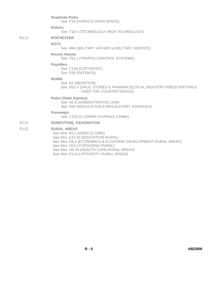**Roadside Parks** See P18 (PARKS & OPEN SPACE) **Robots** See T18.5 (TECHNOLOGY-HIGH TECHNOLOGY) R113 **ROCHESTER ROTC** See M60 (MILITARY AFFAIRS & MILITARY SERVICE) **Round Abouts** See T62.1 (TRAFFIC-CONTROL SYSTEMS) **Royalties** See C116 (COPYRIGHT) See P28 (PATENTS) **RU486** See A2 (ABORTION) See D62.4 (DRUG STORES & PHARMACEUTICAL INDUSTRY-PRESCRIPTION & OVER THE COUNTER DRUGS) **Rules (State Agency)** See A5.5 (ADMINISTRATIVE LAW) See R55 (REGULATION & REGULATORY AGENCIES) **Runaways** See C152.4J (CRIME-JUVENILE CRIME) R120 **RUNESTONE, KENSINGTON** R122 **RURAL AREAS** See Also A12 (AGRICULTURE) See Also E12.83 (EDUCATION-RURAL) See Also E8.4 (ECONOMICS & ECONOMIC DEVELOPMENT-RURAL AREAS)

See Also H52.14 (HOUSING-RURAL)

See Also H8.7B (HEALTH CARE-RURAL AREAS)

See Also P114.4 (POVERTY-RURAL AREAS)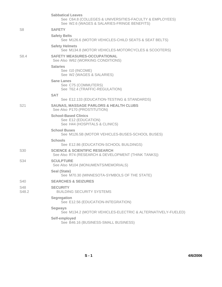|                     | <b>Sabbatical Leaves</b><br>See C64.8 (COLLEGES & UNIVERSITIES-FACULTY & EMPLOYEES)<br>See W2.6 (WAGES & SALARIES-FRINGE BENEFITS) |
|---------------------|------------------------------------------------------------------------------------------------------------------------------------|
| S8                  | <b>SAFETY</b>                                                                                                                      |
|                     | <b>Safety Belts</b><br>See M126.6 (MOTOR VEHICLES-CHILD SEATS & SEAT BELTS)                                                        |
|                     | <b>Safety Helmets</b><br>See M134.8 (MOTOR VEHICLES-MOTORCYCLES & SCOOTERS)                                                        |
| S8.4                | <b>SAFETY MEASURES-OCCUPATIONAL</b><br>See Also W62 (WORKING CONDITIONS)                                                           |
|                     | <b>Salaries</b><br>See 110 (INCOME)<br>See W2 (WAGES & SALARIES)                                                                   |
|                     | <b>Sane Lanes</b><br>See C75 (COMMUTERS)<br>See T62.4 (TRAFFIC-REGULATION)                                                         |
|                     | <b>SAT</b>                                                                                                                         |
|                     | See E12.133 (EDUCATION-TESTING & STANDARDS)                                                                                        |
| S <sub>21</sub>     | <b>SAUNAS, MASSAGE PARLORS &amp; HEALTH CLUBS</b><br>See Also P170 (PROSTITUTION)                                                  |
|                     | <b>School-Based Clinics</b><br>See E12 (EDUCATION)<br>See H44 (HOSPITALS & CLINICS)                                                |
|                     | <b>School Buses</b><br>See M126.5B (MOTOR VEHICLES-BUSES-SCHOOL BUSES)                                                             |
|                     | <b>Schools</b><br>See E12.86 (EDUCATION-SCHOOL BUILDINGS)                                                                          |
| S <sub>30</sub>     | <b>SCIENCE &amp; SCIENTIFIC RESEARCH</b><br>See Also R74 (RESEARCH & DEVELOPMENT (THINK TANKS))                                    |
| S34                 | <b>SCULPTURE</b><br>See Also M104 (MONUMENTS/MEMORIALS)                                                                            |
|                     | Seal (State)<br>See M70.30 (MINNESOTA-SYMBOLS OF THE STATE)                                                                        |
| S40                 | <b>SEARCHES &amp; SEIZURES</b>                                                                                                     |
| <b>S48</b><br>S48.2 | <b>SECURITY</b><br><b>BUILDING SECURITY SYSTEMS</b>                                                                                |
|                     | <b>Segregation</b><br>See E12.56 (EDUCATION-INTEGRATION)                                                                           |
|                     | <b>Segways</b><br>See M134.2 (MOTOR VEHICLES-ELECTRIC & ALTERNATIVELY-FUELED)                                                      |
|                     | Self-employed<br>See B46.16 (BUSINESS-SMALL BUSINESS)                                                                              |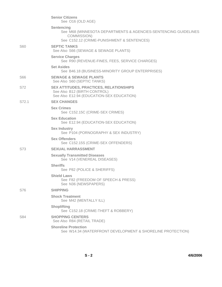|                 | <b>Senior Citizens</b><br>See O16 (OLD AGE)                                                                                                |
|-----------------|--------------------------------------------------------------------------------------------------------------------------------------------|
|                 | Sentencing<br>See M68 (MINNESOTA DEPARTMENTS & AGENCIES-SENTENCING GUIDELINES<br>COMMISSION)<br>See C152.12 (CRIME-PUNISHMENT & SENTENCES) |
| S <sub>60</sub> | <b>SEPTIC TANKS</b><br>See Also S66 (SEWAGE & SEWAGE PLANTS)                                                                               |
|                 | <b>Service Charges</b><br>See R90 (REVENUE-FINES, FEES, SERVICE CHARGES)                                                                   |
|                 | <b>Set Asides</b><br>See B46.18 (BUSINESS-MINORITY GROUP ENTERPRISES)                                                                      |
| S66             | <b>SEWAGE &amp; SEWAGE PLANTS</b><br>See Also S60 (SEPTIC TANKS)                                                                           |
| S72             | <b>SEX ATTITUDES, PRACTICES, RELATIONSHIPS</b><br>See Also B12 (BIRTH CONTROL)<br>See Also E12.94 (EDUCATION-SEX EDUCATION)                |
| S72.1           | <b>SEX CHANGES</b>                                                                                                                         |
|                 | <b>Sex Crimes</b><br>See C152.15C (CRIME-SEX CRIMES)                                                                                       |
|                 | <b>Sex Education</b><br>See E12.94 (EDUCATION-SEX EDUCATION)                                                                               |
|                 | <b>Sex Industry</b><br>See P104 (PORNOGRAPHY & SEX INDUSTRY)                                                                               |
|                 | <b>Sex Offenders</b><br>See C152.15S (CRIME-SEX OFFENDERS)                                                                                 |
| S73             | <b>SEXUAL HARRASSMENT</b>                                                                                                                  |
|                 | <b>Sexually Transmitted Diseases</b><br>See V14 (VENEREAL DISEASES)                                                                        |
|                 | <b>Sheriffs</b><br>See P82 (POLICE & SHERIFFS)                                                                                             |
|                 | <b>Shield Laws</b><br>See F82 (FREEDOM OF SPEECH & PRESS)<br>See N36 (NEWSPAPERS)                                                          |
| S76             | <b>SHIPPING</b>                                                                                                                            |
|                 | <b>Shock Treatment</b><br>See M42 (MENTALLY ILL)                                                                                           |
|                 | <b>Shoplifting</b><br>See C152.18 (CRIME-THEFT & ROBBERY)                                                                                  |
| S84             | <b>SHOPPING CENTERS</b><br>See Also R84 (RETAIL TRADE)                                                                                     |
|                 | <b>Shoreline Protection</b><br>See W14.34 (WATERFRONT DEVELOPMENT & SHORELINE PROTECTION)                                                  |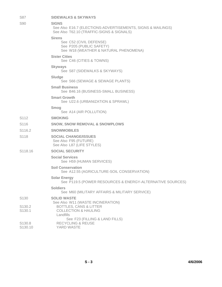| S87                 | <b>SIDEWALKS &amp; SKYWAYS</b>                                                                                           |
|---------------------|--------------------------------------------------------------------------------------------------------------------------|
| S90                 | <b>SIGNS</b><br>See Also E16.7 (ELECTIONS-ADVERTISEMENTS, SIGNS & MAILINGS)<br>See Also T62.10 (TRAFFIC-SIGNS & SIGNALS) |
|                     | <b>Sirens</b><br>See C52 (CIVIL DEFENSE)<br>See P205 (PUBLIC SAFETY)<br>See W18 (WEATHER & NATURAL PHENOMENA)            |
|                     | <b>Sister Cities</b><br>See C46 (CITIES & TOWNS)                                                                         |
|                     | <b>Skyways</b><br>See S87 (SIDEWALKS & SKYWAYS)                                                                          |
|                     | Sludge<br>See S66 (SEWAGE & SEWAGE PLANTS)                                                                               |
|                     | <b>Small Business</b><br>See B46.16 (BUSINESS-SMALL BUSINESS)                                                            |
|                     | <b>Smart Growth</b><br>See U22.6 (URBANIZATION & SPRAWL)                                                                 |
|                     | Smog<br>See A14 (AIR POLLUTION)                                                                                          |
| S <sub>112</sub>    | <b>SMOKING</b>                                                                                                           |
| S116                | <b>SNOW, SNOW REMOVAL &amp; SNOWPLOWS</b>                                                                                |
| S <sub>116.2</sub>  | <b>SNOWMOBILES</b>                                                                                                       |
| S118                | <b>SOCIAL CHANGE/ISSUES</b><br>See Also F95 (FUTURE)<br>See Also L87 (LIFE STYLES)                                       |
| S <sub>118.16</sub> | <b>SOCIAL SECURITY</b>                                                                                                   |
|                     | <b>Social Services</b><br>See H59 (HUMAN SERVICES)                                                                       |
|                     | <b>Soil Conservation</b><br>See A12.55 (AGRICULTURE-SOIL CONSERVATION)                                                   |
|                     | <b>Solar Energy</b><br>See P119.5 (POWER RESOURCES & ENERGY-ALTERNATIVE SOURCES)                                         |
|                     | <b>Soldiers</b><br>See M60 (MILITARY AFFAIRS & MILITARY SERVICE)                                                         |
| S <sub>130</sub>    | <b>SOLID WASTE</b>                                                                                                       |
| S <sub>130.2</sub>  | See Also W11 (WASTE INCINERATION)<br><b>BOTTLES, CANS &amp; LITTER</b>                                                   |
| S130.1              | <b>COLLECTION &amp; HAULING</b><br>Landfills                                                                             |
| S130.8              | See F23 (FILLING & LAND FILLS)<br><b>RECYCLING &amp; REUSE</b>                                                           |

S130.10 YARD WASTE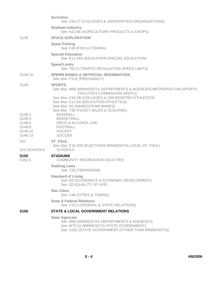|                                                                                                | <b>Sororities</b><br>See C64.27 (COLLEGES & UNIVERSITIES-ORGANIZATIONS)                                                                                                                                                                                                                          |
|------------------------------------------------------------------------------------------------|--------------------------------------------------------------------------------------------------------------------------------------------------------------------------------------------------------------------------------------------------------------------------------------------------|
|                                                                                                | <b>Soybean Industry</b><br>See A12.46 (AGRICULTURE-PRODUCTS & CROPS)                                                                                                                                                                                                                             |
| S <sub>138</sub>                                                                               | <b>SPACE EXPLORATION</b>                                                                                                                                                                                                                                                                         |
|                                                                                                | <b>Spear Fishing</b><br>See F40 (FISH & FISHING)                                                                                                                                                                                                                                                 |
|                                                                                                | <b>Special Education</b><br>See E12.94A (EDUCATION-SPECIAL EDUCATION)                                                                                                                                                                                                                            |
|                                                                                                | <b>Speed Limits</b><br>See T62.5 (TRAFFIC-REGULATION-SPEED LIMITS)                                                                                                                                                                                                                               |
| S <sub>146.10</sub>                                                                            | <b>SPERM BANKS &amp; ARTIFICIAL INSEMINATION</b><br>See Also P131 (PREGNANCY)                                                                                                                                                                                                                    |
| S148                                                                                           | <b>SPORTS</b><br>See Also M68 (MINNESOTA DEPARTMENTS & AGENCIES-METROPOLITAN SPORTS<br>FACILITIES COMMISSION (MSFC))<br>See Also C64.3B (COLLEGES & UNIVERSITIES-ATHLETICS)<br>See Also E12.9A (EDUCATION-ATHLETICS)<br>See Also N2 (NAMES/TEAM NAMES)<br>See Also T38 (TICKET SALES & SCALPING) |
| S <sub>148.2</sub><br>S148.4<br>S <sub>148.5</sub><br>S148.8<br>S <sub>148.10</sub><br>S148.13 | <b>BASEBALL</b><br><b>BASKETBALL</b><br>DRUG & ALCOHOL USE<br>FOOTBALL<br><b>HOCKEY</b><br><b>SOCCER</b>                                                                                                                                                                                         |
| S <sub>12</sub><br>S12-SCHOOLS                                                                 | <b>ST. PAUL</b><br>See Also E16.20S (ELECTIONS-MINNESOTA-LOCAL-ST. PAUL)<br><b>SCHOOLS</b>                                                                                                                                                                                                       |
| S150<br>S <sub>150.5</sub>                                                                     | <b>STADIUMS</b><br><b>COMMUNITY RECREATION FACILITIES</b>                                                                                                                                                                                                                                        |
|                                                                                                | <b>Stalking Laws</b><br>See T26 (TERRORISM)                                                                                                                                                                                                                                                      |
|                                                                                                | <b>Standard of Living</b><br>See E8 (ECONOMICS & ECONOMIC DEVELOPMENT)<br>See Q3 (QUALITY OF LIFE)                                                                                                                                                                                               |
|                                                                                                | <b>Star Cities</b><br>See C46 (CITIES & TOWNS)                                                                                                                                                                                                                                                   |
|                                                                                                | <b>State &amp; Federal Relations</b><br>See F18.2 (FEDERAL & STATE RELATIONS)                                                                                                                                                                                                                    |
| <b>S156</b>                                                                                    | <b>STATE &amp; LOCAL GOVERNMENT RELATIONS</b>                                                                                                                                                                                                                                                    |
|                                                                                                | <b>State Agencies</b><br>See M68 (MINNESOTA DEPARTMENTS & AGENCIES)<br>See M70.22 (MINNESOTA-STATE GOVERNMENT)<br>See S162 (STATE GOVERNMENT (OTHER THAN MINNESOTA))                                                                                                                             |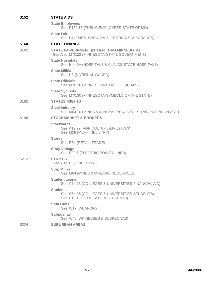| S <sub>152</sub>  | <b>STATE AIDS</b>                                                                                    |
|-------------------|------------------------------------------------------------------------------------------------------|
|                   | <b>State Employees</b><br>See P182.15 (PUBLIC EMPLOYEES-STATE OF MN)                                 |
|                   | <b>State Fair</b><br>See F4 (FAIRS, CARNIVALS, FESTIVALS, & PARADES)                                 |
| S <sub>160</sub>  | <b>STATE FINANCE</b>                                                                                 |
| S162              | <b>STATE GOVERNMENT (OTHER THAN MINNESOTA)</b><br>See Also M70.22 (MINNESOTA-STATE GOVERNMENT)       |
|                   | <b>State Hospitals</b><br>See H44.3A (HOSPITALS & CLINICS-STATE HOSPITALS)                           |
|                   | <b>State Militia</b><br>See N8 (NATIONAL GUARD)                                                      |
|                   | <b>State Officials</b><br>See M70.26 (MINNESOTA-STATE OFFICIALS)                                     |
|                   | <b>State Symbols</b><br>See M70.30 (MINNESOTA-SYMBOLS OF THE STATE)                                  |
| S <sub>182</sub>  | <b>STATES' RIGHTS</b>                                                                                |
|                   | <b>Steel Industry</b><br>See M64.10 (MINES & MINERAL RESOURCES-TACONITE/IRON ORE)                    |
| S <sub>198</sub>  | <b>STOCKMARKET &amp; BROKERS</b>                                                                     |
|                   | <b>Stockyards</b><br>See A12.22 (AGRICULTURE-LIVESTOCK)<br>See M28 (MEAT INDUSTRY)                   |
|                   | <b>Stores</b><br>See R84 (RETAIL TRADE)                                                              |
|                   | <b>Stray Voltage</b><br>See E20.6 (ELECTRIC POWER LINES)                                             |
| S <sub>2</sub> 12 | <b>STRIKES</b><br>See Also P62 (PICKETING)                                                           |
|                   | <b>Strip Mines</b><br>See M64 (MINES & MINERAL RESOURCES)                                            |
|                   | <b>Student Loans</b><br>See C64.18 (COLLEGES & UNIVERSITIES-FINANCIAL AID)                           |
|                   | <b>Students</b><br>See C64.35 (COLLEGES & UNIVERSITIES-STUDENTS)<br>See E12.106 (EDUCATION-STUDENTS) |
|                   | <b>Stun Guns</b><br>See W17 (WEAPONS)                                                                |
|                   | <b>Subpoenas</b><br>See W48 (WITNESSES & SUBPEONAS)                                                  |
| S224              | <b>SUBURBAN AREAS</b>                                                                                |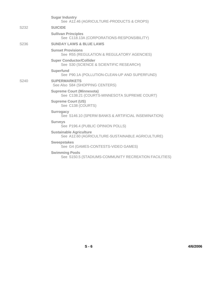|                  | <b>Sugar Industry</b><br>See A12.46 (AGRICULTURE-PRODUCTS & CROPS)                 |
|------------------|------------------------------------------------------------------------------------|
| S232             | <b>SUICIDE</b>                                                                     |
|                  | <b>Sullivan Principles</b><br>See C118.13A (CORPORATIONS-RESPONSIBILITY)           |
| S <sub>236</sub> | <b>SUNDAY LAWS &amp; BLUE LAWS</b>                                                 |
|                  | <b>Sunset Provisions</b><br>See R55 (REGULATION & REGULATORY AGENCIES)             |
|                  | <b>Super Conductor/Collider</b><br>See S30 (SCIENCE & SCIENTIFIC RESEARCH)         |
|                  | <b>Superfund</b><br>See P90.1A (POLLUTION-CLEAN-UP AND SUPERFUND)                  |
| S240             | <b>SUPERMARKETS</b><br>See Also S84 (SHOPPING CENTERS)                             |
|                  | <b>Supreme Court (Minnesota)</b><br>See C138.21 (COURTS-MINNESOTA SUPREME COURT)   |
|                  | <b>Supreme Court (US)</b><br>See C138 (COURTS)                                     |
|                  | <b>Surrogacy</b><br>See S146.10 (SPERM BANKS & ARTIFICIAL INSEMINATION)            |
|                  | <b>Surveys</b><br>See P196.4 (PUBLIC OPINION POLLS)                                |
|                  | <b>Sustainable Agriculture</b><br>See A12.60 (AGRICULTURE-SUSTAINABLE AGRICULTURE) |
|                  | <b>Sweepstakes</b><br>See G4 (GAMES-CONTESTS-VIDEO GAMES)                          |
|                  | <b>Swimming Pools</b><br>See S150.5 (STADIUMS-COMMUNITY RECREATION FACILITIES)     |
|                  |                                                                                    |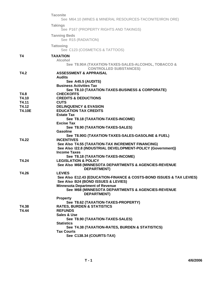|               | <b>Taconite</b><br>See M64.10 (MINES & MINERAL RESOURCES-TACONITE/IRON ORE)                                               |
|---------------|---------------------------------------------------------------------------------------------------------------------------|
|               | <b>Takings</b><br>See P167 (PROPERTY RIGHTS AND TAKINGS)                                                                  |
|               | <b>Tanning Beds</b><br>See R15 (RADIATION)                                                                                |
|               | <b>Tattooing</b><br>See C123 (COSMETICS & TATTOOS)                                                                        |
| T4            | <b>TAXATION</b><br><b>Alcohol</b><br>See T8.90A (TAXATION-TAXES-SALES-ALCOHOL, TOBACCO &<br><b>CONTROLLED SUBSTANCES)</b> |
| T4.2          | <b>ASSESSMENT &amp; APPRAISAL</b><br><b>Audits</b>                                                                        |
|               | See A45.5 (AUDITS)<br><b>Business Activities Tax</b><br>See T8.10 (TAXATION-TAXES-BUSINESS & CORPORATE)                   |
| T4.8          | <b>CHECKOFFS</b>                                                                                                          |
| T4.10         | <b>CREDITS &amp; DEDUCTIONS</b>                                                                                           |
| T4.11         | <b>CUTS</b>                                                                                                               |
| T4.12         | <b>DELINQUENCY &amp; EVASION</b>                                                                                          |
| <b>T4.10E</b> | <b>EDUCATION TAX CREDITS</b><br><b>Estate Tax</b>                                                                         |
|               | See T8.18 (TAXATION-TAXES-INCOME)                                                                                         |
|               | <b>Excise Tax</b>                                                                                                         |
|               | See T8.90 (TAXATION-TAXES-SALES)                                                                                          |
|               | Gasoline                                                                                                                  |
|               | See T8.90G (TAXATION-TAXES-SALES-GASOLINE & FUEL)                                                                         |
| T4.22         | <b>INCENTIVES</b>                                                                                                         |
|               | See Also T4.55 (TAXATION-TAX INCREMENT FINANCING)                                                                         |
|               | See Also I22.8 (INDUSTRIAL DEVELOPMENT-POLICY (Government))<br><b>Income Taxes</b>                                        |
|               | See T8.18 (TAXATION-TAXES-INCOME)                                                                                         |
| T4.24         | <b>LEGISLATION &amp; POLICY</b>                                                                                           |
|               | See Also M68 (MINNESOTA DEPARTMENTS & AGENCIES-REVENUE<br><b>DEPARTMENT)</b>                                              |
| T4.26         | <b>LEVIES</b>                                                                                                             |
|               | See Also E12.43 (EDUCATION-FINANCE & COSTS-BOND ISSUES & TAX LEVIES)<br>See Also B24 (BOND ISSUES & LEVIES)               |
|               | <b>Minnesota Department of Revenue</b>                                                                                    |
|               | See M68 (MINNESOTA DEPARTMENTS & AGENCIES-REVENUE<br><b>DEPARTMENT)</b>                                                   |
|               | <b>Property</b>                                                                                                           |
|               | See T8.62 (TAXATION-TAXES-PROPERTY)                                                                                       |
| T4.38         | <b>RATES, BURDEN &amp; STATISTICS</b>                                                                                     |
| T4.44         | <b>REFUNDS</b><br>Sales & Use                                                                                             |
|               | See T8.90 (TAXATION-TAXES-SALES)                                                                                          |
|               | <b>Statistics</b>                                                                                                         |
|               | See T4.38 (TAXATION-RATES, BURDEN & STATISTICS)                                                                           |
|               | <b>Tax Courts</b>                                                                                                         |
|               | See C138.34 (COURTS-TAX)                                                                                                  |
|               |                                                                                                                           |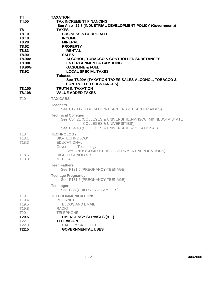| T4<br>T4.55<br>T8<br>T8.10<br>T8.18<br>T8.28<br>T8.62<br>T8.83<br>T8.90<br><b>T8.90A</b><br>T8.90E<br>T8.90G<br>T8.92 | <b>TAXATION</b><br><b>TAX INCREMENT FINANCING</b><br>See Also I22.8 (INDUSTRIAL DEVELOPMENT-POLICY (Government))<br><b>TAXES</b><br><b>BUSINESS &amp; CORPORATE</b><br><b>INCOME</b><br><b>MINERAL</b><br><b>PROPERTY</b><br><b>RENTAL</b><br><b>SALES</b><br>ALCOHOL, TOBACCO & CONTROLLED SUBSTANCES<br><b>ENTERTAINMENT &amp; GAMBLING</b><br><b>GASOLINE &amp; FUEL</b><br><b>LOCAL SPECIAL TAXES</b> |
|-----------------------------------------------------------------------------------------------------------------------|-----------------------------------------------------------------------------------------------------------------------------------------------------------------------------------------------------------------------------------------------------------------------------------------------------------------------------------------------------------------------------------------------------------|
|                                                                                                                       | <b>Tobacco</b><br>See T8.90A (TAXATION-TAXES-SALES-ALCOHOL, TOBACCO &<br><b>CONTROLLED SUBSTANCES)</b>                                                                                                                                                                                                                                                                                                    |
| T8.100<br>T8.108                                                                                                      | <b>TRUTH IN TAXATION</b><br><b>VALUE ADDED TAXES</b>                                                                                                                                                                                                                                                                                                                                                      |
| T <sub>10</sub>                                                                                                       | <b>TAXICABS</b>                                                                                                                                                                                                                                                                                                                                                                                           |
|                                                                                                                       | <b>Teachers</b><br>See E12.112 (EDUCATION-TEACHERS & TEACHER AIDES)                                                                                                                                                                                                                                                                                                                                       |
|                                                                                                                       | <b>Technical Colleges</b><br>See C64.21 (COLLEGES & UNIVERSITIES-MNSCU (MINNESOTA STATE<br><b>COLLEGES &amp; UNIVERSITIES))</b><br>See C64.48 (COLLEGES & UNIVERSITIES-VOCATIONAL)                                                                                                                                                                                                                        |
| T <sub>18</sub><br>T18.1<br>T18.3                                                                                     | <b>TECHNOLOGY</b><br><b>BIO-TECHNOLOGY</b><br><b>EDUCATIONAL</b><br>Government Technology                                                                                                                                                                                                                                                                                                                 |
| T <sub>18.5</sub><br>T18.8                                                                                            | See C76.8 (COMPUTERS-GOVERNMENT APPLICATIONS)<br><b>HIGH TECHNOLOGY</b><br><b>MEDICAL</b>                                                                                                                                                                                                                                                                                                                 |
|                                                                                                                       | <b>Teen Fathers</b><br>See P131.5 (PREGNANCY-TEENAGE)                                                                                                                                                                                                                                                                                                                                                     |
|                                                                                                                       | <b>Teenage Pregnancy</b><br>See P131.5 (PREGNANCY-TEENAGE)                                                                                                                                                                                                                                                                                                                                                |
|                                                                                                                       | <b>Teen-agers</b><br>See C36 (CHILDREN & FAMILIES)                                                                                                                                                                                                                                                                                                                                                        |
| T <sub>19</sub><br>T19.4<br>T19.5<br>T19.8<br><b>T20</b>                                                              | <b>TELECOMMUNICATIONS</b><br><b>INTERNET</b><br><b>BLOGS AND EMAIL</b><br><b>RADIO</b><br><b>TELEPHONE</b>                                                                                                                                                                                                                                                                                                |
| T20.5<br>T22                                                                                                          | <b>EMERGENCY SERVICES (911)</b><br><b>TELEVISION</b>                                                                                                                                                                                                                                                                                                                                                      |
| T22.3<br>T22.5                                                                                                        | <b>CABLE &amp; SATELLITE</b><br><b>GOVERNMENTAL USES</b>                                                                                                                                                                                                                                                                                                                                                  |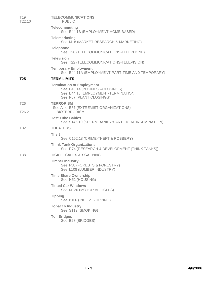| T <sub>19</sub><br>T <sub>22.10</sub> | <b>TELECOMMUNICATIONS</b><br><b>PUBLIC</b>                                                                                            |
|---------------------------------------|---------------------------------------------------------------------------------------------------------------------------------------|
|                                       | <b>Telecommuting</b><br>See E44.1B (EMPLOYMENT-HOME BASED)                                                                            |
|                                       | <b>Telemarketing</b><br>See M18 (MARKET RESEARCH & MARKETING)                                                                         |
|                                       | <b>Telephone</b><br>See T20 (TELECOMMUNICATIONS-TELEPHONE)                                                                            |
|                                       | <b>Television</b><br>See T22 (TELECOMMUNICATIONS-TELEVISION)                                                                          |
|                                       | <b>Temporary Employment</b><br>See E44.11A (EMPLOYMENT-PART-TIME AND TEMPORARY)                                                       |
| T <sub>25</sub>                       | <b>TERM LIMITS</b>                                                                                                                    |
|                                       | <b>Termination of Employment</b><br>See B46.14 (BUSINESS-CLOSINGS)<br>See E44.13 (EMPLOYMENT-TERMINATION)<br>See P67 (PLANT CLOSINGS) |
| T <sub>26</sub>                       | <b>TERRORISM</b>                                                                                                                      |
| T <sub>26.2</sub>                     | See Also E87 (EXTREMIST ORGANIZATIONS)<br><b>BIOTERRORISM</b>                                                                         |
|                                       | <b>Test Tube Babies</b><br>See S146.10 (SPERM BANKS & ARTIFICIAL INSEMINATION)                                                        |
| <b>T32</b>                            | <b>THEATERS</b>                                                                                                                       |
|                                       | <b>Theft</b><br>See C152.18 (CRIME-THEFT & ROBBERY)                                                                                   |
|                                       | <b>Think Tank Organizations</b><br>See R74 (RESEARCH & DEVELOPMENT (THINK TANKS))                                                     |
| <b>T38</b>                            | <b>TICKET SALES &amp; SCALPING</b>                                                                                                    |
|                                       | <b>Timber Industry</b><br>See F58 (FORESTS & FORESTRY)<br>See L108 (LUMBER INDUSTRY)                                                  |
|                                       | <b>Time Share Ownership</b><br>See H52 (HOUSING)                                                                                      |
|                                       | <b>Tinted Car Windows</b><br>See M126 (MOTOR VEHICLES)                                                                                |
|                                       | <b>Tipping</b><br>See I10.6 (INCOME-TIPPING)                                                                                          |
|                                       | <b>Tobacco Industry</b><br>See S112 (SMOKING)                                                                                         |
|                                       | <b>Toll Bridges</b><br>See B28 (BRIDGES)                                                                                              |
|                                       |                                                                                                                                       |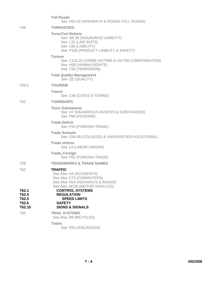|                                            | <b>Toll Roads</b><br>See H24.22 (HIGHWAYS & ROADS-TOLL ROADS)                                                                                       |
|--------------------------------------------|-----------------------------------------------------------------------------------------------------------------------------------------------------|
| T46                                        | <b>TORNADOES</b>                                                                                                                                    |
|                                            | <b>Torts/Tort Reform</b><br>See 146.38 (INSURANCE-LIABILITY)<br>See L32 (LAW SUITS)<br>See L68 (LIABILITY)<br>See P156 (PRODUCT LIABILITY & SAFETY) |
|                                            | <b>Torture</b><br>See C152.24 (CRIME-VICTIMS & VICTIM COMPENSATION)<br>See H58 (HUMAN RIGHTS)<br>See T26 (TERRORISM)                                |
|                                            | <b>Total Quality Management</b><br>See Q2 (QUALITY)                                                                                                 |
| T <sub>50.2</sub>                          | <b>TOURISM</b>                                                                                                                                      |
|                                            | <b>Towns</b><br>See C46 (CITIES & TOWNS)                                                                                                            |
| <b>T52</b>                                 | <b>TOWNSHIPS</b>                                                                                                                                    |
|                                            | <b>Toxic Substances</b><br>See H7 (HAZARDOUS WASTES & SUBSTANCES)<br>See P80 (POISONS)                                                              |
|                                            | <b>Trade Deficit</b><br>See F55 (FOREIGN TRADE)                                                                                                     |
|                                            | <b>Trade Schools</b><br>See C64.48 (COLLEGES & UNIVERSITIES-VOCATIONAL)                                                                             |
|                                            | <b>Trade Unions</b><br>See L4 (LABOR UNIONS)                                                                                                        |
|                                            | <b>Trade, Foreign</b><br>See F55 (FOREIGN TRADE)                                                                                                    |
| <b>T58</b>                                 | <b>TRADEMARKS &amp; TRADE NAMES</b>                                                                                                                 |
| T62                                        | TRAFFIC<br>See Also A4 (ACCIDENTS)<br>See Also C75 (COMMUTERS)<br>See Also H24 (HIGHWAYS & ROADS)<br>See Also M126 (MOTOR VEHICLES)                 |
| T62.1<br>T62.4<br>T62.5<br>T62.6<br>T62.10 | <b>CONTROL SYSTEMS</b><br><b>REGULATION</b><br><b>SPEED LIMITS</b><br><b>SAFETY</b><br><b>SIGNS &amp; SIGNALS</b>                                   |
| T65                                        | <b>TRAIL SYSTEMS</b><br>See Also B9 (BICYCLES)                                                                                                      |
|                                            | <b>Trains</b><br>See R24 (RAILROADS)                                                                                                                |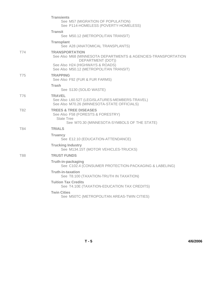|            | <b>Transients</b><br>See M57 (MIGRATION OF POPULATION)<br>See P114-HOMELESS (POVERTY-HOMELESS)                                                                                           |
|------------|------------------------------------------------------------------------------------------------------------------------------------------------------------------------------------------|
|            | <b>Transit</b><br>See M50.12 (METROPOLITAN TRANSIT)                                                                                                                                      |
|            | <b>Transplant</b><br>See A28 (ANATOMICAL TRANSPLANTS)                                                                                                                                    |
| <b>T74</b> | <b>TRANSPORTATION</b><br>See Also M68 (MINNESOTA DEPARTMENTS & AGENCIES-TRANSPORTATION<br>DEPARTMENT (DOT))<br>See Also H24 (HIGHWAYS & ROADS)<br>See Also M50.12 (METROPOLITAN TRANSIT) |
| T75        | <b>TRAPPING</b><br>See Also F92 (FUR & FUR FARMS)                                                                                                                                        |
|            | Trash<br>See S130 (SOLID WASTE)                                                                                                                                                          |
| T76        | <b>TRAVEL</b><br>See Also L60.52T (LEGISLATURES-MEMBERS-TRAVEL)<br>See Also M70.26 (MINNESOTA-STATE OFFICIALS)                                                                           |
| T82        | <b>TREES &amp; TREE DISEASES</b><br>See Also F58 (FORESTS & FORESTRY)<br><b>State Tree</b><br>See M70.30 (MINNESOTA-SYMBOLS OF THE STATE)                                                |
| T84        | <b>TRIALS</b>                                                                                                                                                                            |
|            | <b>Truancy</b><br>See E12.10 (EDUCATION-ATTENDANCE)                                                                                                                                      |
|            | <b>Trucking Industry</b><br>See M134.15T (MOTOR VEHICLES-TRUCKS)                                                                                                                         |
| T88        | <b>TRUST FUNDS</b>                                                                                                                                                                       |
|            | Truth-in-packaging<br>See C102.4 (CONSUMER PROTECTION-PACKAGING & LABELING)                                                                                                              |
|            | <b>Truth-in-taxation</b><br>See T8.100 (TAXATION-TRUTH IN TAXATION)                                                                                                                      |
|            | <b>Tuition Tax Credits</b><br>See T4.10E (TAXATION-EDUCATION TAX CREDITS)                                                                                                                |
|            | <b>Twin Cities</b><br>See M50TC (METROPOLITAN AREAS-TWIN CITIES)                                                                                                                         |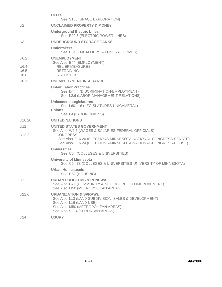|                                      | UFO's<br>See S138 (SPACE EXPLORATION)                                                                                                                                                                                                       |
|--------------------------------------|---------------------------------------------------------------------------------------------------------------------------------------------------------------------------------------------------------------------------------------------|
| U <sub>2</sub>                       | <b>UNCLAIMED PROPERTY &amp; MONEY</b>                                                                                                                                                                                                       |
|                                      | <b>Underground Electric Lines</b><br>See E20.6 (ELECTRIC POWER LINES)                                                                                                                                                                       |
| U3                                   | <b>UNDERGROUND STORAGE TANKS</b>                                                                                                                                                                                                            |
|                                      | Undertakers<br>See E34 (EMBALMERS & FUNERAL HOMES)                                                                                                                                                                                          |
| U6.2                                 | <b>UNEMPLOYMENT</b>                                                                                                                                                                                                                         |
| U6.4<br>U6.5<br>U6.8                 | See Also E44 (EMPLOYMENT)<br><b>RELIEF MEASURES</b><br><b>RETRAINING</b><br><b>STATISTICS</b>                                                                                                                                               |
| U6.12                                | <b>UNEMPLOYMENT INSURANCE</b>                                                                                                                                                                                                               |
|                                      | <b>Unfair Labor Practices</b><br>See D44.4 (DISCRIMINATION-EMPLOYMENT)<br>See L2.6 (LABOR-MANAGEMENT RELATIONS)                                                                                                                             |
|                                      | <b>Unicameral Legislatures</b><br>See L60.116 (LEGISLATURES-UNICAMERAL)<br>Unions                                                                                                                                                           |
|                                      | See L4 (LABOR UNIONS)                                                                                                                                                                                                                       |
| U <sub>10.20</sub>                   | <b>UNITED NATIONS</b>                                                                                                                                                                                                                       |
| U <sub>12</sub><br>U <sub>12.2</sub> | <b>UNITED STATES GOVERNMENT</b><br>See Also W2.5 (WAGES & SALARIES-FEDERAL OFFICIALS)<br><b>CONGRESS</b><br>See Also E16.26 (ELECTIONS-MINNESOTA-NATIONAL-CONGRESS-SENATE)<br>See Also E16.24 (ELECTIONS-MINNESOTA-NATIONAL-CONGRESS-HOUSE) |
|                                      | <b>Universities</b><br>See C64 (COLLEGES & UNIVERSITIES)                                                                                                                                                                                    |
|                                      | <b>University of Minnesota</b><br>See C64.38 (COLLEGES & UNIVERSITIES-UNIVERSITY OF MINNESOTA)                                                                                                                                              |
|                                      | <b>Urban Homesteads</b><br>See H52 (HOUSING)                                                                                                                                                                                                |
| U <sub>22.2</sub>                    | <b>URBAN PROBLEMS &amp; RENEWAL</b><br>See Also C71 (COMMUNITY & NEIGHBORHOOD IMPROVEMENT)<br>See Also M50 (METROPOLITAN AREAS)                                                                                                             |
| U22.6                                | <b>URBANIZATION &amp; SPRAWL</b><br>See Also L13 (LAND SUBDIVISION, SALES & DEVELOPMENT)<br>See Also L16 (LAND USE)<br>See Also M50 (METROPOLITAN AREAS)<br>See Also S224 (SUBURBAN AREAS)                                                  |
| U24                                  | <b>USURY</b>                                                                                                                                                                                                                                |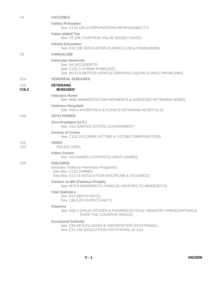| V <sub>4</sub>         | <b>VACCINES</b>                                                                                                                             |
|------------------------|---------------------------------------------------------------------------------------------------------------------------------------------|
|                        | <b>Valdez Principles</b><br>See C118.13A (CORPORATIONS-RESPONSIBILITY)                                                                      |
|                        | <b>Value-added Tax</b><br>See T8.108 (TAXATION-VALUE ADDED TAXES)                                                                           |
|                        | <b>Values Education</b><br>See E12.23E (EDUCATION-CURRICULUM & HOMEWORK)                                                                    |
| V8                     | <b>VANDALISM</b>                                                                                                                            |
|                        | <b>Vehicular Homicide</b><br>See A4 (ACCIDENTS)<br>See C152.3 (CRIME-HOMICIDE)<br>See M124.8 (MOTOR VEHICLE DRIVERS-LIQUOR & DRUG PROBLEMS) |
| V14                    | <b>VENEREAL DISEASES</b>                                                                                                                    |
| V16<br>V16.2           | <b>VETERANS</b><br><b>BONUSES'</b>                                                                                                          |
|                        | <b>Veterans Home</b><br>See M68 (MINNESOTA DEPARTMENTS & AGENCIES-VETERANS HOME)                                                            |
|                        | <b>Veterans Hospitals</b><br>See H44.4 (HOSPITALS & CLINICS-VETERANS HOSPITALS)                                                             |
| V20                    | <b>VETO POWER</b>                                                                                                                           |
|                        | Vice-President (U.S.)<br>See U12 (UNITED STATES GOVERNMENT)                                                                                 |
|                        | <b>Victims of Crime</b><br>See C152.24 (CRIME-VICTIMS & VICTIM COMPENSATION)                                                                |
| V <sub>22</sub><br>V23 | <b>VIDEO</b><br><b>POLICE USES</b>                                                                                                          |
|                        | <b>Video Games</b><br>See G4 (GAMES-CONTESTS-VIDEO GAMES)                                                                                   |
| V28                    | <b>VIOLENCE</b><br>(Includes Violence Prevention Programs)<br>See Also C152 (CRIME)<br>See Also E12.24 (EDUCATION-DISCIPLINE & VIOLENCE)    |
|                        | <b>Visitors to MN (Famous People)</b><br>See M70.9 (MINNESOTA-FAMOUS VISITORS TO MINNESOTA)                                                 |
|                        | <b>Vital Statistics</b><br>See B14 (BIRTH RATE)<br>See L86 (LIFE EXPECTANCY)                                                                |
|                        | <b>Vitamins</b><br>See D62.4 (DRUG STORES & PHARMACEUTICAL INDUSTRY-PRESCRIPTION &<br>OVER THE COUNTER DRUGS)                               |
|                        | <b>Vocational Schools</b><br>See C64.48 (COLLEGES & UNIVERSITIES-VOCATIONAL)<br>See E12.146 (EDUCATION-VOCATIONAL (K-12))                   |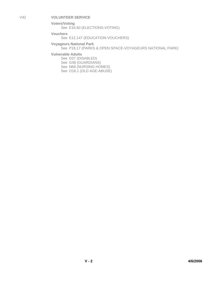V42 **VOLUNTEER SERVICE**

**Voters/Voting** See E16.60 (ELECTIONS-VOTING)

**Vouchers**

See E12.147 (EDUCATION-VOUCHERS)

**Voyageurs National Park**

See P18.17 (PARKS & OPEN SPACE-VOYAGEURS NATIONAL PARK)

**Vulnerable Adults**

See D37 (DISABLED) See G48 (GUARDIANS) See N68 (NURSING HOMES) See O16.1 (OLD AGE-ABUSE)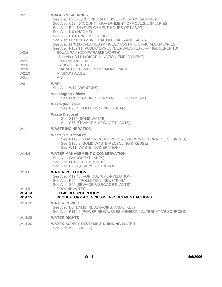| W <sub>2</sub>                                                             | <b>WAGES &amp; SALARIES</b><br>See Also C118.12 (CORPORATIONS-OFFICERS & SALARIES)<br>See Also C134.6 (COUNTY GOVERNMENT-OFFICIALS & SALARIES)<br>See Also E44.1H (EMPLOYMENT-HOURS OF LABOR)<br>See Also 110 (INCOME)<br>See Also 110.6 (INCOME-TIPPING)<br>See Also M150.20 (MUNICIPAL OFFICIALS AND SALARIES)<br>See Also M70.26-SALARIES (MINNESOTA-STATE OFFICIALS-SALARIES)<br>See Also P182.11 (PUBLIC EMPLOYEES-SALARIES & FRINGE BENEFITS) |
|----------------------------------------------------------------------------|-----------------------------------------------------------------------------------------------------------------------------------------------------------------------------------------------------------------------------------------------------------------------------------------------------------------------------------------------------------------------------------------------------------------------------------------------------|
| W <sub>2.4</sub>                                                           | EQUAL PAY (COMPARABLE WORTH)<br>See Also D44.4 (DISCRIMINATION-EMPLOYMENT)                                                                                                                                                                                                                                                                                                                                                                          |
| W <sub>2.5</sub><br>W2.6<br>W <sub>2.8</sub><br>W2.10<br>W <sub>2.11</sub> | <b>FEDERAL OFFICIALS</b><br><b>FRINGE BENEFITS</b><br><b>GUARANTEED WAGE/PREVAILING WAGE</b><br>MINIMUM WAGE<br><b>MN</b>                                                                                                                                                                                                                                                                                                                           |
| W <sub>6</sub>                                                             | <b>WAR</b><br>See Also W17 (WEAPONS)                                                                                                                                                                                                                                                                                                                                                                                                                |
|                                                                            | <b>Washington Offices</b><br>See M70.22 (MINNESOTA-STATE GOVERNMENT)                                                                                                                                                                                                                                                                                                                                                                                |
|                                                                            | <b>Waste (Industrial)</b><br>See P90.4 (POLLUTION-INDUSTRIAL)                                                                                                                                                                                                                                                                                                                                                                                       |
|                                                                            | <b>Waste Disposal</b><br>See S130 (SOLID WASTE)<br>See S66 (SEWAGE & SEWAGE PLANTS)                                                                                                                                                                                                                                                                                                                                                                 |
| W <sub>11</sub>                                                            | <b>WASTE INCINERATION</b>                                                                                                                                                                                                                                                                                                                                                                                                                           |
|                                                                            | <b>Waste, Utilization of</b><br>See P119.5 (POWER RESOURCES & ENERGY-ALTERNATIVE SOURCES)<br>See S130.8 (SOLID WASTE-RECYCLING & REUSE)<br>See W11 (WASTE INCINERATION)                                                                                                                                                                                                                                                                             |
| W14.4                                                                      | <b>WATER MANAGEMENT &amp; CONSERVATION</b><br>See Also G44 (GREAT LAKES)<br>See Also L6 (LAKES & PONDS)<br>See Also R108 (RIVERS & STREAMS)                                                                                                                                                                                                                                                                                                         |
| W14.6                                                                      | <b>WATER POLLUTION</b><br>See Also A12.45 (AGRICULTURE-POLLUTION)<br>See Also P90.4 (POLLUTION-INDUSTRIAL)<br>See Also S66 (SEWAGE & SEWAGE PLANTS)                                                                                                                                                                                                                                                                                                 |
| W14.9                                                                      | <b>GROUNDWATER</b>                                                                                                                                                                                                                                                                                                                                                                                                                                  |
| W14.13<br>W14.15                                                           | <b>LEGISLATION &amp; POLICY</b><br><b>REGULATORY AGENCIES &amp; ENFORCEMENT ACTIONS</b>                                                                                                                                                                                                                                                                                                                                                             |
| W14.20                                                                     | <b>WATER POWER</b><br>See Also D6 (DAMS, RESERVOIRS, AND DIKES)<br>See Also P119.5 (POWER RESOURCES & ENERGY-ALTERNATIVE SOURCES)                                                                                                                                                                                                                                                                                                                   |
| W14.28                                                                     | <b>WATER RIGHTS</b>                                                                                                                                                                                                                                                                                                                                                                                                                                 |
| W14.30                                                                     | <b>WATER SUPPLY SYSTEMS &amp; DRINKING WATER</b><br>See Also W28 (WELLS)                                                                                                                                                                                                                                                                                                                                                                            |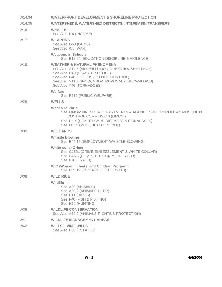| W14.34          | <b>WATERFRONT DEVELOPMENT &amp; SHORELINE PROTECTION</b>                                                                                                                                                                                            |
|-----------------|-----------------------------------------------------------------------------------------------------------------------------------------------------------------------------------------------------------------------------------------------------|
| W14.35          | <b>WATERSHEDS, WATERSHED DISTRICTS, INTERBASIN TRANSFERS</b>                                                                                                                                                                                        |
| W <sub>16</sub> | <b>WEALTH</b><br>See Also 110 (INCOME)                                                                                                                                                                                                              |
| W17             | <b>WEAPONS</b><br>See Also G50 (GUNS)<br>See Also W6 (WAR)                                                                                                                                                                                          |
|                 | <b>Weapons in Schools</b><br>See E12.24 (EDUCATION-DISCIPLINE & VIOLENCE)                                                                                                                                                                           |
| W18             | <b>WEATHER &amp; NATURAL PHENOMENA</b><br>See Also A14.5 (AIR POLLUTION-GREENHOUSE EFFECT)<br>See Also D40 (DISASTER RELIEF)<br>See Also F46 (FLOODS & FLOOD CONTROL)<br>See Also S116 (SNOW, SNOW REMOVAL & SNOWPLOWS)<br>See Also T46 (TORNADOES) |
|                 | Welfare                                                                                                                                                                                                                                             |
|                 | See P212 (PUBLIC WELFARE)                                                                                                                                                                                                                           |
| W28             | <b>WELLS</b>                                                                                                                                                                                                                                        |
|                 | <b>West Nile Virus</b><br>See M68 (MINNESOTA DEPARTMENTS & AGENCIES-METROPOLITAN MOSQUITO<br>CONTROL COMMISSION (MMCC))<br>See H8.4 (HEALTH CARE-DISEASES & SICKNESSES)<br>See M112 (MOSQUITO CONTROL)                                              |
| W30             | <b>WETLANDS</b>                                                                                                                                                                                                                                     |
|                 | <b>Whistle Blowing</b><br>See E44.15 (EMPLOYMENT-WHISTLE BLOWING)                                                                                                                                                                                   |
|                 | <b>White-collar Crime</b><br>See C152L (CRIME-EMBEZZLEMENT & WHITE COLLAR)<br>See C76.3 (COMPUTERS-CRIME & FRAUD)<br>See F76 (FRAUD)                                                                                                                |
|                 | <b>WIC (Women, Infants, and Children Program)</b><br>See F52.12 (FOOD-RELIEF EFFORTS)                                                                                                                                                               |
| <b>W38</b>      | <b>WILD RICE</b>                                                                                                                                                                                                                                    |
|                 | Wildlife<br>See A30 (ANIMALS)<br>See A30.8 (ANIMALS-DEER)<br>See B11 (BIRDS)<br>See F40 (FISH & FISHING)<br>See H62 (HUNTING)                                                                                                                       |
| W36             | <b>WILDLIFE CONSERVATION</b><br>See Also A30.2 (ANIMALS-RIGHTS & PROTECTION)                                                                                                                                                                        |
| W41             | <b>WILDLIFE MANAGEMENT AREAS</b>                                                                                                                                                                                                                    |
| W42             | <b>WILLS/LIVING WILLS</b><br>See Also E60 (ESTATES)                                                                                                                                                                                                 |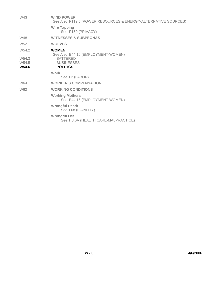| W43                                 | <b>WIND POWER</b><br>See Also P119.5 (POWER RESOURCES & ENERGY-ALTERNATIVE SOURCES) |
|-------------------------------------|-------------------------------------------------------------------------------------|
|                                     | <b>Wire Tapping</b><br>See P150 (PRIVACY)                                           |
| W48                                 | <b>WITNESSES &amp; SUBPEONAS</b>                                                    |
| W <sub>52</sub>                     | <b>WOLVES</b>                                                                       |
| W54.2                               | <b>WOMEN</b><br>See Also E44.16 (EMPLOYMENT-WOMEN)                                  |
| W <sub>54.3</sub><br>W54.5<br>W54.6 | <b>BATTERED</b><br><b>BUSINESSES</b><br><b>POLITICS</b>                             |
|                                     | Work<br>See L2 (LABOR)                                                              |
| W64                                 | <b>WORKER'S COMPENSATION</b>                                                        |
| W62                                 | <b>WORKING CONDITIONS</b>                                                           |
|                                     | <b>Working Mothers</b><br>See E44.16 (EMPLOYMENT-WOMEN)                             |
|                                     | <b>Wrongful Death</b><br>See L68 (LIABILITY)                                        |
|                                     | <b>Wrongful Life</b><br>See H8.6A (HEALTH CARE-MALPRACTICE)                         |
|                                     |                                                                                     |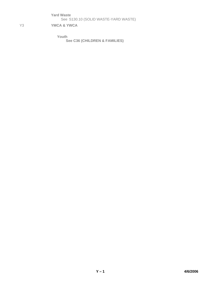**Yard Waste**

See S130.10 (SOLID WASTE-YARD WASTE)

Y3 **YMCA & YWCA** 

**Youth** 

 **See C36 (CHILDREN & FAMILIES)**